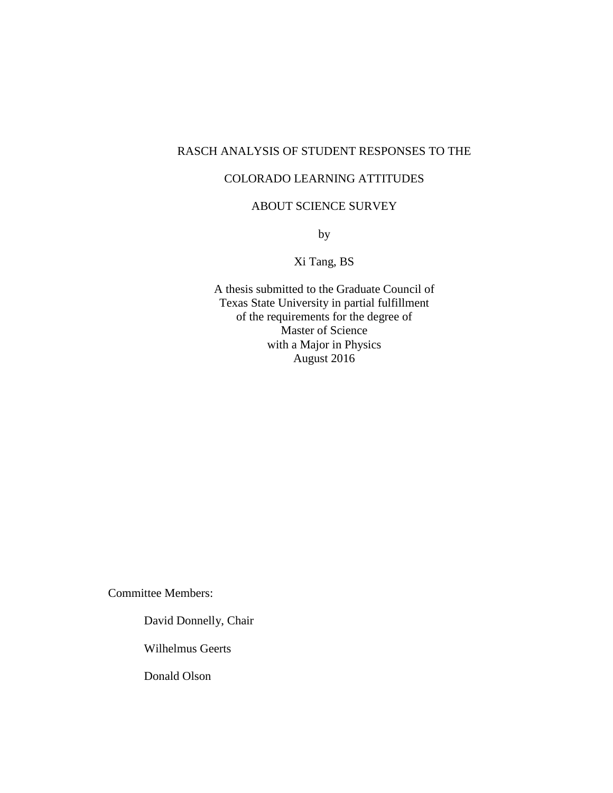# RASCH ANALYSIS OF STUDENT RESPONSES TO THE

## COLORADO LEARNING ATTITUDES

# ABOUT SCIENCE SURVEY

by

Xi Tang, BS

A thesis submitted to the Graduate Council of Texas State University in partial fulfillment of the requirements for the degree of Master of Science with a Major in Physics August 2016

Committee Members:

David Donnelly, Chair

Wilhelmus Geerts

Donald Olson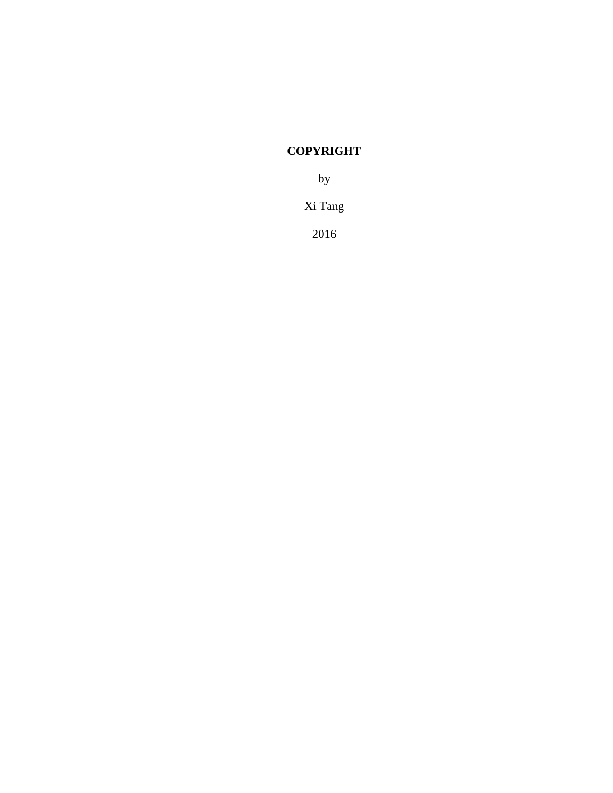# **COPYRIGHT**

by

Xi Tang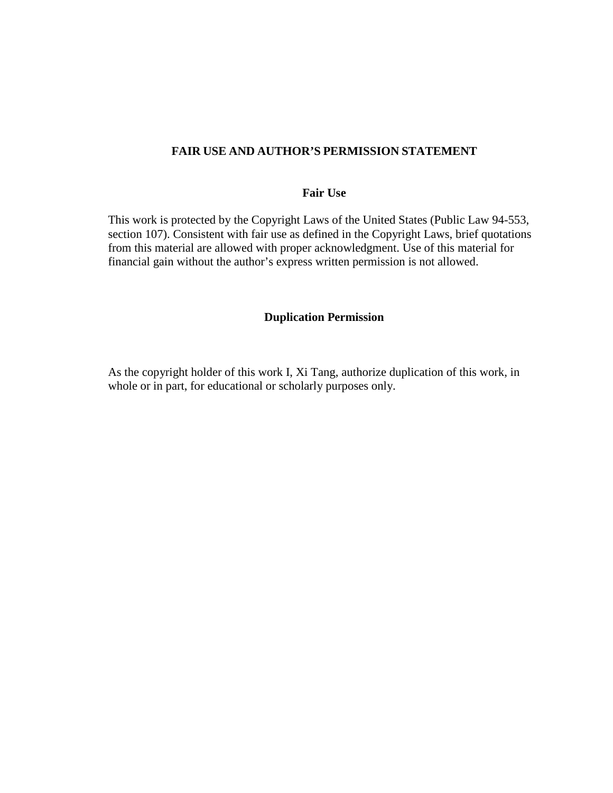### **FAIR USE AND AUTHOR'S PERMISSION STATEMENT**

### **Fair Use**

This work is protected by the Copyright Laws of the United States (Public Law 94-553, section 107). Consistent with fair use as defined in the Copyright Laws, brief quotations from this material are allowed with proper acknowledgment. Use of this material for financial gain without the author's express written permission is not allowed.

#### **Duplication Permission**

As the copyright holder of this work I, Xi Tang, authorize duplication of this work, in whole or in part, for educational or scholarly purposes only.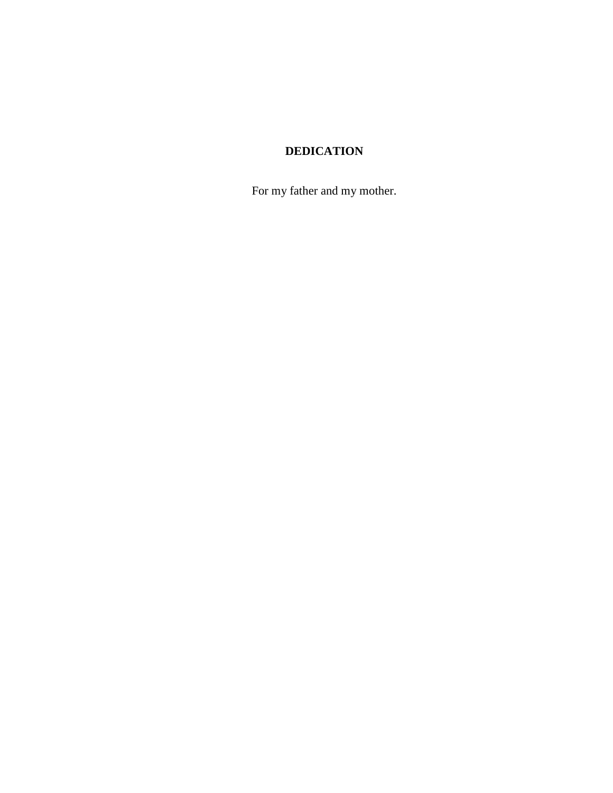# **DEDICATION**

For my father and my mother.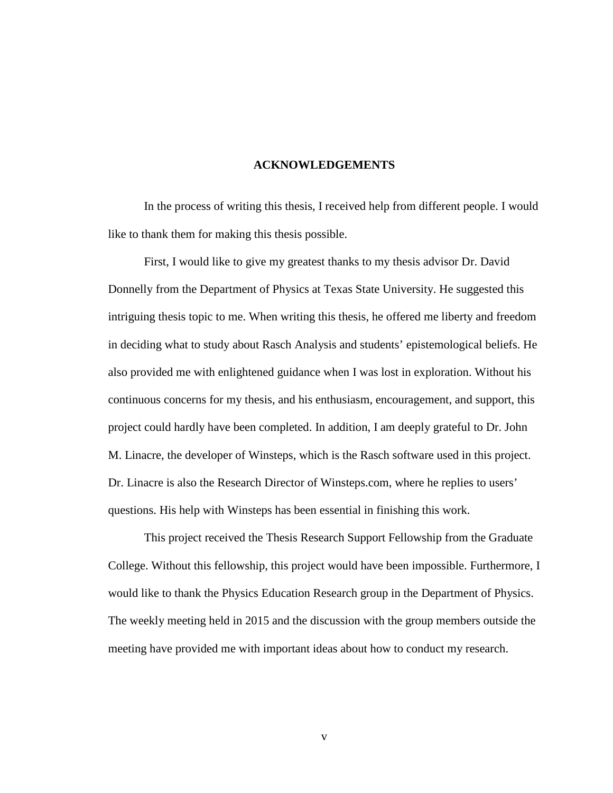#### **ACKNOWLEDGEMENTS**

<span id="page-4-0"></span>In the process of writing this thesis, I received help from different people. I would like to thank them for making this thesis possible.

First, I would like to give my greatest thanks to my thesis advisor Dr. David Donnelly from the Department of Physics at Texas State University. He suggested this intriguing thesis topic to me. When writing this thesis, he offered me liberty and freedom in deciding what to study about Rasch Analysis and students' epistemological beliefs. He also provided me with enlightened guidance when I was lost in exploration. Without his continuous concerns for my thesis, and his enthusiasm, encouragement, and support, this project could hardly have been completed. In addition, I am deeply grateful to Dr. John M. Linacre, the developer of Winsteps, which is the Rasch software used in this project. Dr. Linacre is also the Research Director of Winsteps.com, where he replies to users' questions. His help with Winsteps has been essential in finishing this work.

This project received the Thesis Research Support Fellowship from the Graduate College. Without this fellowship, this project would have been impossible. Furthermore, I would like to thank the Physics Education Research group in the Department of Physics. The weekly meeting held in 2015 and the discussion with the group members outside the meeting have provided me with important ideas about how to conduct my research.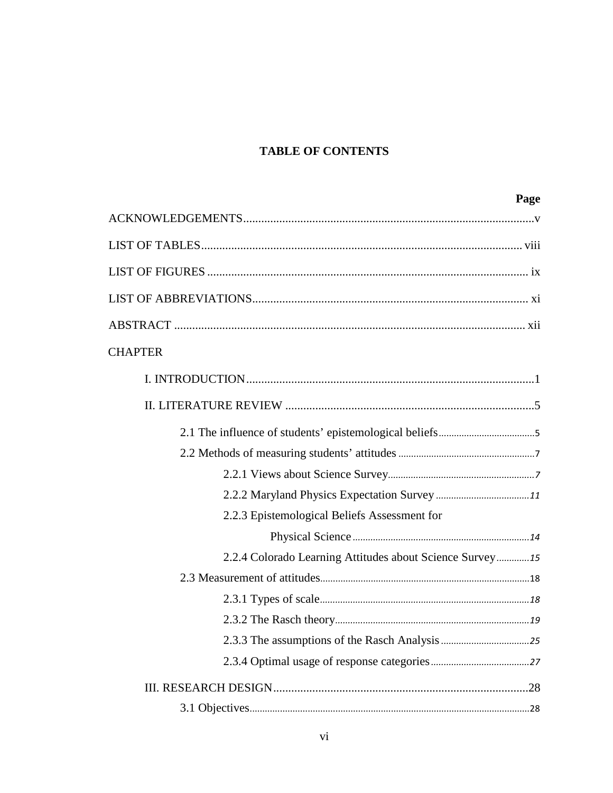# **TABLE OF CONTENTS**

| Page                                                     |
|----------------------------------------------------------|
|                                                          |
|                                                          |
|                                                          |
|                                                          |
|                                                          |
| <b>CHAPTER</b>                                           |
|                                                          |
|                                                          |
|                                                          |
|                                                          |
|                                                          |
|                                                          |
| 2.2.3 Epistemological Beliefs Assessment for             |
|                                                          |
| 2.2.4 Colorado Learning Attitudes about Science Survey15 |
|                                                          |
|                                                          |
|                                                          |
|                                                          |
|                                                          |
|                                                          |
|                                                          |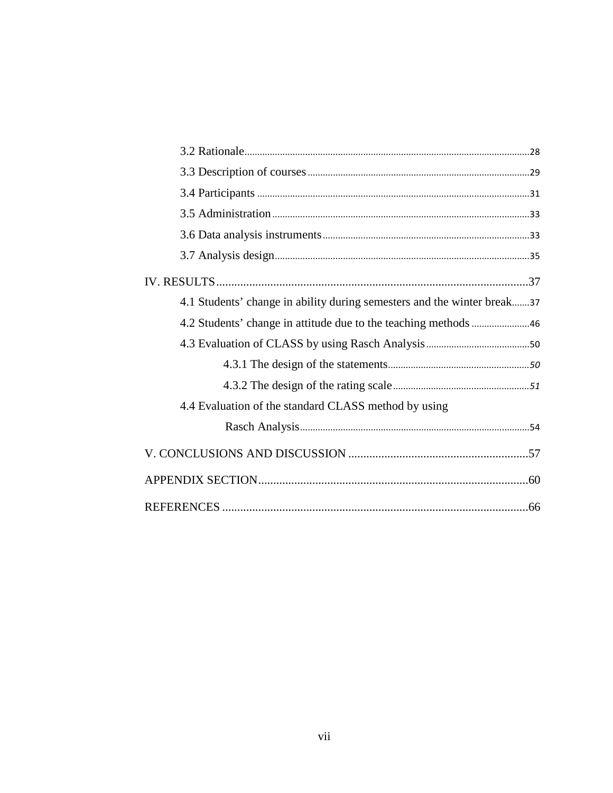| 4.1 Students' change in ability during semesters and the winter break37 |
|-------------------------------------------------------------------------|
|                                                                         |
|                                                                         |
|                                                                         |
|                                                                         |
| 4.4 Evaluation of the standard CLASS method by using                    |
|                                                                         |
|                                                                         |
|                                                                         |
|                                                                         |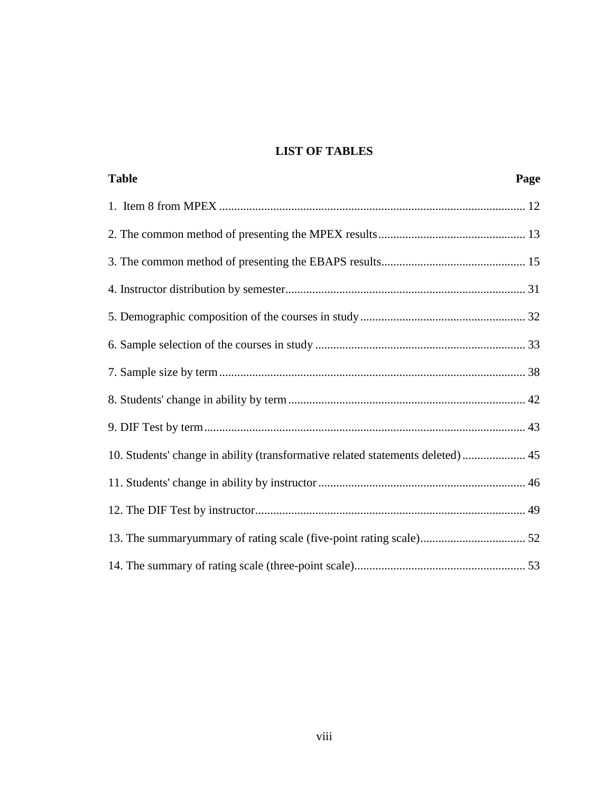# **LIST OF TABLES**

<span id="page-7-0"></span>

| <b>Table</b>                                                                    | Page |
|---------------------------------------------------------------------------------|------|
|                                                                                 |      |
|                                                                                 |      |
|                                                                                 |      |
|                                                                                 |      |
|                                                                                 |      |
|                                                                                 |      |
|                                                                                 |      |
|                                                                                 |      |
|                                                                                 |      |
| 10. Students' change in ability (transformative related statements deleted)  45 |      |
|                                                                                 |      |
|                                                                                 |      |
|                                                                                 |      |
|                                                                                 |      |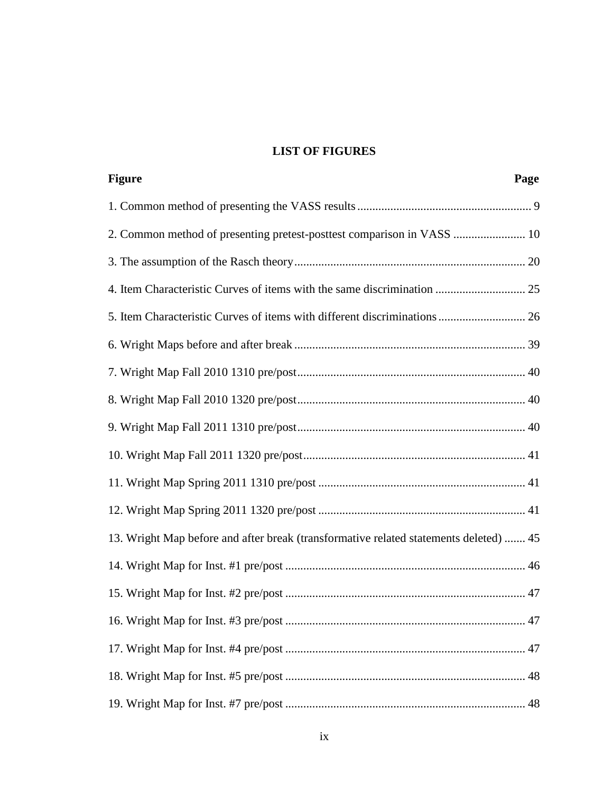# **LIST OF FIGURES**

<span id="page-8-0"></span>

| <b>Figure</b>                                                                         | Page |
|---------------------------------------------------------------------------------------|------|
|                                                                                       |      |
| 2. Common method of presenting pretest-posttest comparison in VASS  10                |      |
|                                                                                       |      |
|                                                                                       |      |
|                                                                                       |      |
|                                                                                       |      |
|                                                                                       |      |
|                                                                                       |      |
|                                                                                       |      |
|                                                                                       |      |
|                                                                                       |      |
|                                                                                       |      |
| 13. Wright Map before and after break (transformative related statements deleted)  45 |      |
|                                                                                       |      |
|                                                                                       |      |
|                                                                                       |      |
|                                                                                       |      |
|                                                                                       |      |
|                                                                                       |      |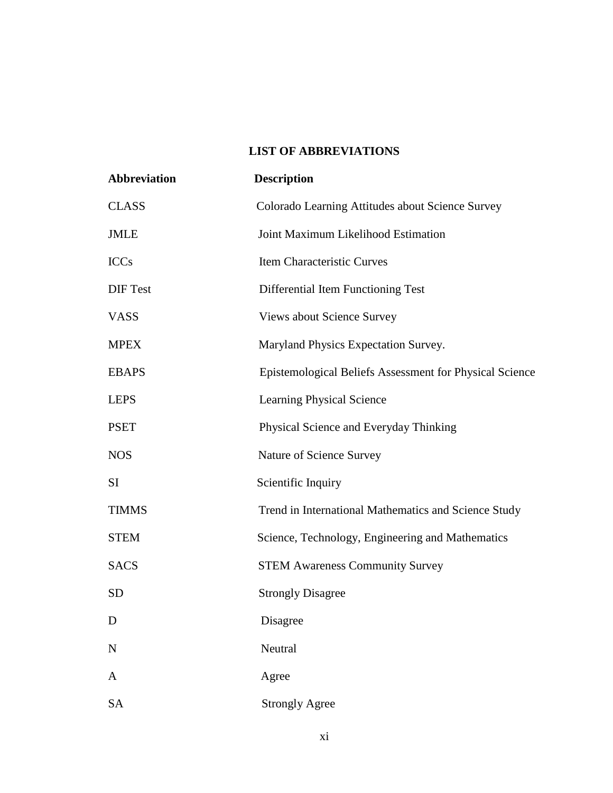# **LIST OF ABBREVIATIONS**

<span id="page-10-0"></span>

| <b>Abbreviation</b> | <b>Description</b>                                      |
|---------------------|---------------------------------------------------------|
| <b>CLASS</b>        | Colorado Learning Attitudes about Science Survey        |
| <b>JMLE</b>         | Joint Maximum Likelihood Estimation                     |
| <b>ICCs</b>         | Item Characteristic Curves                              |
| <b>DIF</b> Test     | Differential Item Functioning Test                      |
| <b>VASS</b>         | Views about Science Survey                              |
| <b>MPEX</b>         | Maryland Physics Expectation Survey.                    |
| <b>EBAPS</b>        | Epistemological Beliefs Assessment for Physical Science |
| <b>LEPS</b>         | <b>Learning Physical Science</b>                        |
| <b>PSET</b>         | Physical Science and Everyday Thinking                  |
| <b>NOS</b>          | Nature of Science Survey                                |
| SI                  | Scientific Inquiry                                      |
| <b>TIMMS</b>        | Trend in International Mathematics and Science Study    |
| <b>STEM</b>         | Science, Technology, Engineering and Mathematics        |
| <b>SACS</b>         | <b>STEM Awareness Community Survey</b>                  |
| <b>SD</b>           | <b>Strongly Disagree</b>                                |
| D                   | Disagree                                                |
| $\mathbf N$         | Neutral                                                 |
| A                   | Agree                                                   |
| <b>SA</b>           | <b>Strongly Agree</b>                                   |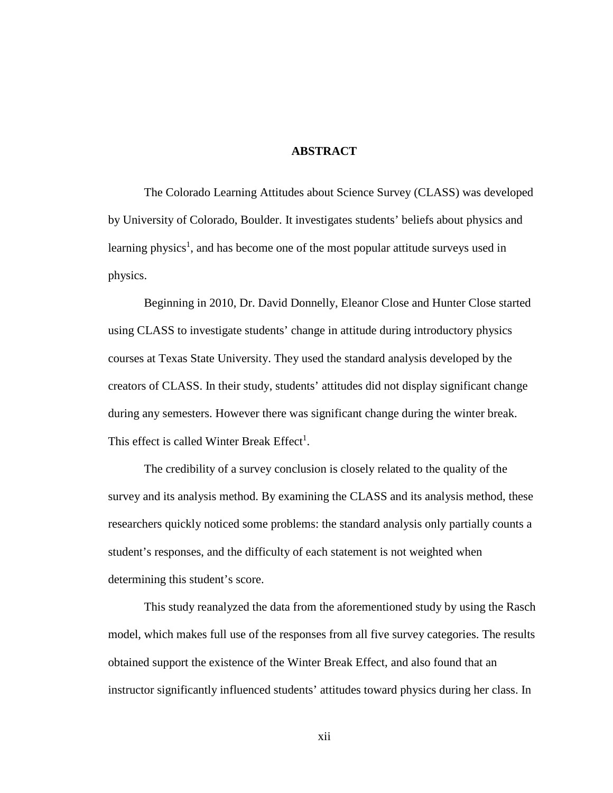### **ABSTRACT**

<span id="page-11-0"></span>The Colorado Learning Attitudes about Science Survey (CLASS) was developed by University of Colorado, Boulder. It investigates students' beliefs about physics and learning physics<sup>1</sup>, and has become one of the most popular attitude surveys used in physics.

Beginning in 2010, Dr. David Donnelly, Eleanor Close and Hunter Close started using CLASS to investigate students' change in attitude during introductory physics courses at Texas State University. They used the standard analysis developed by the creators of CLASS. In their study, students' attitudes did not display significant change during any semesters. However there was significant change during the winter break. This effect is called Winter Break  $Effect<sup>1</sup>$ .

The credibility of a survey conclusion is closely related to the quality of the survey and its analysis method. By examining the CLASS and its analysis method, these researchers quickly noticed some problems: the standard analysis only partially counts a student's responses, and the difficulty of each statement is not weighted when determining this student's score.

This study reanalyzed the data from the aforementioned study by using the Rasch model, which makes full use of the responses from all five survey categories. The results obtained support the existence of the Winter Break Effect, and also found that an instructor significantly influenced students' attitudes toward physics during her class. In

xii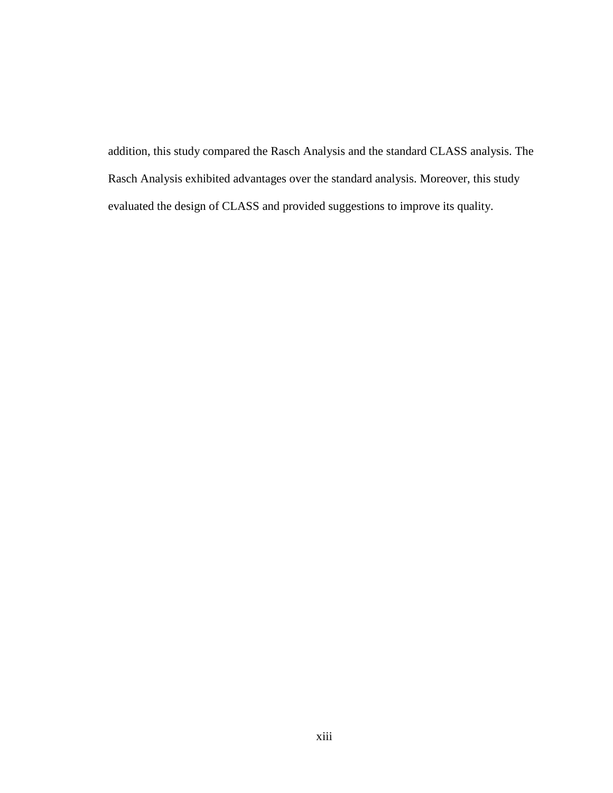addition, this study compared the Rasch Analysis and the standard CLASS analysis. The Rasch Analysis exhibited advantages over the standard analysis. Moreover, this study evaluated the design of CLASS and provided suggestions to improve its quality.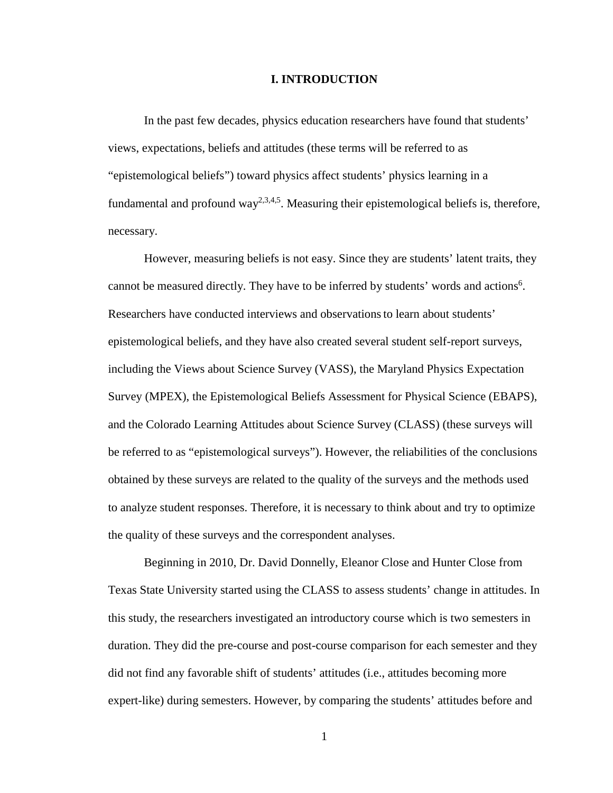#### **I. INTRODUCTION**

<span id="page-13-0"></span>In the past few decades, physics education researchers have found that students' views, expectations, beliefs and attitudes (these terms will be referred to as "epistemological beliefs") toward physics affect students' physics learning in a fundamental and profound way<sup>2,3,4,5</sup>. Measuring their epistemological beliefs is, therefore, necessary.

However, measuring beliefs is not easy. Since they are students' latent traits, they cannot be measured directly. They have to be inferred by students' words and actions<sup>6</sup>. Researchers have conducted interviews and observationsto learn about students' epistemological beliefs, and they have also created several student self-report surveys, including the Views about Science Survey (VASS), the Maryland Physics Expectation Survey (MPEX), the Epistemological Beliefs Assessment for Physical Science (EBAPS), and the Colorado Learning Attitudes about Science Survey (CLASS) (these surveys will be referred to as "epistemological surveys"). However, the reliabilities of the conclusions obtained by these surveys are related to the quality of the surveys and the methods used to analyze student responses. Therefore, it is necessary to think about and try to optimize the quality of these surveys and the correspondent analyses.

Beginning in 2010, Dr. David Donnelly, Eleanor Close and Hunter Close from Texas State University started using the CLASS to assess students' change in attitudes. In this study, the researchers investigated an introductory course which is two semesters in duration. They did the pre-course and post-course comparison for each semester and they did not find any favorable shift of students' attitudes (i.e., attitudes becoming more expert-like) during semesters. However, by comparing the students' attitudes before and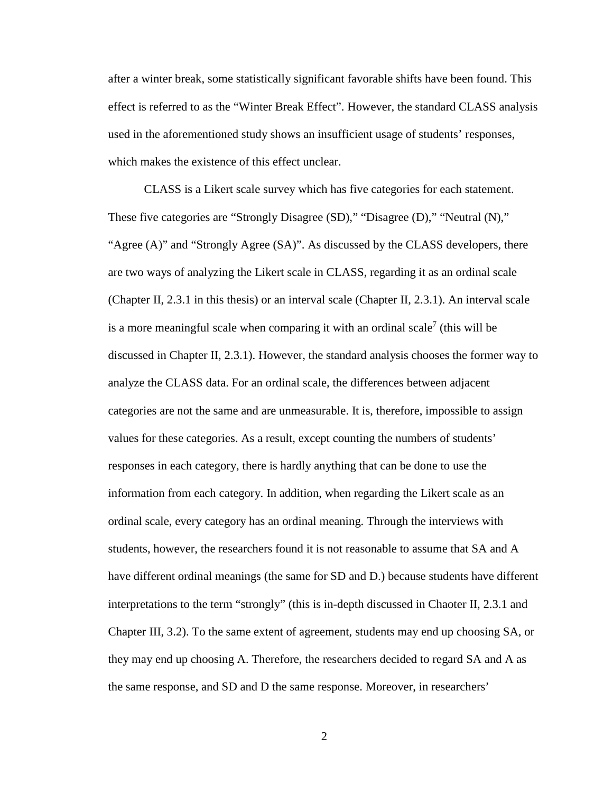after a winter break, some statistically significant favorable shifts have been found. This effect is referred to as the "Winter Break Effect". However, the standard CLASS analysis used in the aforementioned study shows an insufficient usage of students' responses, which makes the existence of this effect unclear.

CLASS is a Likert scale survey which has five categories for each statement. These five categories are "Strongly Disagree (SD)," "Disagree (D)," "Neutral (N)," "Agree (A)" and "Strongly Agree (SA)". As discussed by the CLASS developers, there are two ways of analyzing the Likert scale in CLASS, regarding it as an ordinal scale (Chapter II, 2.3.1 in this thesis) or an interval scale (Chapter II, 2.3.1). An interval scale is a more meaningful scale when comparing it with an ordinal scale<sup>7</sup> (this will be discussed in Chapter II, 2.3.1). However, the standard analysis chooses the former way to analyze the CLASS data. For an ordinal scale, the differences between adjacent categories are not the same and are unmeasurable. It is, therefore, impossible to assign values for these categories. As a result, except counting the numbers of students' responses in each category, there is hardly anything that can be done to use the information from each category. In addition, when regarding the Likert scale as an ordinal scale, every category has an ordinal meaning. Through the interviews with students, however, the researchers found it is not reasonable to assume that SA and A have different ordinal meanings (the same for SD and D.) because students have different interpretations to the term "strongly" (this is in-depth discussed in Chaoter II, 2.3.1 and Chapter III, 3.2). To the same extent of agreement, students may end up choosing SA, or they may end up choosing A. Therefore, the researchers decided to regard SA and A as the same response, and SD and D the same response. Moreover, in researchers'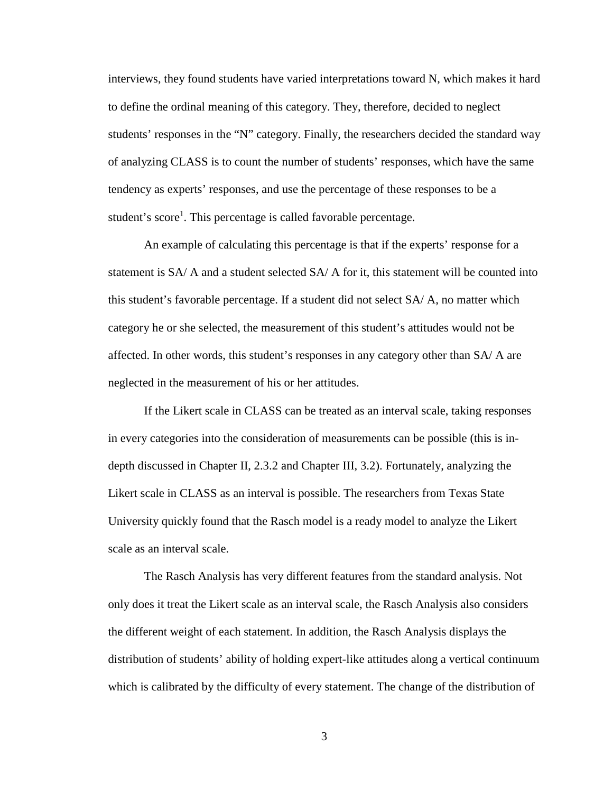interviews, they found students have varied interpretations toward N, which makes it hard to define the ordinal meaning of this category. They, therefore, decided to neglect students' responses in the "N" category. Finally, the researchers decided the standard way of analyzing CLASS is to count the number of students' responses, which have the same tendency as experts' responses, and use the percentage of these responses to be a student's score<sup>1</sup>. This percentage is called favorable percentage.

An example of calculating this percentage is that if the experts' response for a statement is SA/ A and a student selected SA/ A for it, this statement will be counted into this student's favorable percentage. If a student did not select SA/ A, no matter which category he or she selected, the measurement of this student's attitudes would not be affected. In other words, this student's responses in any category other than SA/ A are neglected in the measurement of his or her attitudes.

If the Likert scale in CLASS can be treated as an interval scale, taking responses in every categories into the consideration of measurements can be possible (this is indepth discussed in Chapter II, 2.3.2 and Chapter III, 3.2). Fortunately, analyzing the Likert scale in CLASS as an interval is possible. The researchers from Texas State University quickly found that the Rasch model is a ready model to analyze the Likert scale as an interval scale.

The Rasch Analysis has very different features from the standard analysis. Not only does it treat the Likert scale as an interval scale, the Rasch Analysis also considers the different weight of each statement. In addition, the Rasch Analysis displays the distribution of students' ability of holding expert-like attitudes along a vertical continuum which is calibrated by the difficulty of every statement. The change of the distribution of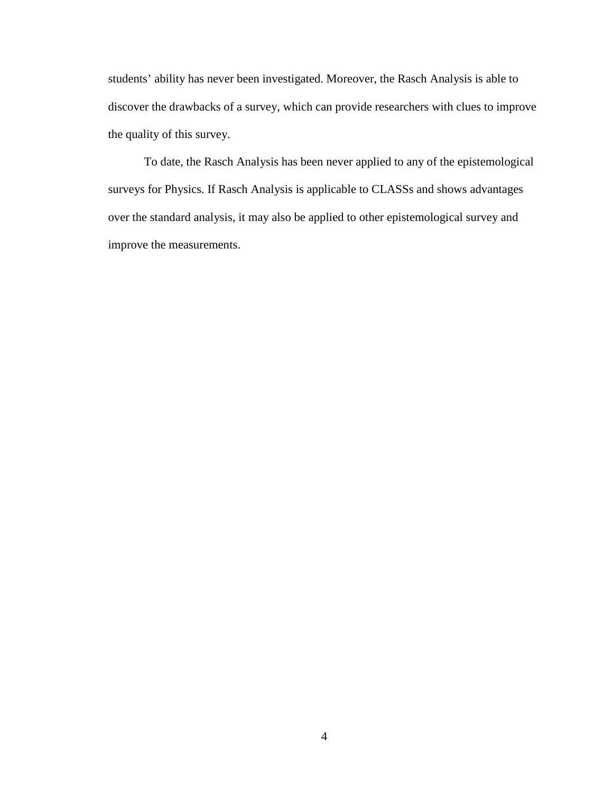students' ability has never been investigated. Moreover, the Rasch Analysis is able to discover the drawbacks of a survey, which can provide researchers with clues to improve the quality of this survey.

To date, the Rasch Analysis has been never applied to any of the epistemological surveys for Physics. If Rasch Analysis is applicable to CLASSs and shows advantages over the standard analysis, it may also be applied to other epistemological survey and improve the measurements.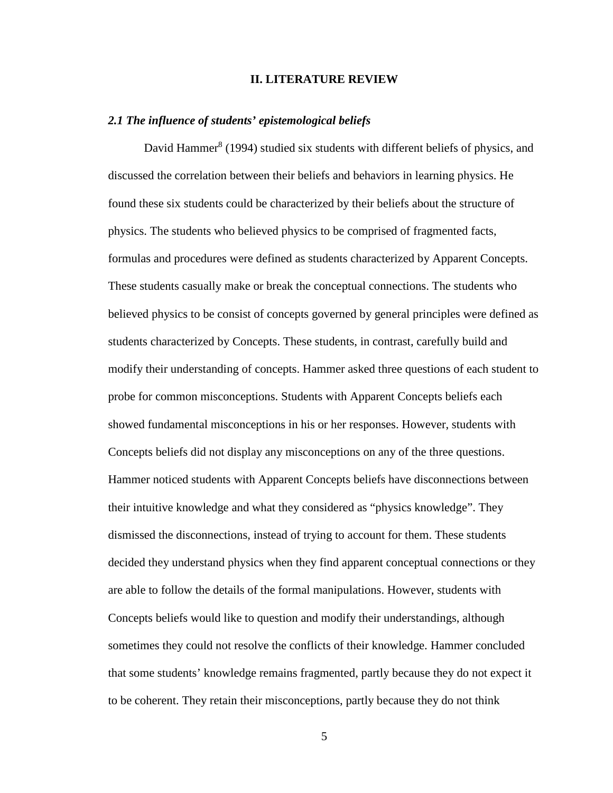#### **II. LITERATURE REVIEW**

#### <span id="page-17-1"></span><span id="page-17-0"></span>*2.1 The influence of students' epistemological beliefs*

David Hammer<sup>8</sup> (1994) studied six students with different beliefs of physics, and discussed the correlation between their beliefs and behaviors in learning physics. He found these six students could be characterized by their beliefs about the structure of physics. The students who believed physics to be comprised of fragmented facts, formulas and procedures were defined as students characterized by Apparent Concepts. These students casually make or break the conceptual connections. The students who believed physics to be consist of concepts governed by general principles were defined as students characterized by Concepts. These students, in contrast, carefully build and modify their understanding of concepts. Hammer asked three questions of each student to probe for common misconceptions. Students with Apparent Concepts beliefs each showed fundamental misconceptions in his or her responses. However, students with Concepts beliefs did not display any misconceptions on any of the three questions. Hammer noticed students with Apparent Concepts beliefs have disconnections between their intuitive knowledge and what they considered as "physics knowledge". They dismissed the disconnections, instead of trying to account for them. These students decided they understand physics when they find apparent conceptual connections or they are able to follow the details of the formal manipulations. However, students with Concepts beliefs would like to question and modify their understandings, although sometimes they could not resolve the conflicts of their knowledge. Hammer concluded that some students' knowledge remains fragmented, partly because they do not expect it to be coherent. They retain their misconceptions, partly because they do not think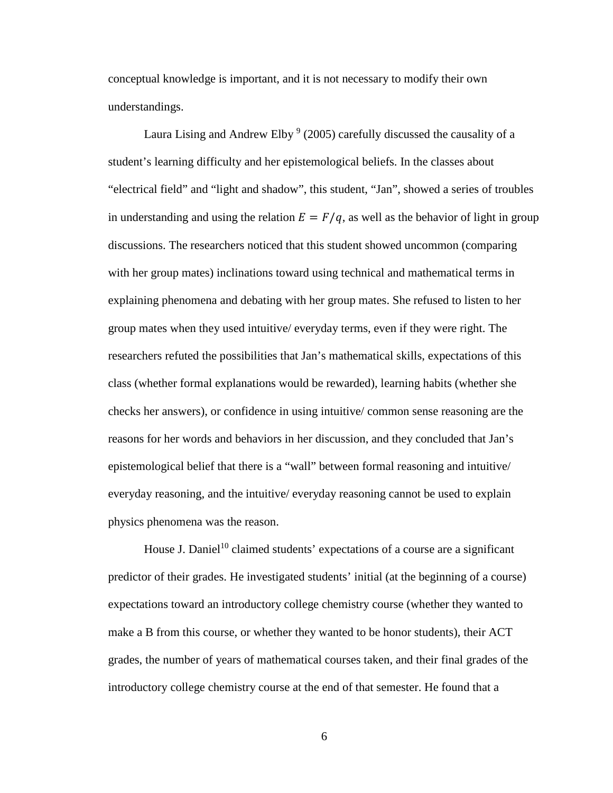conceptual knowledge is important, and it is not necessary to modify their own understandings.

Laura Lising and Andrew Elby  $9$  (2005) carefully discussed the causality of a student's learning difficulty and her epistemological beliefs. In the classes about "electrical field" and "light and shadow", this student, "Jan", showed a series of troubles in understanding and using the relation  $E = F/q$ , as well as the behavior of light in group discussions. The researchers noticed that this student showed uncommon (comparing with her group mates) inclinations toward using technical and mathematical terms in explaining phenomena and debating with her group mates. She refused to listen to her group mates when they used intuitive/ everyday terms, even if they were right. The researchers refuted the possibilities that Jan's mathematical skills, expectations of this class (whether formal explanations would be rewarded), learning habits (whether she checks her answers), or confidence in using intuitive/ common sense reasoning are the reasons for her words and behaviors in her discussion, and they concluded that Jan's epistemological belief that there is a "wall" between formal reasoning and intuitive/ everyday reasoning, and the intuitive/ everyday reasoning cannot be used to explain physics phenomena was the reason.

House J. Daniel<sup>10</sup> claimed students' expectations of a course are a significant predictor of their grades. He investigated students' initial (at the beginning of a course) expectations toward an introductory college chemistry course (whether they wanted to make a B from this course, or whether they wanted to be honor students), their ACT grades, the number of years of mathematical courses taken, and their final grades of the introductory college chemistry course at the end of that semester. He found that a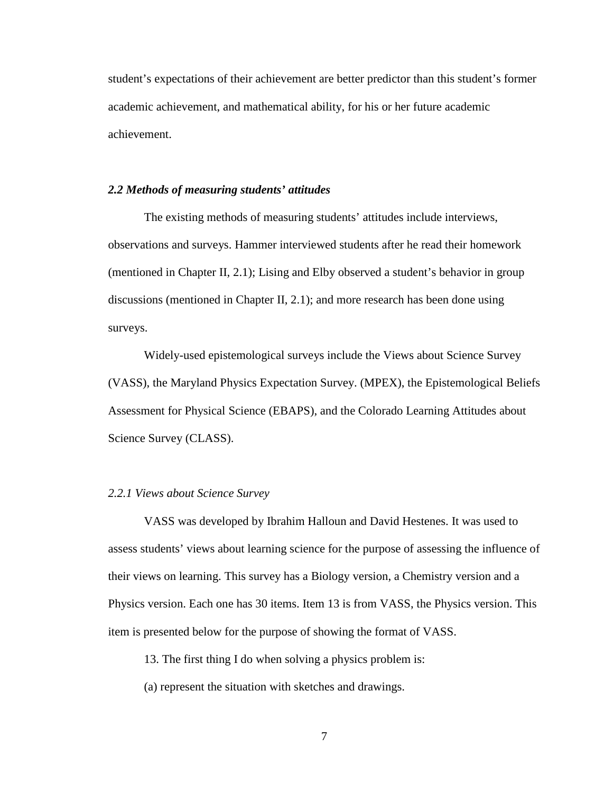student's expectations of their achievement are better predictor than this student's former academic achievement, and mathematical ability, for his or her future academic achievement.

#### <span id="page-19-0"></span>*2.2 Methods of measuring students' attitudes*

The existing methods of measuring students' attitudes include interviews, observations and surveys. Hammer interviewed students after he read their homework (mentioned in Chapter II, 2.1); Lising and Elby observed a student's behavior in group discussions (mentioned in Chapter II, 2.1); and more research has been done using surveys.

Widely-used epistemological surveys include the Views about Science Survey (VASS), the Maryland Physics Expectation Survey. (MPEX), the Epistemological Beliefs Assessment for Physical Science (EBAPS), and the Colorado Learning Attitudes about Science Survey (CLASS).

#### <span id="page-19-1"></span>*2.2.1 Views about Science Survey*

VASS was developed by Ibrahim Halloun and David Hestenes. It was used to assess students' views about learning science for the purpose of assessing the influence of their views on learning. This survey has a Biology version, a Chemistry version and a Physics version. Each one has 30 items. Item 13 is from VASS, the Physics version. This item is presented below for the purpose of showing the format of VASS.

13. The first thing I do when solving a physics problem is:

(a) represent the situation with sketches and drawings.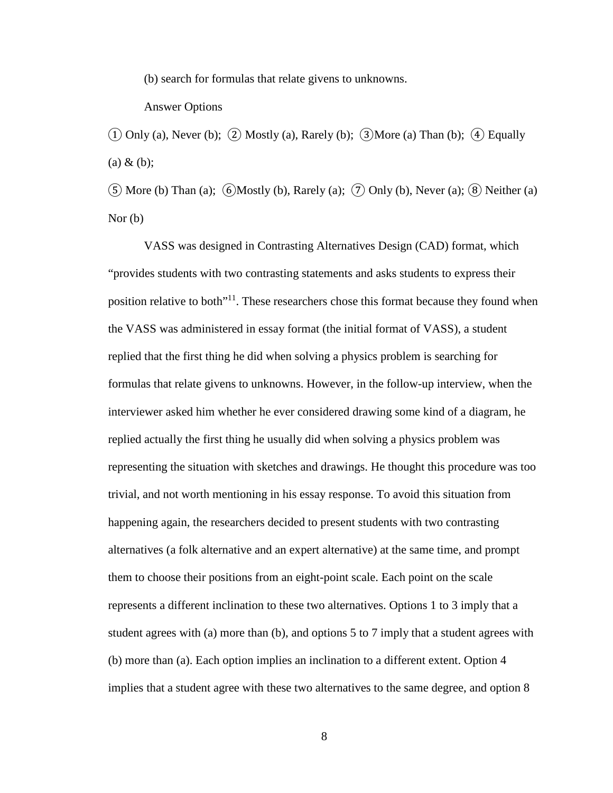(b) search for formulas that relate givens to unknowns.

#### Answer Options

 $\overline{1}$  Only (a), Never (b);  $\overline{2}$ ) Mostly (a), Rarely (b);  $\overline{3}$ ) More (a) Than (b);  $\overline{4}$ ) Equally  $(a) \& (b)$ ;

 $(5)$  More (b) Than (a);  $(6)$  Mostly (b), Rarely (a);  $(7)$  Only (b), Never (a);  $(8)$  Neither (a) Nor (b)

VASS was designed in Contrasting Alternatives Design (CAD) format, which "provides students with two contrasting statements and asks students to express their position relative to both<sup>"11</sup>. These researchers chose this format because they found when the VASS was administered in essay format (the initial format of VASS), a student replied that the first thing he did when solving a physics problem is searching for formulas that relate givens to unknowns. However, in the follow-up interview, when the interviewer asked him whether he ever considered drawing some kind of a diagram, he replied actually the first thing he usually did when solving a physics problem was representing the situation with sketches and drawings. He thought this procedure was too trivial, and not worth mentioning in his essay response. To avoid this situation from happening again, the researchers decided to present students with two contrasting alternatives (a folk alternative and an expert alternative) at the same time, and prompt them to choose their positions from an eight-point scale. Each point on the scale represents a different inclination to these two alternatives. Options 1 to 3 imply that a student agrees with (a) more than (b), and options 5 to 7 imply that a student agrees with (b) more than (a). Each option implies an inclination to a different extent. Option 4 implies that a student agree with these two alternatives to the same degree, and option 8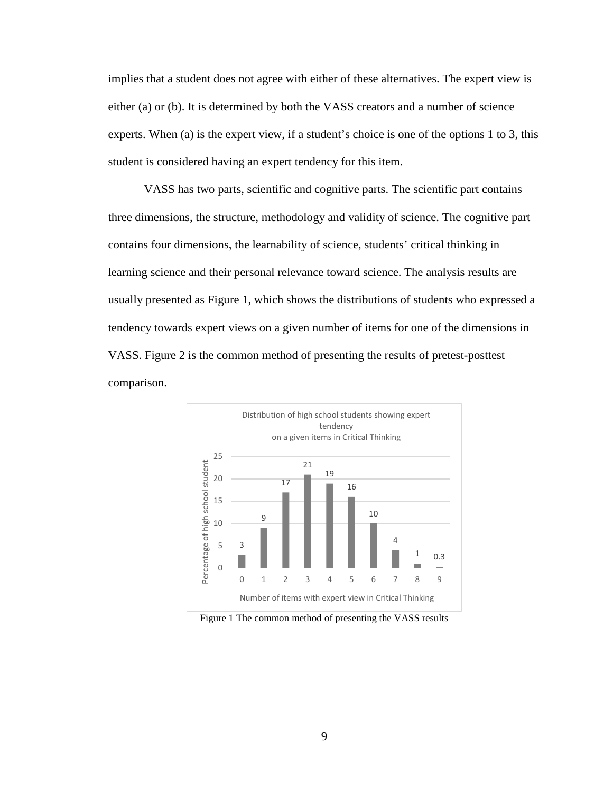implies that a student does not agree with either of these alternatives. The expert view is either (a) or (b). It is determined by both the VASS creators and a number of science experts. When (a) is the expert view, if a student's choice is one of the options 1 to 3, this student is considered having an expert tendency for this item.

VASS has two parts, scientific and cognitive parts. The scientific part contains three dimensions, the structure, methodology and validity of science. The cognitive part contains four dimensions, the learnability of science, students' critical thinking in learning science and their personal relevance toward science. The analysis results are usually presented as Figure 1, which shows the distributions of students who expressed a tendency towards expert views on a given number of items for one of the dimensions in VASS. Figure 2 is the common method of presenting the results of pretest-posttest comparison.



<span id="page-21-0"></span>Figure 1 The common method of presenting the VASS results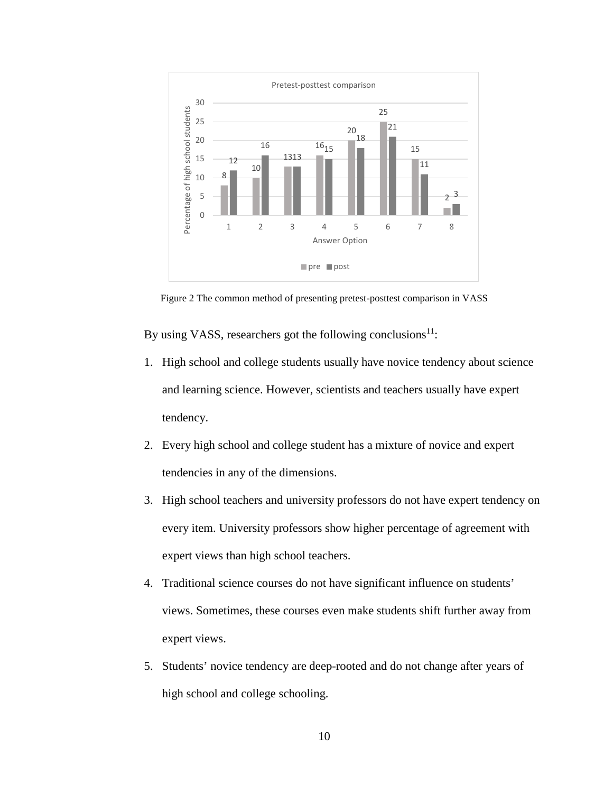

Figure 2 The common method of presenting pretest-posttest comparison in VASS

<span id="page-22-0"></span>By using VASS, researchers got the following conclusions $11$ :

- 1. High school and college students usually have novice tendency about science and learning science. However, scientists and teachers usually have expert tendency.
- 2. Every high school and college student has a mixture of novice and expert tendencies in any of the dimensions.
- 3. High school teachers and university professors do not have expert tendency on every item. University professors show higher percentage of agreement with expert views than high school teachers.
- 4. Traditional science courses do not have significant influence on students' views. Sometimes, these courses even make students shift further away from expert views.
- 5. Students' novice tendency are deep-rooted and do not change after years of high school and college schooling.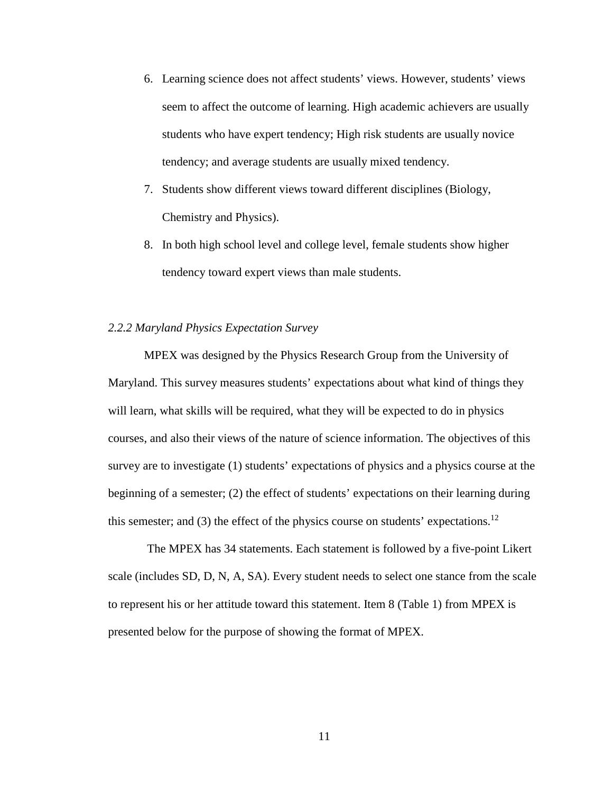- 6. Learning science does not affect students' views. However, students' views seem to affect the outcome of learning. High academic achievers are usually students who have expert tendency; High risk students are usually novice tendency; and average students are usually mixed tendency.
- 7. Students show different views toward different disciplines (Biology, Chemistry and Physics).
- 8. In both high school level and college level, female students show higher tendency toward expert views than male students.

### <span id="page-23-0"></span>*2.2.2 Maryland Physics Expectation Survey*

MPEX was designed by the Physics Research Group from the University of Maryland. This survey measures students' expectations about what kind of things they will learn, what skills will be required, what they will be expected to do in physics courses, and also their views of the nature of science information. The objectives of this survey are to investigate (1) students' expectations of physics and a physics course at the beginning of a semester; (2) the effect of students' expectations on their learning during this semester; and (3) the effect of the physics course on students' expectations.<sup>12</sup>

The MPEX has 34 statements. Each statement is followed by a five-point Likert scale (includes SD, D, N, A, SA). Every student needs to select one stance from the scale to represent his or her attitude toward this statement. Item 8 (Table 1) from MPEX is presented below for the purpose of showing the format of MPEX.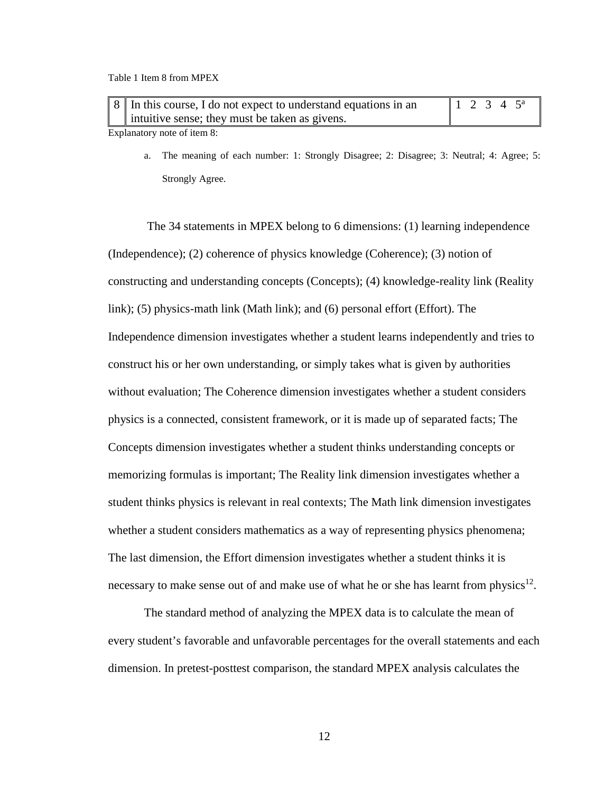<span id="page-24-0"></span>

| 8 ∣ In this course, I do not expect to understand equations in an | $12345^{\circ}$ |  |  |
|-------------------------------------------------------------------|-----------------|--|--|
| intuitive sense; they must be taken as givens.                    |                 |  |  |

Explanatory note of item 8:

a. The meaning of each number: 1: Strongly Disagree; 2: Disagree; 3: Neutral; 4: Agree; 5: Strongly Agree.

The 34 statements in MPEX belong to 6 dimensions: (1) learning independence (Independence); (2) coherence of physics knowledge (Coherence); (3) notion of constructing and understanding concepts (Concepts); (4) knowledge-reality link (Reality link); (5) physics-math link (Math link); and (6) personal effort (Effort). The Independence dimension investigates whether a student learns independently and tries to construct his or her own understanding, or simply takes what is given by authorities without evaluation; The Coherence dimension investigates whether a student considers physics is a connected, consistent framework, or it is made up of separated facts; The Concepts dimension investigates whether a student thinks understanding concepts or memorizing formulas is important; The Reality link dimension investigates whether a student thinks physics is relevant in real contexts; The Math link dimension investigates whether a student considers mathematics as a way of representing physics phenomena; The last dimension, the Effort dimension investigates whether a student thinks it is necessary to make sense out of and make use of what he or she has learnt from physics<sup>12</sup>.

The standard method of analyzing the MPEX data is to calculate the mean of every student's favorable and unfavorable percentages for the overall statements and each dimension. In pretest-posttest comparison, the standard MPEX analysis calculates the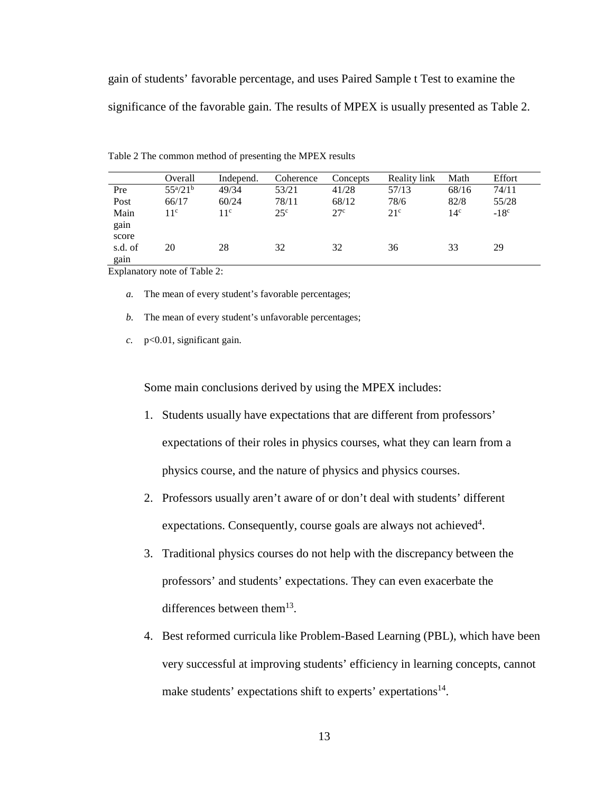gain of students' favorable percentage, and uses Paired Sample t Test to examine the significance of the favorable gain. The results of MPEX is usually presented as Table 2.

|                       | Overall         | Independ.    | Coherence    | Concepts        | Reality link | Math            | Effort |  |
|-----------------------|-----------------|--------------|--------------|-----------------|--------------|-----------------|--------|--|
| Pre                   | $55^{a}/21^{b}$ | 49/34        | 53/21        | 41/28           | 57/13        | 68/16           | 74/11  |  |
| Post                  | 66/17           | 60/24        | 78/11        | 68/12           | 78/6         | 82/8            | 55/28  |  |
| Main<br>gain<br>score | $11^{\circ}$    | $11^{\circ}$ | $25^{\circ}$ | 27 <sup>c</sup> | $21^{\circ}$ | 14 <sup>c</sup> | $-18c$ |  |
| s.d. of<br>gain       | 20              | 28           | 32           | 32              | 36           | 33              | 29     |  |

<span id="page-25-0"></span>Table 2 The common method of presenting the MPEX results

Explanatory note of Table 2:

- *a.* The mean of every student's favorable percentages;
- *b.* The mean of every student's unfavorable percentages;
- *c.* p<0.01, significant gain.

Some main conclusions derived by using the MPEX includes:

- 1. Students usually have expectations that are different from professors' expectations of their roles in physics courses, what they can learn from a physics course, and the nature of physics and physics courses.
- 2. Professors usually aren't aware of or don't deal with students' different expectations. Consequently, course goals are always not achieved<sup>4</sup>.
- 3. Traditional physics courses do not help with the discrepancy between the professors' and students' expectations. They can even exacerbate the differences between them<sup>13</sup>.
- 4. Best reformed curricula like Problem-Based Learning (PBL), which have been very successful at improving students' efficiency in learning concepts, cannot make students' expectations shift to experts' expertations<sup>14</sup>.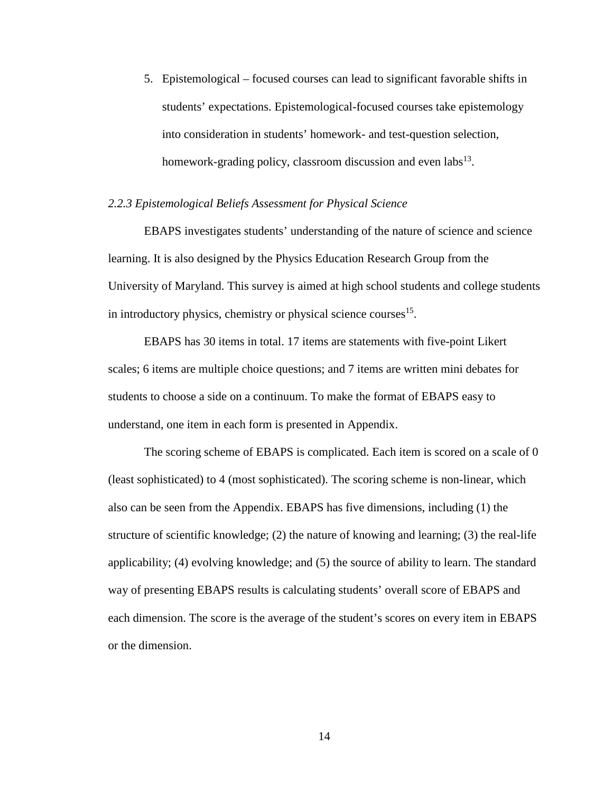5. Epistemological – focused courses can lead to significant favorable shifts in students' expectations. Epistemological-focused courses take epistemology into consideration in students' homework- and test-question selection, homework-grading policy, classroom discussion and even  $\text{labs}^{13}$ .

### <span id="page-26-0"></span>*2.2.3 Epistemological Beliefs Assessment for Physical Science*

EBAPS investigates students' understanding of the nature of science and science learning. It is also designed by the Physics Education Research Group from the University of Maryland. This survey is aimed at high school students and college students in introductory physics, chemistry or physical science courses<sup>15</sup>.

EBAPS has 30 items in total. 17 items are statements with five-point Likert scales; 6 items are multiple choice questions; and 7 items are written mini debates for students to choose a side on a continuum. To make the format of EBAPS easy to understand, one item in each form is presented in Appendix.

The scoring scheme of EBAPS is complicated. Each item is scored on a scale of 0 (least sophisticated) to 4 (most sophisticated). The scoring scheme is non-linear, which also can be seen from the Appendix. EBAPS has five dimensions, including (1) the structure of scientific knowledge; (2) the nature of knowing and learning; (3) the real-life applicability; (4) evolving knowledge; and (5) the source of ability to learn. The standard way of presenting EBAPS results is calculating students' overall score of EBAPS and each dimension. The score is the average of the student's scores on every item in EBAPS or the dimension.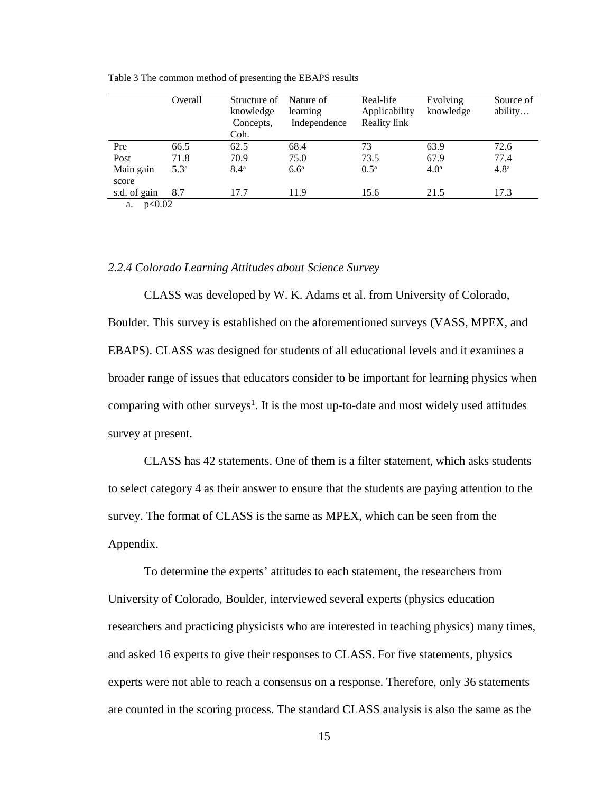|              | Overall          | Structure of<br>knowledge<br>Concepts,<br>Coh. | Nature of<br>learning<br>Independence | Real-life<br>Applicability<br>Reality link | Evolving<br>knowledge | Source of<br>ability |
|--------------|------------------|------------------------------------------------|---------------------------------------|--------------------------------------------|-----------------------|----------------------|
| Pre          | 66.5             | 62.5                                           | 68.4                                  | 73                                         | 63.9                  | 72.6                 |
| Post         | 71.8             | 70.9                                           | 75.0                                  | 73.5                                       | 67.9                  | 77.4                 |
| Main gain    | 5.3 <sup>a</sup> | 8.4 <sup>a</sup>                               | $6.6^a$                               | $0.5^{\rm a}$                              | 4.0 <sup>a</sup>      | 4.8 <sup>a</sup>     |
| score        |                  |                                                |                                       |                                            |                       |                      |
| s.d. of gain | 8.7              | 17.7                                           | 11.9                                  | 15.6                                       | 21.5                  | 17.3                 |
| 0.02002      |                  |                                                |                                       |                                            |                       |                      |

<span id="page-27-1"></span>Table 3 The common method of presenting the EBAPS results

a. p<0.02

#### <span id="page-27-0"></span>*2.2.4 Colorado Learning Attitudes about Science Survey*

CLASS was developed by W. K. Adams et al. from University of Colorado, Boulder. This survey is established on the aforementioned surveys (VASS, MPEX, and EBAPS). CLASS was designed for students of all educational levels and it examines a broader range of issues that educators consider to be important for learning physics when comparing with other surveys<sup>1</sup>. It is the most up-to-date and most widely used attitudes survey at present.

CLASS has 42 statements. One of them is a filter statement, which asks students to select category 4 as their answer to ensure that the students are paying attention to the survey. The format of CLASS is the same as MPEX, which can be seen from the Appendix.

To determine the experts' attitudes to each statement, the researchers from University of Colorado, Boulder, interviewed several experts (physics education researchers and practicing physicists who are interested in teaching physics) many times, and asked 16 experts to give their responses to CLASS. For five statements, physics experts were not able to reach a consensus on a response. Therefore, only 36 statements are counted in the scoring process. The standard CLASS analysis is also the same as the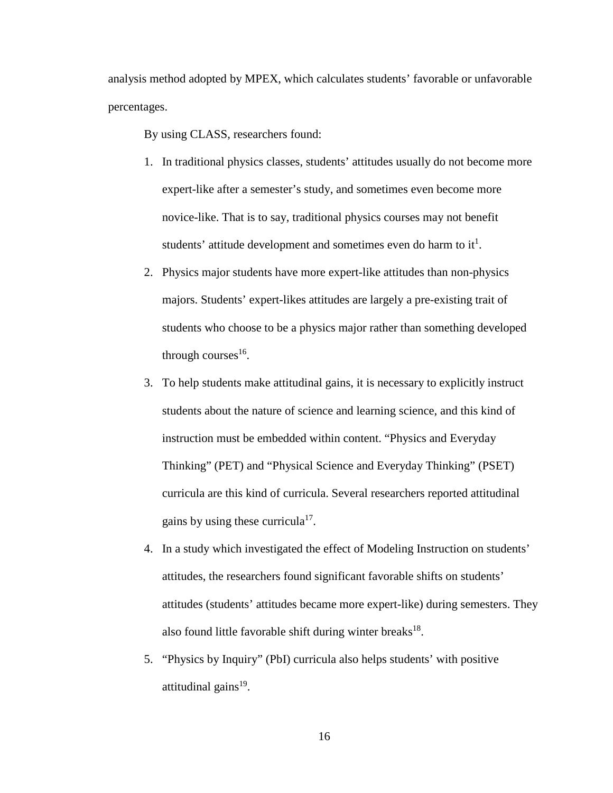analysis method adopted by MPEX, which calculates students' favorable or unfavorable percentages.

By using CLASS, researchers found:

- 1. In traditional physics classes, students' attitudes usually do not become more expert-like after a semester's study, and sometimes even become more novice-like. That is to say, traditional physics courses may not benefit students' attitude development and sometimes even do harm to it<sup>1</sup>.
- 2. Physics major students have more expert-like attitudes than non-physics majors. Students' expert-likes attitudes are largely a pre-existing trait of students who choose to be a physics major rather than something developed through courses $16$ .
- 3. To help students make attitudinal gains, it is necessary to explicitly instruct students about the nature of science and learning science, and this kind of instruction must be embedded within content. "Physics and Everyday Thinking" (PET) and "Physical Science and Everyday Thinking" (PSET) curricula are this kind of curricula. Several researchers reported attitudinal gains by using these curricula<sup>17</sup>.
- 4. In a study which investigated the effect of Modeling Instruction on students' attitudes, the researchers found significant favorable shifts on students' attitudes (students' attitudes became more expert-like) during semesters. They also found little favorable shift during winter breaks $^{18}$ .
- 5. "Physics by Inquiry" (PbI) curricula also helps students' with positive attitudinal gains $19$ .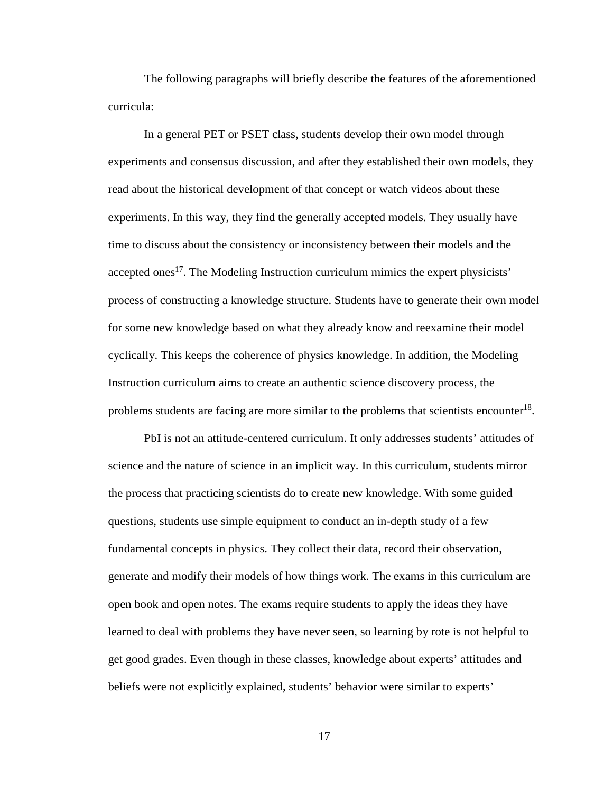The following paragraphs will briefly describe the features of the aforementioned curricula:

In a general PET or PSET class, students develop their own model through experiments and consensus discussion, and after they established their own models, they read about the historical development of that concept or watch videos about these experiments. In this way, they find the generally accepted models. They usually have time to discuss about the consistency or inconsistency between their models and the accepted ones<sup>17</sup>. The Modeling Instruction curriculum mimics the expert physicists' process of constructing a knowledge structure. Students have to generate their own model for some new knowledge based on what they already know and reexamine their model cyclically. This keeps the coherence of physics knowledge. In addition, the Modeling Instruction curriculum aims to create an authentic science discovery process, the problems students are facing are more similar to the problems that scientists encounter<sup>18</sup>.

PbI is not an attitude-centered curriculum. It only addresses students' attitudes of science and the nature of science in an implicit way. In this curriculum, students mirror the process that practicing scientists do to create new knowledge. With some guided questions, students use simple equipment to conduct an in-depth study of a few fundamental concepts in physics. They collect their data, record their observation, generate and modify their models of how things work. The exams in this curriculum are open book and open notes. The exams require students to apply the ideas they have learned to deal with problems they have never seen, so learning by rote is not helpful to get good grades. Even though in these classes, knowledge about experts' attitudes and beliefs were not explicitly explained, students' behavior were similar to experts'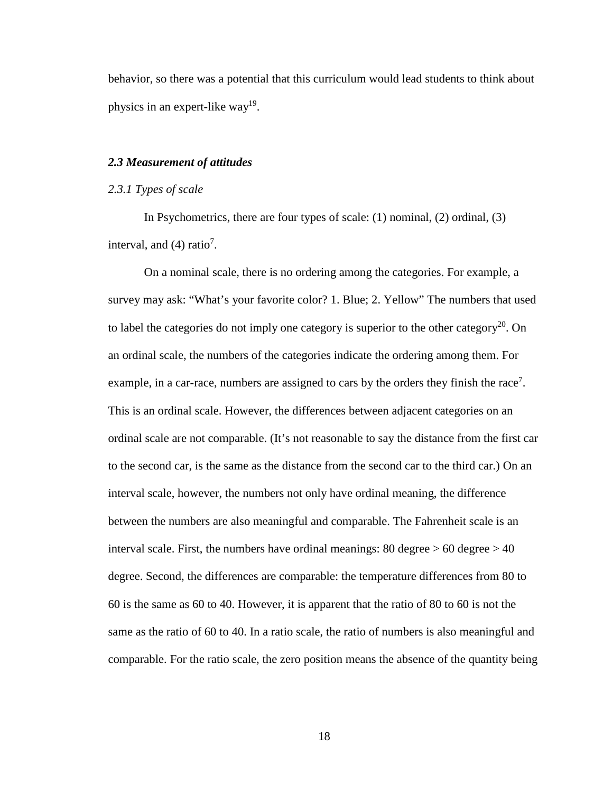behavior, so there was a potential that this curriculum would lead students to think about physics in an expert-like way<sup>19</sup>.

### <span id="page-30-0"></span>*2.3 Measurement of attitudes*

#### <span id="page-30-1"></span>*2.3.1 Types of scale*

In Psychometrics, there are four types of scale: (1) nominal, (2) ordinal, (3) interval, and  $(4)$  ratio<sup>7</sup>.

On a nominal scale, there is no ordering among the categories. For example, a survey may ask: "What's your favorite color? 1. Blue; 2. Yellow" The numbers that used to label the categories do not imply one category is superior to the other category<sup>20</sup>. On an ordinal scale, the numbers of the categories indicate the ordering among them. For example, in a car-race, numbers are assigned to cars by the orders they finish the race<sup>7</sup>. This is an ordinal scale. However, the differences between adjacent categories on an ordinal scale are not comparable. (It's not reasonable to say the distance from the first car to the second car, is the same as the distance from the second car to the third car.) On an interval scale, however, the numbers not only have ordinal meaning, the difference between the numbers are also meaningful and comparable. The Fahrenheit scale is an interval scale. First, the numbers have ordinal meanings:  $80 \text{ degree} > 60 \text{ degree} > 40$ degree. Second, the differences are comparable: the temperature differences from 80 to 60 is the same as 60 to 40. However, it is apparent that the ratio of 80 to 60 is not the same as the ratio of 60 to 40. In a ratio scale, the ratio of numbers is also meaningful and comparable. For the ratio scale, the zero position means the absence of the quantity being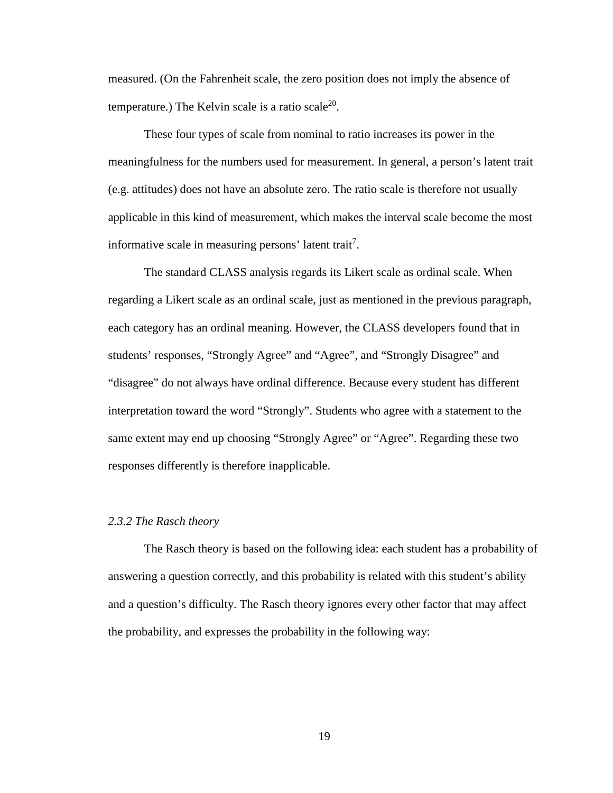measured. (On the Fahrenheit scale, the zero position does not imply the absence of temperature.) The Kelvin scale is a ratio scale<sup>20</sup>.

These four types of scale from nominal to ratio increases its power in the meaningfulness for the numbers used for measurement. In general, a person's latent trait (e.g. attitudes) does not have an absolute zero. The ratio scale is therefore not usually applicable in this kind of measurement, which makes the interval scale become the most informative scale in measuring persons' latent trait<sup>7</sup>.

The standard CLASS analysis regards its Likert scale as ordinal scale. When regarding a Likert scale as an ordinal scale, just as mentioned in the previous paragraph, each category has an ordinal meaning. However, the CLASS developers found that in students' responses, "Strongly Agree" and "Agree", and "Strongly Disagree" and "disagree" do not always have ordinal difference. Because every student has different interpretation toward the word "Strongly". Students who agree with a statement to the same extent may end up choosing "Strongly Agree" or "Agree". Regarding these two responses differently is therefore inapplicable.

#### <span id="page-31-0"></span>*2.3.2 The Rasch theory*

The Rasch theory is based on the following idea: each student has a probability of answering a question correctly, and this probability is related with this student's ability and a question's difficulty. The Rasch theory ignores every other factor that may affect the probability, and expresses the probability in the following way: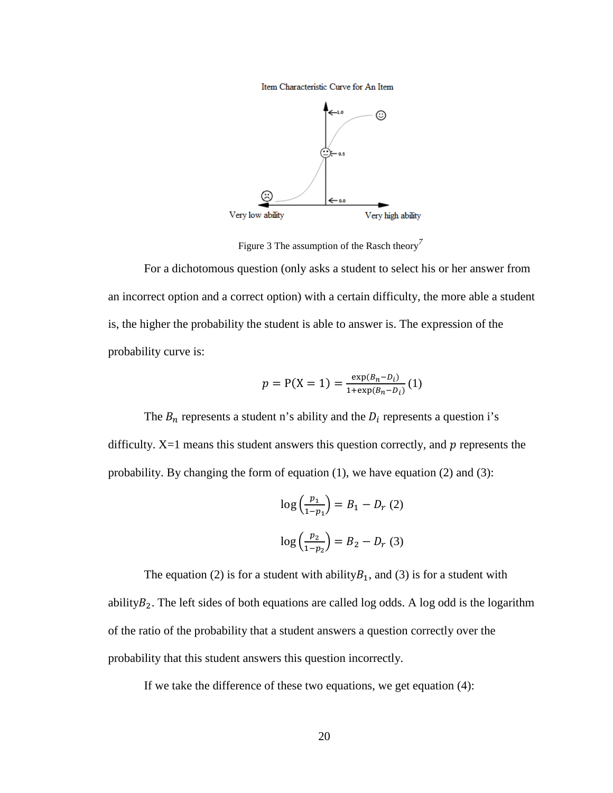Item Characteristic Curve for An Item



<span id="page-32-0"></span>Figure 3 The assumption of the Rasch theory*<sup>7</sup>*

For a dichotomous question (only asks a student to select his or her answer from an incorrect option and a correct option) with a certain difficulty, the more able a student is, the higher the probability the student is able to answer is. The expression of the probability curve is:

$$
p = P(X = 1) = \frac{\exp(B_n - D_i)}{1 + \exp(B_n - D_i)}(1)
$$

The  $B_n$  represents a student n's ability and the  $D_i$  represents a question i's difficulty.  $X=1$  means this student answers this question correctly, and  $p$  represents the probability. By changing the form of equation (1), we have equation (2) and (3):

$$
\log\left(\frac{p_1}{1-p_1}\right) = B_1 - D_r(2)
$$

$$
\log\left(\frac{p_2}{1-p_2}\right) = B_2 - D_r(3)
$$

The equation (2) is for a student with ability  $B_1$ , and (3) is for a student with ability $B_2$ . The left sides of both equations are called log odds. A log odd is the logarithm of the ratio of the probability that a student answers a question correctly over the probability that this student answers this question incorrectly.

If we take the difference of these two equations, we get equation (4):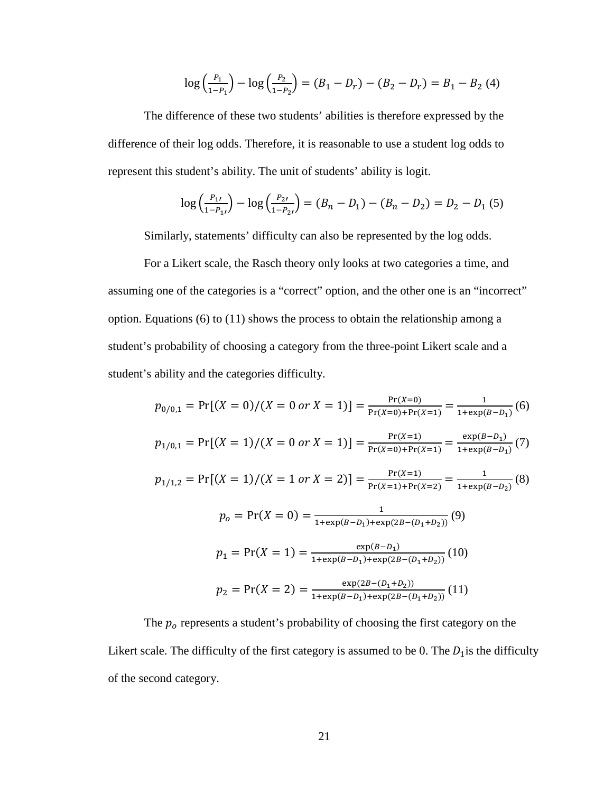$$
\log\left(\frac{P_1}{1-P_1}\right) - \log\left(\frac{P_2}{1-P_2}\right) = (B_1 - D_r) - (B_2 - D_r) = B_1 - B_2 \tag{4}
$$

The difference of these two students' abilities is therefore expressed by the difference of their log odds. Therefore, it is reasonable to use a student log odds to represent this student's ability. The unit of students' ability is logit.

$$
\log\left(\frac{P_{1'}}{1-P_{1'}}\right) - \log\left(\frac{P_{2'}}{1-P_{2'}}\right) = (B_n - D_1) - (B_n - D_2) = D_2 - D_1 \tag{5}
$$

Similarly, statements' difficulty can also be represented by the log odds.

For a Likert scale, the Rasch theory only looks at two categories a time, and assuming one of the categories is a "correct" option, and the other one is an "incorrect" option. Equations (6) to (11) shows the process to obtain the relationship among a student's probability of choosing a category from the three-point Likert scale and a student's ability and the categories difficulty.

$$
p_{0/0,1} = \Pr[(X = 0)/(X = 0 \text{ or } X = 1)] = \frac{\Pr(X = 0)}{\Pr(X = 0) + \Pr(X = 1)} = \frac{1}{1 + \exp(B - D_1)}(6)
$$
  
\n
$$
p_{1/0,1} = \Pr[(X = 1)/(X = 0 \text{ or } X = 1)] = \frac{\Pr(X = 1)}{\Pr(X = 0) + \Pr(X = 1)} = \frac{\exp(B - D_1)}{1 + \exp(B - D_1)}(7)
$$
  
\n
$$
p_{1/1,2} = \Pr[(X = 1)/(X = 1 \text{ or } X = 2)] = \frac{\Pr(X = 1)}{\Pr(X = 1) + \Pr(X = 2)} = \frac{1}{1 + \exp(B - D_2)}(8)
$$
  
\n
$$
p_0 = \Pr(X = 0) = \frac{1}{1 + \exp(B - D_1) + \exp(2B - (D_1 + D_2))}(9)
$$
  
\n
$$
p_1 = \Pr(X = 1) = \frac{\exp(B - D_1)}{1 + \exp(B - D_1) + \exp(2B - (D_1 + D_2))}(10)
$$
  
\n
$$
p_2 = \Pr(X = 2) = \frac{\exp(2B - (D_1 + D_2))}{1 + \exp(B - D_1) + \exp(2B - (D_1 + D_2))}(11)
$$

The  $p<sub>o</sub>$  represents a student's probability of choosing the first category on the Likert scale. The difficulty of the first category is assumed to be 0. The  $D_1$  is the difficulty of the second category.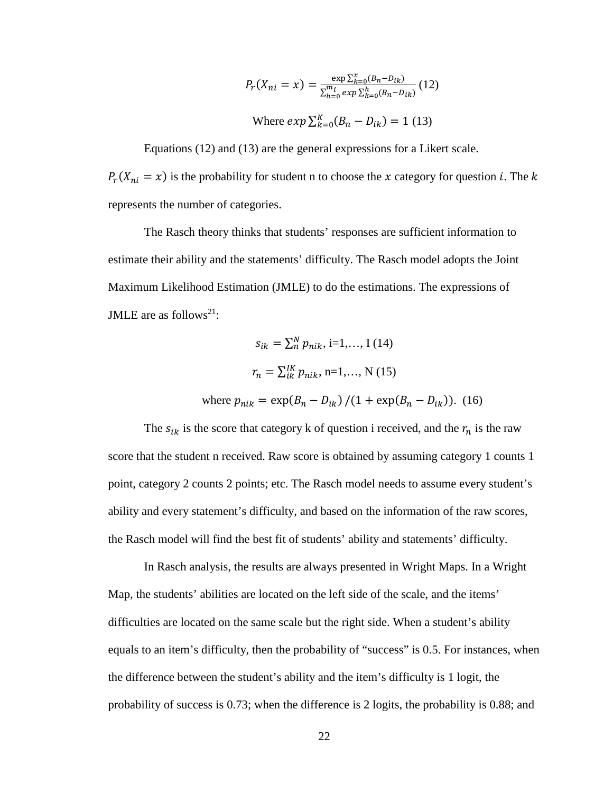$$
P_r(X_{ni} = x) = \frac{\exp \sum_{k=0}^{x} (B_n - D_{ik})}{\sum_{h=0}^{m_i} \exp \sum_{k=0}^{h} (B_n - D_{ik})} (12)
$$

Where 
$$
exp \sum_{k=0}^{K} (B_n - D_{ik}) = 1
$$
 (13)

Equations (12) and (13) are the general expressions for a Likert scale.  $P_r(X_{ni} = x)$  is the probability for student n to choose the x category for question *i*. The k represents the number of categories.

The Rasch theory thinks that students' responses are sufficient information to estimate their ability and the statements' difficulty. The Rasch model adopts the Joint Maximum Likelihood Estimation (JMLE) to do the estimations. The expressions of JMLE are as follows<sup>21</sup>:

$$
s_{ik} = \sum_{n}^{N} p_{nik}, i=1,..., I (14)
$$
  

$$
r_{n} = \sum_{ik}^{IK} p_{nik}, n=1,..., N (15)
$$
  
where  $p_{nik} = \exp(B_{n} - D_{ik}) / (1 + \exp(B_{n} - D_{ik}))$ . (16)

The  $s_{ik}$  is the score that category k of question i received, and the  $r_n$  is the raw score that the student n received. Raw score is obtained by assuming category 1 counts 1 point, category 2 counts 2 points; etc. The Rasch model needs to assume every student's ability and every statement's difficulty, and based on the information of the raw scores, the Rasch model will find the best fit of students' ability and statements' difficulty.

In Rasch analysis, the results are always presented in Wright Maps. In a Wright Map, the students' abilities are located on the left side of the scale, and the items' difficulties are located on the same scale but the right side. When a student's ability equals to an item's difficulty, then the probability of "success" is 0.5. For instances, when the difference between the student's ability and the item's difficulty is 1 logit, the probability of success is 0.73; when the difference is 2 logits, the probability is 0.88; and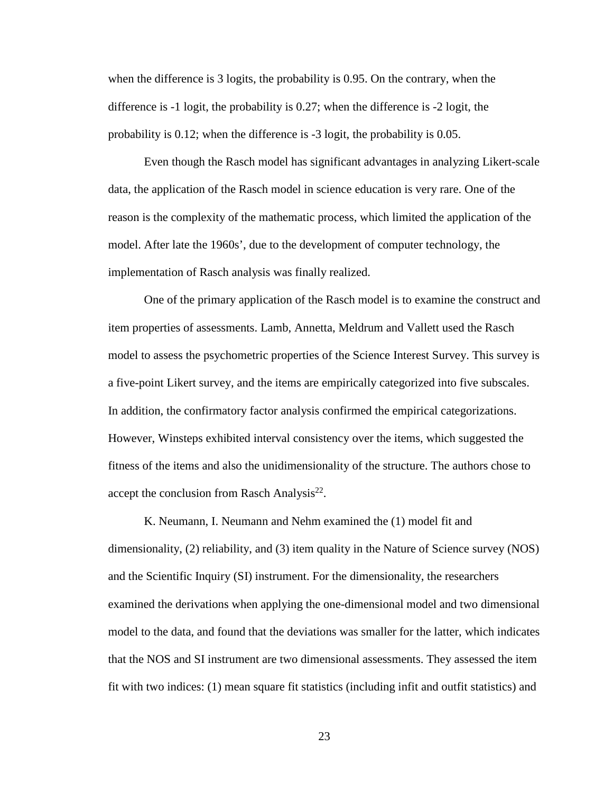when the difference is 3 logits, the probability is 0.95. On the contrary, when the difference is -1 logit, the probability is 0.27; when the difference is -2 logit, the probability is 0.12; when the difference is -3 logit, the probability is 0.05.

Even though the Rasch model has significant advantages in analyzing Likert-scale data, the application of the Rasch model in science education is very rare. One of the reason is the complexity of the mathematic process, which limited the application of the model. After late the 1960s', due to the development of computer technology, the implementation of Rasch analysis was finally realized.

One of the primary application of the Rasch model is to examine the construct and item properties of assessments. Lamb, Annetta, Meldrum and Vallett used the Rasch model to assess the psychometric properties of the Science Interest Survey. This survey is a five-point Likert survey, and the items are empirically categorized into five subscales. In addition, the confirmatory factor analysis confirmed the empirical categorizations. However, Winsteps exhibited interval consistency over the items, which suggested the fitness of the items and also the unidimensionality of the structure. The authors chose to accept the conclusion from Rasch Analysis<sup>22</sup>.

K. Neumann, I. Neumann and Nehm examined the (1) model fit and dimensionality, (2) reliability, and (3) item quality in the Nature of Science survey (NOS) and the Scientific Inquiry (SI) instrument. For the dimensionality, the researchers examined the derivations when applying the one-dimensional model and two dimensional model to the data, and found that the deviations was smaller for the latter, which indicates that the NOS and SI instrument are two dimensional assessments. They assessed the item fit with two indices: (1) mean square fit statistics (including infit and outfit statistics) and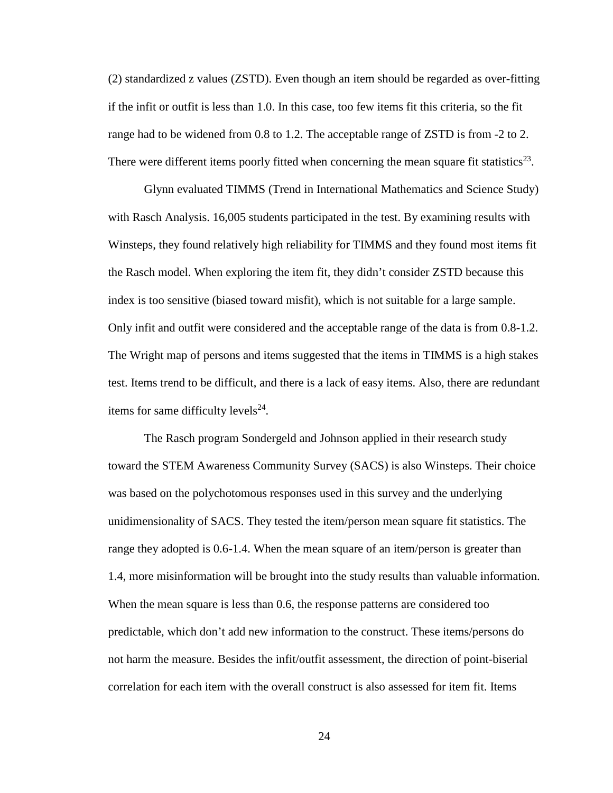(2) standardized z values (ZSTD). Even though an item should be regarded as over-fitting if the infit or outfit is less than 1.0. In this case, too few items fit this criteria, so the fit range had to be widened from 0.8 to 1.2. The acceptable range of ZSTD is from -2 to 2. There were different items poorly fitted when concerning the mean square fit statistics<sup>23</sup>.

Glynn evaluated TIMMS (Trend in International Mathematics and Science Study) with Rasch Analysis. 16,005 students participated in the test. By examining results with Winsteps, they found relatively high reliability for TIMMS and they found most items fit the Rasch model. When exploring the item fit, they didn't consider ZSTD because this index is too sensitive (biased toward misfit), which is not suitable for a large sample. Only infit and outfit were considered and the acceptable range of the data is from 0.8-1.2. The Wright map of persons and items suggested that the items in TIMMS is a high stakes test. Items trend to be difficult, and there is a lack of easy items. Also, there are redundant items for same difficulty levels $^{24}$ .

The Rasch program Sondergeld and Johnson applied in their research study toward the STEM Awareness Community Survey (SACS) is also Winsteps. Their choice was based on the polychotomous responses used in this survey and the underlying unidimensionality of SACS. They tested the item/person mean square fit statistics. The range they adopted is 0.6-1.4. When the mean square of an item/person is greater than 1.4, more misinformation will be brought into the study results than valuable information. When the mean square is less than 0.6, the response patterns are considered too predictable, which don't add new information to the construct. These items/persons do not harm the measure. Besides the infit/outfit assessment, the direction of point-biserial correlation for each item with the overall construct is also assessed for item fit. Items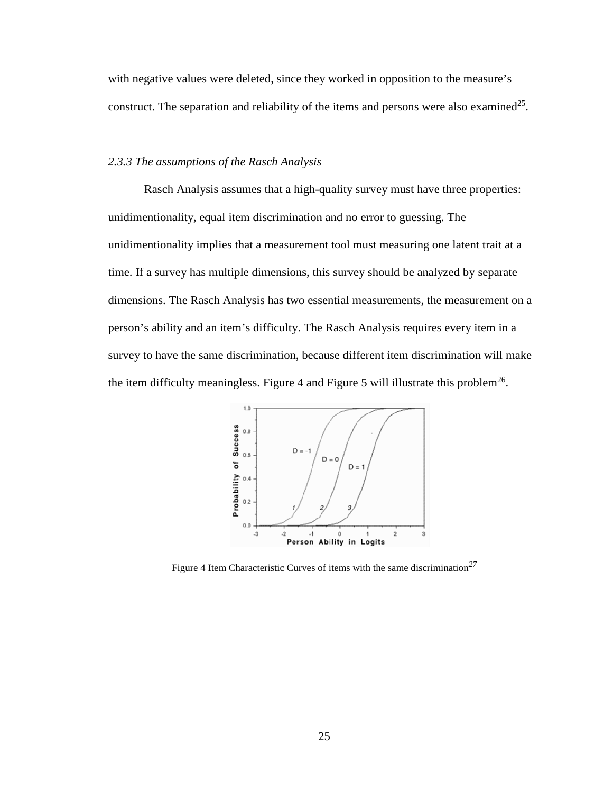with negative values were deleted, since they worked in opposition to the measure's construct. The separation and reliability of the items and persons were also examined<sup>25</sup>.

### *2.3.3 The assumptions of the Rasch Analysis*

Rasch Analysis assumes that a high-quality survey must have three properties: unidimentionality, equal item discrimination and no error to guessing. The unidimentionality implies that a measurement tool must measuring one latent trait at a time. If a survey has multiple dimensions, this survey should be analyzed by separate dimensions. The Rasch Analysis has two essential measurements, the measurement on a person's ability and an item's difficulty. The Rasch Analysis requires every item in a survey to have the same discrimination, because different item discrimination will make the item difficulty meaningless. Figure 4 and Figure 5 will illustrate this problem<sup>26</sup>.



Figure 4 Item Characteristic Curves of items with the same discrimination*<sup>27</sup>*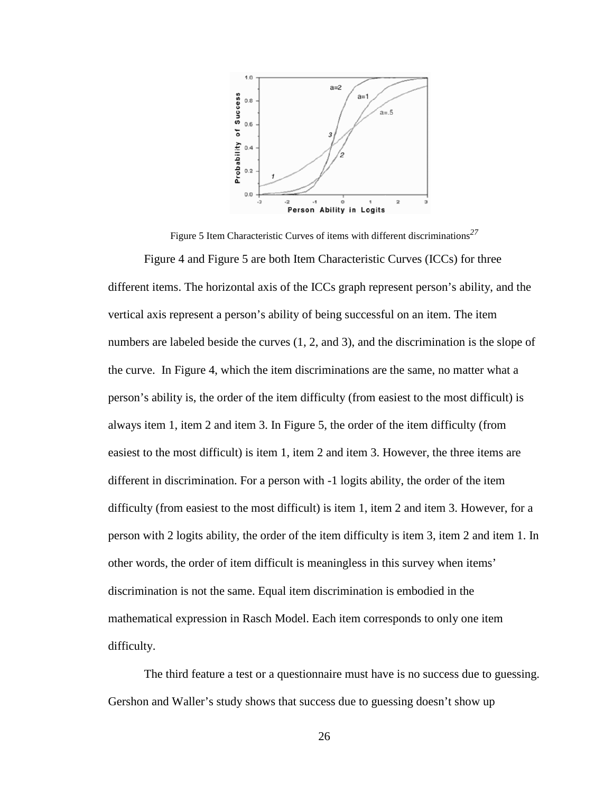

Figure 5 Item Characteristic Curves of items with different discriminations*<sup>27</sup>*

Figure 4 and Figure 5 are both Item Characteristic Curves (ICCs) for three different items. The horizontal axis of the ICCs graph represent person's ability, and the vertical axis represent a person's ability of being successful on an item. The item numbers are labeled beside the curves  $(1, 2,$  and 3), and the discrimination is the slope of the curve. In Figure 4, which the item discriminations are the same, no matter what a person's ability is, the order of the item difficulty (from easiest to the most difficult) is always item 1, item 2 and item 3. In Figure 5, the order of the item difficulty (from easiest to the most difficult) is item 1, item 2 and item 3. However, the three items are different in discrimination. For a person with -1 logits ability, the order of the item difficulty (from easiest to the most difficult) is item 1, item 2 and item 3. However, for a person with 2 logits ability, the order of the item difficulty is item 3, item 2 and item 1. In other words, the order of item difficult is meaningless in this survey when items' discrimination is not the same. Equal item discrimination is embodied in the mathematical expression in Rasch Model. Each item corresponds to only one item difficulty.

The third feature a test or a questionnaire must have is no success due to guessing. Gershon and Waller's study shows that success due to guessing doesn't show up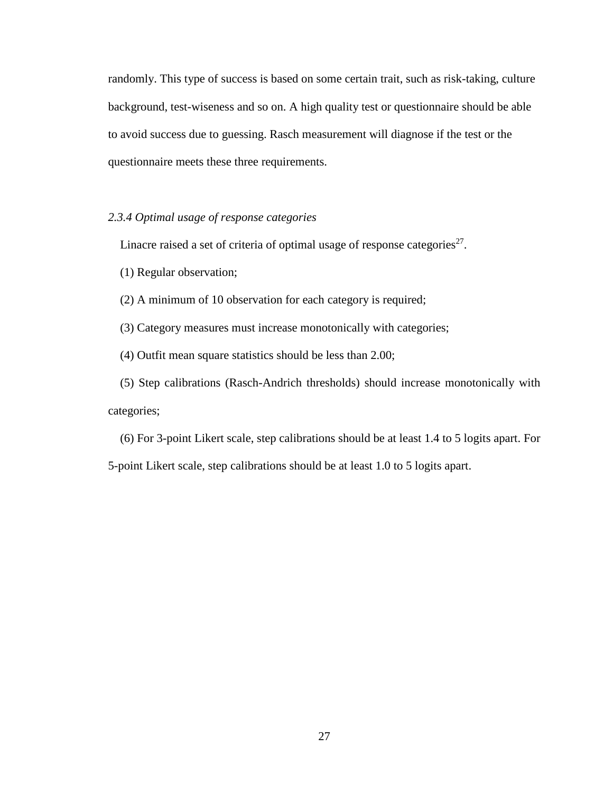randomly. This type of success is based on some certain trait, such as risk-taking, culture background, test-wiseness and so on. A high quality test or questionnaire should be able to avoid success due to guessing. Rasch measurement will diagnose if the test or the questionnaire meets these three requirements.

### *2.3.4 Optimal usage of response categories*

Linacre raised a set of criteria of optimal usage of response categories $^{27}$ .

(1) Regular observation;

(2) A minimum of 10 observation for each category is required;

(3) Category measures must increase monotonically with categories;

(4) Outfit mean square statistics should be less than 2.00;

(5) Step calibrations (Rasch-Andrich thresholds) should increase monotonically with categories;

(6) For 3-point Likert scale, step calibrations should be at least 1.4 to 5 logits apart. For 5-point Likert scale, step calibrations should be at least 1.0 to 5 logits apart.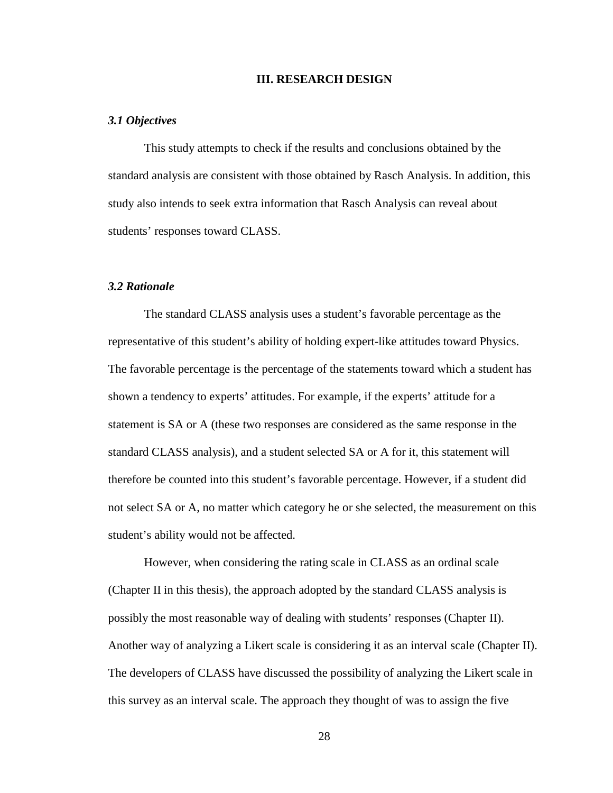#### **III. RESEARCH DESIGN**

#### *3.1 Objectives*

This study attempts to check if the results and conclusions obtained by the standard analysis are consistent with those obtained by Rasch Analysis. In addition, this study also intends to seek extra information that Rasch Analysis can reveal about students' responses toward CLASS.

### *3.2 Rationale*

The standard CLASS analysis uses a student's favorable percentage as the representative of this student's ability of holding expert-like attitudes toward Physics. The favorable percentage is the percentage of the statements toward which a student has shown a tendency to experts' attitudes. For example, if the experts' attitude for a statement is SA or A (these two responses are considered as the same response in the standard CLASS analysis), and a student selected SA or A for it, this statement will therefore be counted into this student's favorable percentage. However, if a student did not select SA or A, no matter which category he or she selected, the measurement on this student's ability would not be affected.

However, when considering the rating scale in CLASS as an ordinal scale (Chapter II in this thesis), the approach adopted by the standard CLASS analysis is possibly the most reasonable way of dealing with students' responses (Chapter II). Another way of analyzing a Likert scale is considering it as an interval scale (Chapter II). The developers of CLASS have discussed the possibility of analyzing the Likert scale in this survey as an interval scale. The approach they thought of was to assign the five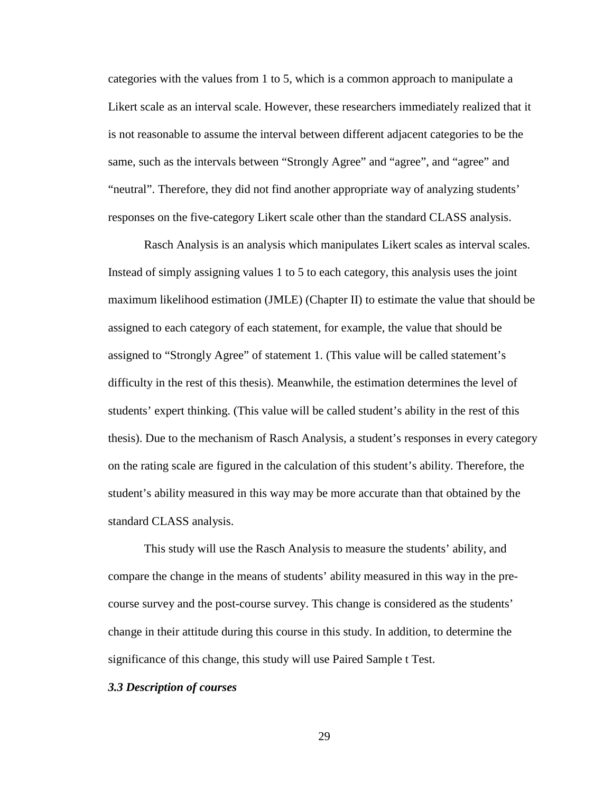categories with the values from 1 to 5, which is a common approach to manipulate a Likert scale as an interval scale. However, these researchers immediately realized that it is not reasonable to assume the interval between different adjacent categories to be the same, such as the intervals between "Strongly Agree" and "agree", and "agree" and "neutral". Therefore, they did not find another appropriate way of analyzing students' responses on the five-category Likert scale other than the standard CLASS analysis.

Rasch Analysis is an analysis which manipulates Likert scales as interval scales. Instead of simply assigning values 1 to 5 to each category, this analysis uses the joint maximum likelihood estimation (JMLE) (Chapter II) to estimate the value that should be assigned to each category of each statement, for example, the value that should be assigned to "Strongly Agree" of statement 1. (This value will be called statement's difficulty in the rest of this thesis). Meanwhile, the estimation determines the level of students' expert thinking. (This value will be called student's ability in the rest of this thesis). Due to the mechanism of Rasch Analysis, a student's responses in every category on the rating scale are figured in the calculation of this student's ability. Therefore, the student's ability measured in this way may be more accurate than that obtained by the standard CLASS analysis.

This study will use the Rasch Analysis to measure the students' ability, and compare the change in the means of students' ability measured in this way in the precourse survey and the post-course survey. This change is considered as the students' change in their attitude during this course in this study. In addition, to determine the significance of this change, this study will use Paired Sample t Test.

#### *3.3 Description of courses*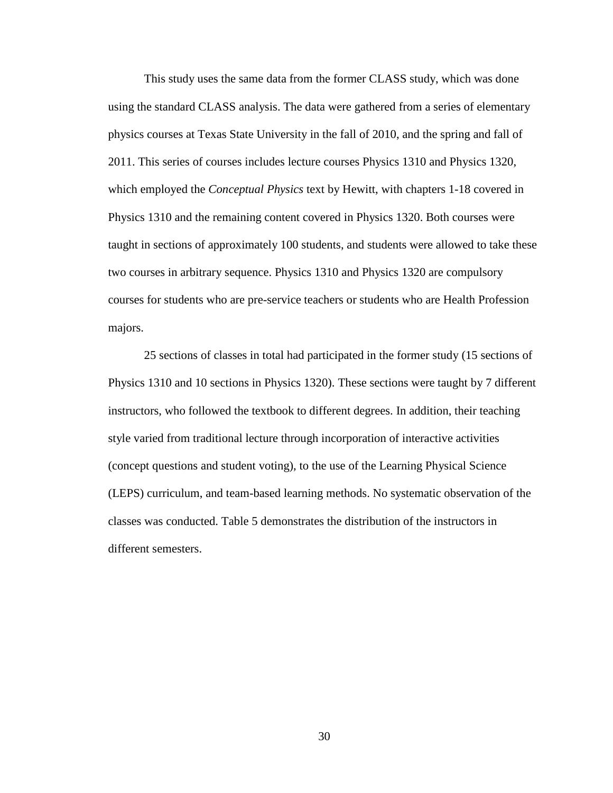This study uses the same data from the former CLASS study, which was done using the standard CLASS analysis. The data were gathered from a series of elementary physics courses at Texas State University in the fall of 2010, and the spring and fall of 2011. This series of courses includes lecture courses Physics 1310 and Physics 1320, which employed the *Conceptual Physics* text by Hewitt, with chapters 1-18 covered in Physics 1310 and the remaining content covered in Physics 1320. Both courses were taught in sections of approximately 100 students, and students were allowed to take these two courses in arbitrary sequence. Physics 1310 and Physics 1320 are compulsory courses for students who are pre-service teachers or students who are Health Profession majors.

25 sections of classes in total had participated in the former study (15 sections of Physics 1310 and 10 sections in Physics 1320). These sections were taught by 7 different instructors, who followed the textbook to different degrees. In addition, their teaching style varied from traditional lecture through incorporation of interactive activities (concept questions and student voting), to the use of the Learning Physical Science (LEPS) curriculum, and team-based learning methods. No systematic observation of the classes was conducted. Table 5 demonstrates the distribution of the instructors in different semesters.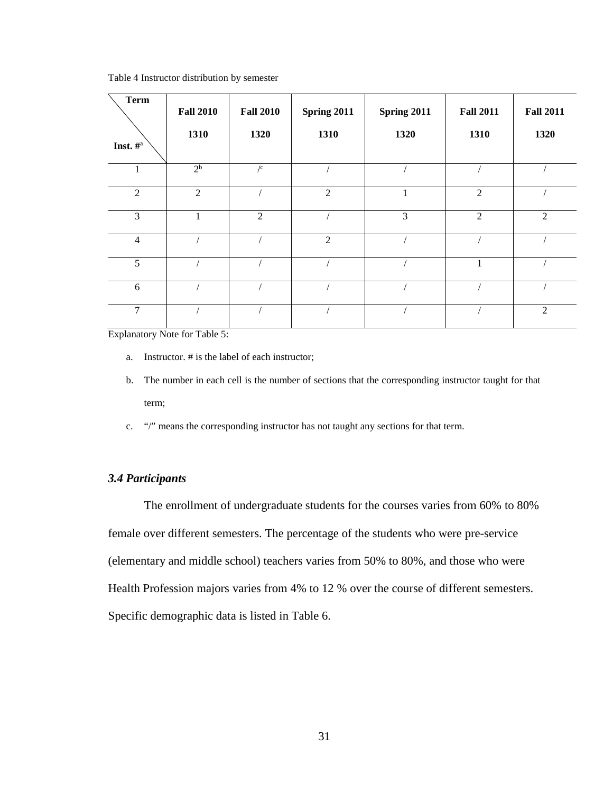| <b>Term</b><br>Inst. $\#^{\mathrm{a}}$ | <b>Fall 2010</b><br>1310 | <b>Fall 2010</b><br>1320 | Spring 2011<br>1310 | Spring 2011<br>1320 | <b>Fall 2011</b><br>1310 | <b>Fall 2011</b><br>1320 |
|----------------------------------------|--------------------------|--------------------------|---------------------|---------------------|--------------------------|--------------------------|
| $\mathbf{1}$                           | 2 <sup>b</sup>           | $\sqrt{c}$               |                     |                     |                          |                          |
| $\overline{2}$                         | $\overline{2}$           |                          | $\overline{2}$      | 1                   | $\overline{2}$           |                          |
| 3                                      | 1                        | $\overline{2}$           |                     | 3                   | $\overline{2}$           | 2                        |
| $\overline{4}$                         |                          |                          | $\overline{2}$      |                     |                          |                          |
| 5                                      |                          |                          |                     |                     |                          |                          |
| 6                                      |                          |                          |                     |                     |                          |                          |
| $\overline{7}$                         |                          |                          |                     |                     |                          | 2                        |

Table 4 Instructor distribution by semester

Explanatory Note for Table 5:

- a. Instructor. # is the label of each instructor;
- b. The number in each cell is the number of sections that the corresponding instructor taught for that term;
- c. "/" means the corresponding instructor has not taught any sections for that term.

### *3.4 Participants*

The enrollment of undergraduate students for the courses varies from 60% to 80% female over different semesters. The percentage of the students who were pre-service (elementary and middle school) teachers varies from 50% to 80%, and those who were Health Profession majors varies from 4% to 12 % over the course of different semesters. Specific demographic data is listed in Table 6.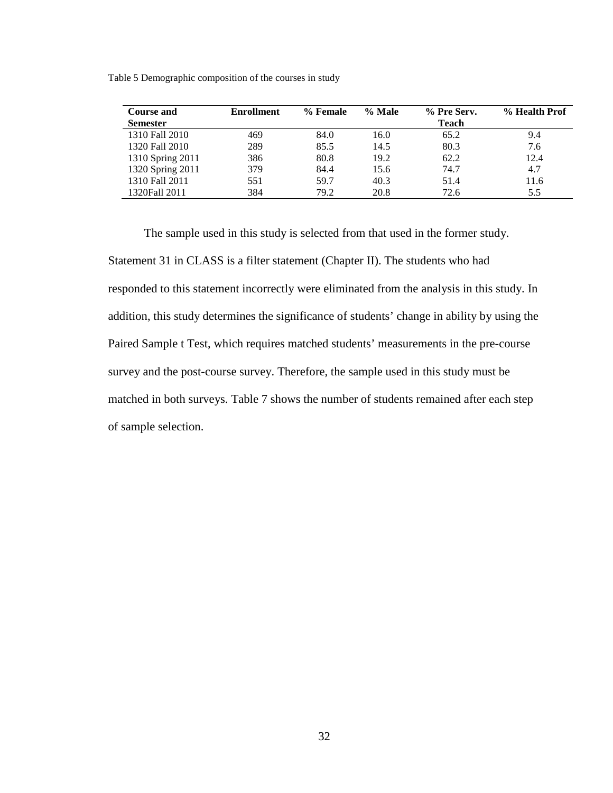| <b>Course and</b> | <b>Enrollment</b> | % Female | % Male | % Pre Serv.  | % Health Prof |
|-------------------|-------------------|----------|--------|--------------|---------------|
| <b>Semester</b>   |                   |          |        | <b>Teach</b> |               |
| 1310 Fall 2010    | 469               | 84.0     | 16.0   | 65.2         | 9.4           |
| 1320 Fall 2010    | 289               | 85.5     | 14.5   | 80.3         | 7.6           |
| 1310 Spring 2011  | 386               | 80.8     | 19.2   | 62.2         | 12.4          |
| 1320 Spring 2011  | 379               | 84.4     | 15.6   | 74.7         | 4.7           |
| 1310 Fall 2011    | 551               | 59.7     | 40.3   | 51.4         | 11.6          |
| 1320Fall 2011     | 384               | 79.2     | 20.8   | 72.6         | 5.5           |

Table 5 Demographic composition of the courses in study

The sample used in this study is selected from that used in the former study. Statement 31 in CLASS is a filter statement (Chapter II). The students who had responded to this statement incorrectly were eliminated from the analysis in this study. In addition, this study determines the significance of students' change in ability by using the Paired Sample t Test, which requires matched students' measurements in the pre-course survey and the post-course survey. Therefore, the sample used in this study must be matched in both surveys. Table 7 shows the number of students remained after each step of sample selection.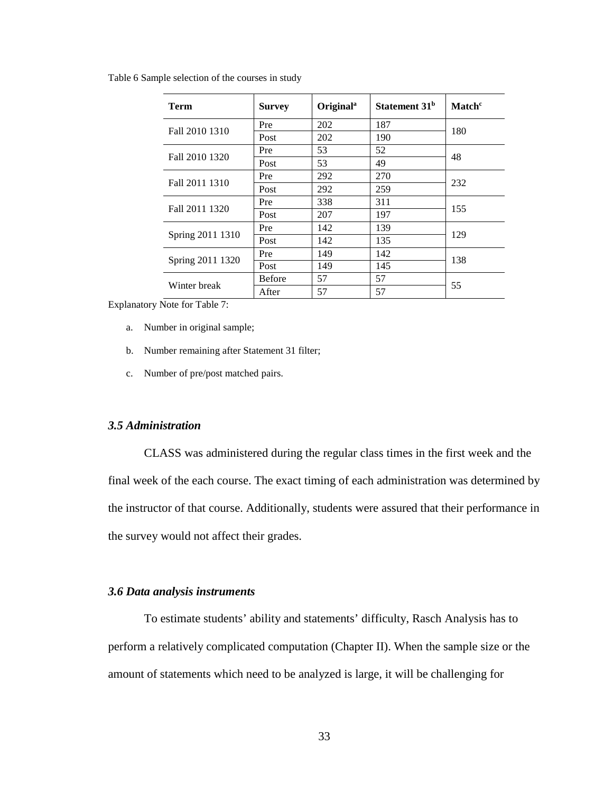Table 6 Sample selection of the courses in study

| Term             | <b>Survey</b> | Original <sup>a</sup> | Statement 31 <sup>b</sup> | Match <sup>c</sup> |  |
|------------------|---------------|-----------------------|---------------------------|--------------------|--|
| Fall 2010 1310   | Pre           | 202                   | 187                       | 180                |  |
|                  | Post          | 202                   | 190                       |                    |  |
| Fall 2010 1320   | Pre           | 53                    | 52                        |                    |  |
|                  | Post          | 53                    | 49                        | 48                 |  |
|                  | Pre           | 292                   | 270                       |                    |  |
| Fall 2011 1310   | Post          | 292                   | 259                       | 232                |  |
|                  | Pre           | 338                   | 311                       |                    |  |
| Fall 2011 1320   | Post          | 207                   | 197                       | 155                |  |
|                  | Pre           | 142                   | 139                       |                    |  |
| Spring 2011 1310 | Post          | 142                   | 135                       | 129                |  |
|                  | Pre           | 149                   | 142                       |                    |  |
| Spring 2011 1320 | Post          | 149                   | 145                       | 138                |  |
| Winter break     | <b>Before</b> | 57                    | 57                        |                    |  |
|                  | After         | 57                    | 57                        | 55                 |  |

Explanatory Note for Table 7:

- a. Number in original sample;
- b. Number remaining after Statement 31 filter;
- c. Number of pre/post matched pairs.

# *3.5 Administration*

CLASS was administered during the regular class times in the first week and the final week of the each course. The exact timing of each administration was determined by the instructor of that course. Additionally, students were assured that their performance in the survey would not affect their grades.

### *3.6 Data analysis instruments*

To estimate students' ability and statements' difficulty, Rasch Analysis has to perform a relatively complicated computation (Chapter II). When the sample size or the amount of statements which need to be analyzed is large, it will be challenging for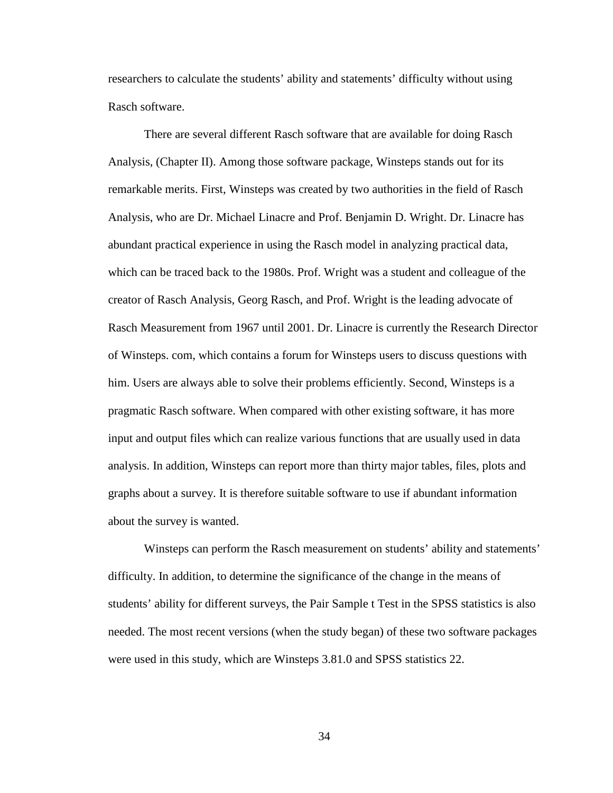researchers to calculate the students' ability and statements' difficulty without using Rasch software.

There are several different Rasch software that are available for doing Rasch Analysis, (Chapter II). Among those software package, Winsteps stands out for its remarkable merits. First, Winsteps was created by two authorities in the field of Rasch Analysis, who are Dr. Michael Linacre and Prof. Benjamin D. Wright. Dr. Linacre has abundant practical experience in using the Rasch model in analyzing practical data, which can be traced back to the 1980s. Prof. Wright was a student and colleague of the creator of Rasch Analysis, Georg Rasch, and Prof. Wright is the leading advocate of Rasch Measurement from 1967 until 2001. Dr. Linacre is currently the Research Director of Winsteps. com, which contains a forum for Winsteps users to discuss questions with him. Users are always able to solve their problems efficiently. Second, Winsteps is a pragmatic Rasch software. When compared with other existing software, it has more input and output files which can realize various functions that are usually used in data analysis. In addition, Winsteps can report more than thirty major tables, files, plots and graphs about a survey. It is therefore suitable software to use if abundant information about the survey is wanted.

Winsteps can perform the Rasch measurement on students' ability and statements' difficulty. In addition, to determine the significance of the change in the means of students' ability for different surveys, the Pair Sample t Test in the SPSS statistics is also needed. The most recent versions (when the study began) of these two software packages were used in this study, which are Winsteps 3.81.0 and SPSS statistics 22.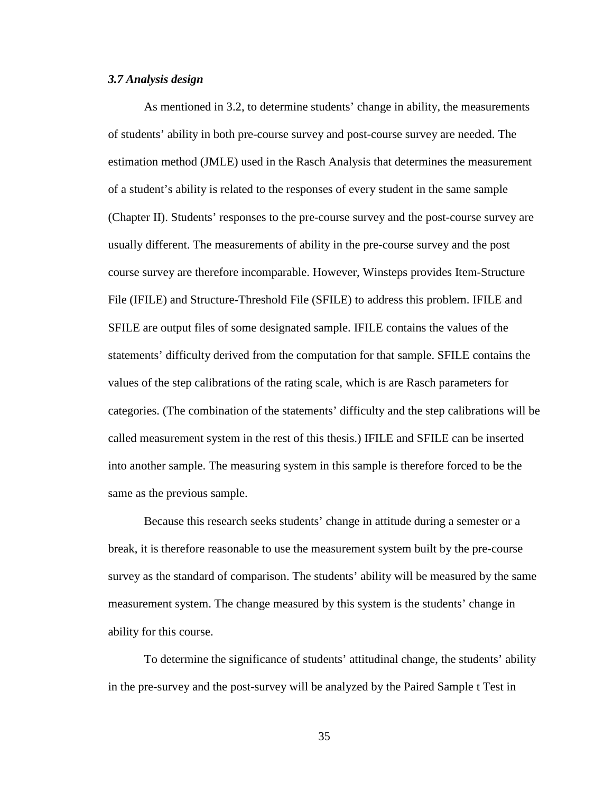#### *3.7 Analysis design*

As mentioned in 3.2, to determine students' change in ability, the measurements of students' ability in both pre-course survey and post-course survey are needed. The estimation method (JMLE) used in the Rasch Analysis that determines the measurement of a student's ability is related to the responses of every student in the same sample (Chapter II). Students' responses to the pre-course survey and the post-course survey are usually different. The measurements of ability in the pre-course survey and the post course survey are therefore incomparable. However, Winsteps provides Item-Structure File (IFILE) and Structure-Threshold File (SFILE) to address this problem. IFILE and SFILE are output files of some designated sample. IFILE contains the values of the statements' difficulty derived from the computation for that sample. SFILE contains the values of the step calibrations of the rating scale, which is are Rasch parameters for categories. (The combination of the statements' difficulty and the step calibrations will be called measurement system in the rest of this thesis.) IFILE and SFILE can be inserted into another sample. The measuring system in this sample is therefore forced to be the same as the previous sample.

Because this research seeks students' change in attitude during a semester or a break, it is therefore reasonable to use the measurement system built by the pre-course survey as the standard of comparison. The students' ability will be measured by the same measurement system. The change measured by this system is the students' change in ability for this course.

To determine the significance of students' attitudinal change, the students' ability in the pre-survey and the post-survey will be analyzed by the Paired Sample t Test in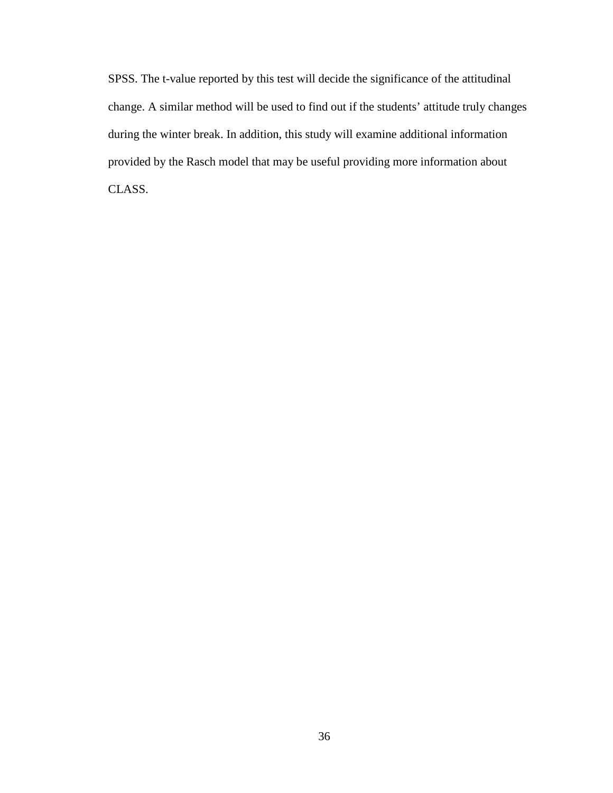SPSS. The t-value reported by this test will decide the significance of the attitudinal change. A similar method will be used to find out if the students' attitude truly changes during the winter break. In addition, this study will examine additional information provided by the Rasch model that may be useful providing more information about CLASS.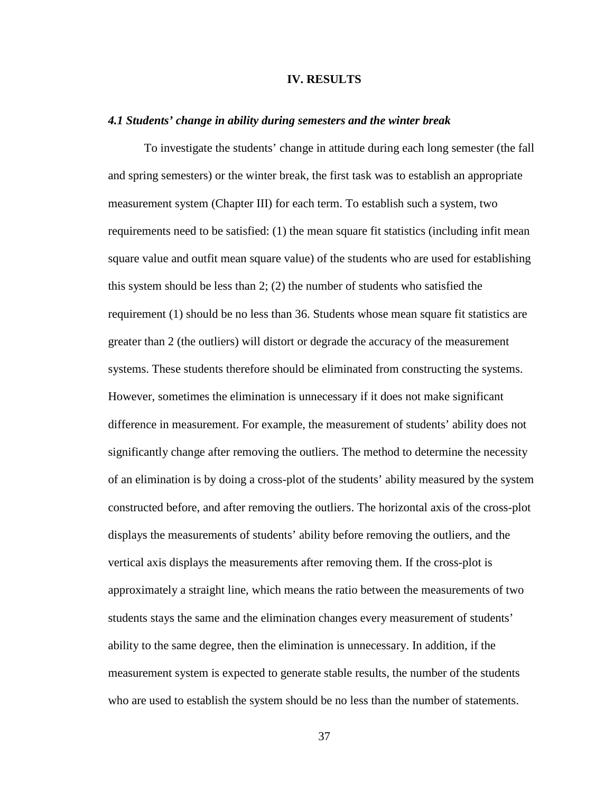### **IV. RESULTS**

### *4.1 Students' change in ability during semesters and the winter break*

To investigate the students' change in attitude during each long semester (the fall and spring semesters) or the winter break, the first task was to establish an appropriate measurement system (Chapter III) for each term. To establish such a system, two requirements need to be satisfied: (1) the mean square fit statistics (including infit mean square value and outfit mean square value) of the students who are used for establishing this system should be less than 2; (2) the number of students who satisfied the requirement (1) should be no less than 36. Students whose mean square fit statistics are greater than 2 (the outliers) will distort or degrade the accuracy of the measurement systems. These students therefore should be eliminated from constructing the systems. However, sometimes the elimination is unnecessary if it does not make significant difference in measurement. For example, the measurement of students' ability does not significantly change after removing the outliers. The method to determine the necessity of an elimination is by doing a cross-plot of the students' ability measured by the system constructed before, and after removing the outliers. The horizontal axis of the cross-plot displays the measurements of students' ability before removing the outliers, and the vertical axis displays the measurements after removing them. If the cross-plot is approximately a straight line, which means the ratio between the measurements of two students stays the same and the elimination changes every measurement of students' ability to the same degree, then the elimination is unnecessary. In addition, if the measurement system is expected to generate stable results, the number of the students who are used to establish the system should be no less than the number of statements.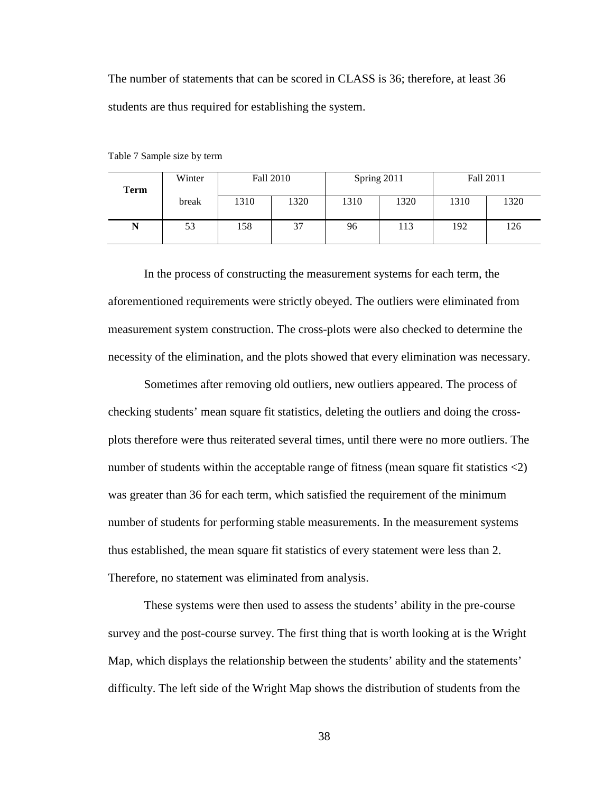The number of statements that can be scored in CLASS is 36; therefore, at least 36 students are thus required for establishing the system.

| Term | Winter                | Fall 2010 |      | Spring 2011 |      | Fall 2011 |     |
|------|-----------------------|-----------|------|-------------|------|-----------|-----|
|      | break<br>1320<br>1310 | 1310      | 1320 | 1310        | 1320 |           |     |
| N    | 53                    | 158       | 37   | 96          | 113  | 192       | 126 |

Table 7 Sample size by term

In the process of constructing the measurement systems for each term, the aforementioned requirements were strictly obeyed. The outliers were eliminated from measurement system construction. The cross-plots were also checked to determine the necessity of the elimination, and the plots showed that every elimination was necessary.

Sometimes after removing old outliers, new outliers appeared. The process of checking students' mean square fit statistics, deleting the outliers and doing the crossplots therefore were thus reiterated several times, until there were no more outliers. The number of students within the acceptable range of fitness (mean square fit statistics <2) was greater than 36 for each term, which satisfied the requirement of the minimum number of students for performing stable measurements. In the measurement systems thus established, the mean square fit statistics of every statement were less than 2. Therefore, no statement was eliminated from analysis.

These systems were then used to assess the students' ability in the pre-course survey and the post-course survey. The first thing that is worth looking at is the Wright Map, which displays the relationship between the students' ability and the statements' difficulty. The left side of the Wright Map shows the distribution of students from the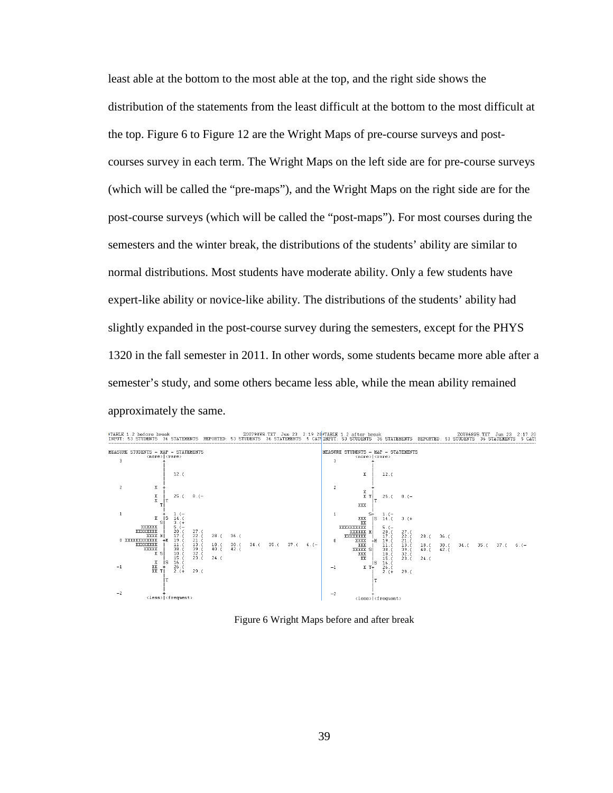least able at the bottom to the most able at the top, and the right side shows the distribution of the statements from the least difficult at the bottom to the most difficult at the top. Figure 6 to Figure 12 are the Wright Maps of pre-course surveys and postcourses survey in each term. The Wright Maps on the left side are for pre-course surveys (which will be called the "pre-maps"), and the Wright Maps on the right side are for the post-course surveys (which will be called the "post-maps"). For most courses during the semesters and the winter break, the distributions of the students' ability are similar to normal distributions. Most students have moderate ability. Only a few students have expert-like ability or novice-like ability. The distributions of the students' ability had slightly expanded in the post-course survey during the semesters, except for the PHYS 1320 in the fall semester in 2011. In other words, some students became more able after a semester's study, and some others became less able, while the mean ability remained approximately the same.



Figure 6 Wright Maps before and after break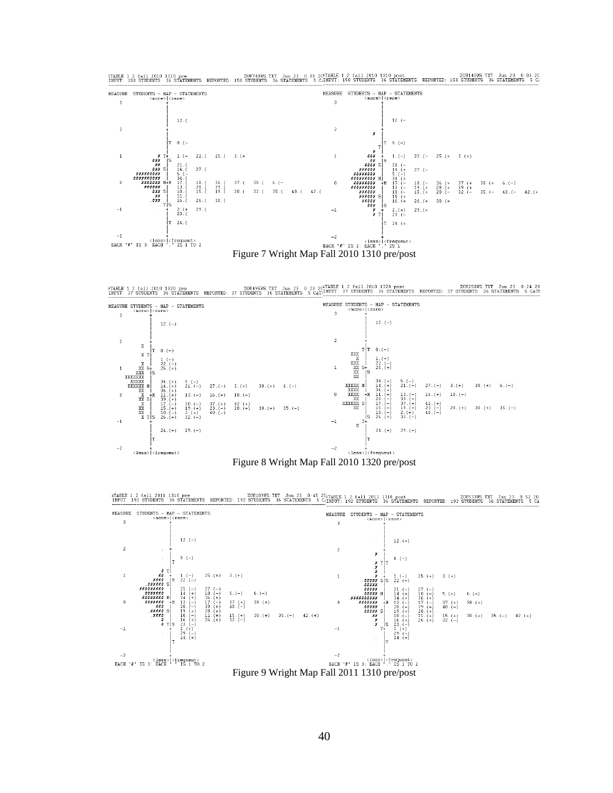

TABLE 1.2 fall 2010 1320 pre 20014954 20049545.TXT Jun 23 0:23 20<sup>2</sup>TABLE 1.2 fall 2010 1320 post 20025045.TXT Jun 23 0:24 20<br>INPUT: 37 STUDENTS 36 STATEMENTS REPORTED: 37 STUDENTS 36 STATEMENTS 5 CATE<sup>INPUT</sup>: 37 STUDENTS





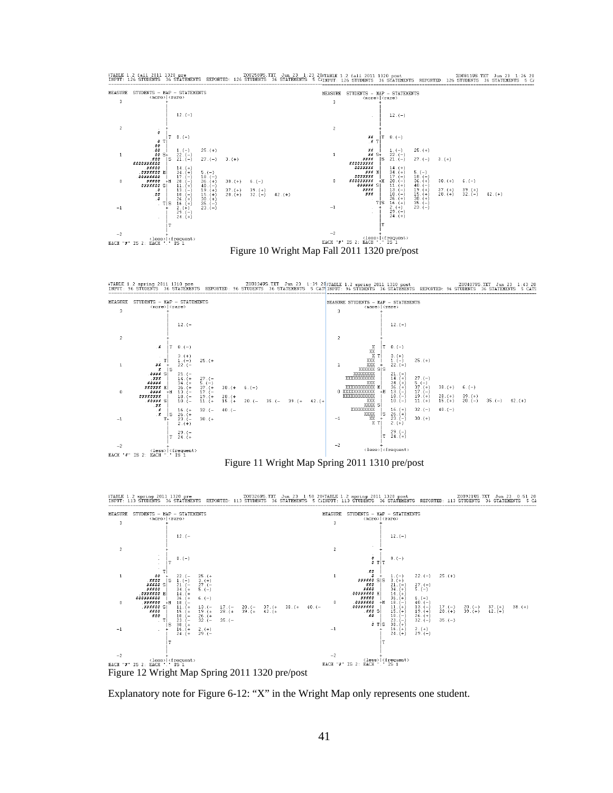



Figure 11 Wright Map Spring 2011 1310 pre/post

#TAELE 1.2 spring 2011 1320 pre<br>INPUT: 113 STUDENTS 36 STATENENTS REPORTED: 113 STUDENTS 36 STATENENTS 5 CINPUT: 113 STUDENTS 36 STATENENTS 45 STATENENTS 5 CA



Figure 12 Wright Map Spring 2011 1320 pre/post

Explanatory note for Figure 6-12: "X" in the Wright Map only represents one student.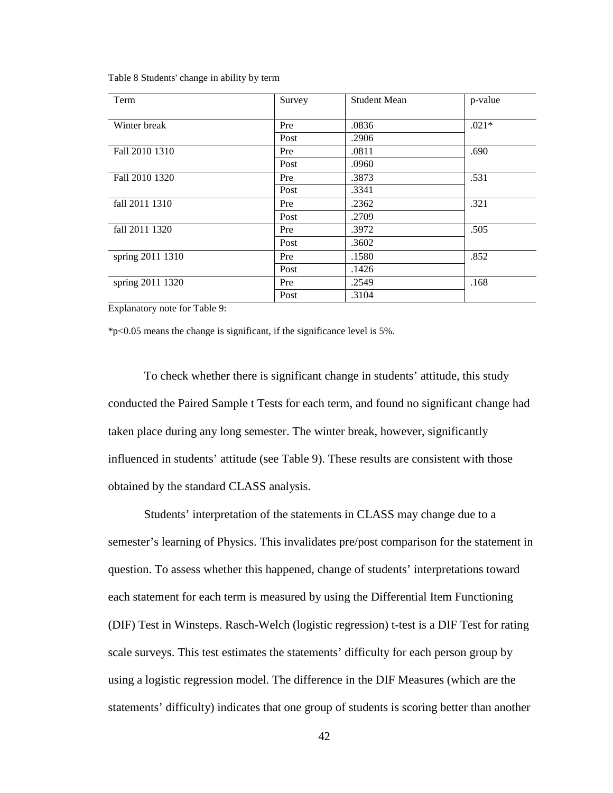Table 8 Students' change in ability by term

| Term             | Survey | <b>Student Mean</b> | p-value |
|------------------|--------|---------------------|---------|
| Winter break     | Pre    | .0836               | $.021*$ |
|                  | Post   | .2906               |         |
| Fall 2010 1310   | Pre    | .0811               | .690    |
|                  | Post   | .0960               |         |
| Fall 2010 1320   | Pre    | .3873               | .531    |
|                  | Post   | .3341               |         |
| fall 2011 1310   | Pre    | .2362               | .321    |
|                  | Post   | .2709               |         |
| fall 2011 1320   | Pre    | .3972               | .505    |
|                  | Post   | .3602               |         |
| spring 2011 1310 | Pre    | .1580               | .852    |
|                  | Post   | .1426               |         |
| spring 2011 1320 | Pre    | .2549               | .168    |
|                  | Post   | .3104               |         |

Explanatory note for Table 9:

\*p<0.05 means the change is significant, if the significance level is 5%.

To check whether there is significant change in students' attitude, this study conducted the Paired Sample t Tests for each term, and found no significant change had taken place during any long semester. The winter break, however, significantly influenced in students' attitude (see Table 9). These results are consistent with those obtained by the standard CLASS analysis.

Students' interpretation of the statements in CLASS may change due to a semester's learning of Physics. This invalidates pre/post comparison for the statement in question. To assess whether this happened, change of students' interpretations toward each statement for each term is measured by using the Differential Item Functioning (DIF) Test in Winsteps. Rasch-Welch (logistic regression) t-test is a DIF Test for rating scale surveys. This test estimates the statements' difficulty for each person group by using a logistic regression model. The difference in the DIF Measures (which are the statements' difficulty) indicates that one group of students is scoring better than another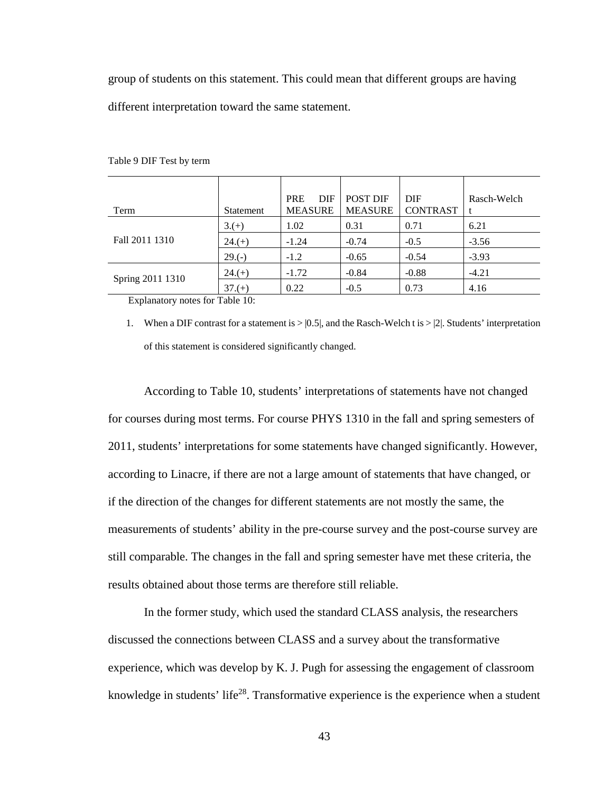group of students on this statement. This could mean that different groups are having different interpretation toward the same statement.

| Term             | Statement | <b>DIF</b><br><b>PRE</b><br><b>MEASURE</b> | <b>POST DIF</b><br><b>MEASURE</b> | <b>DIF</b><br><b>CONTRAST</b> | Rasch-Welch |
|------------------|-----------|--------------------------------------------|-----------------------------------|-------------------------------|-------------|
|                  | $3.(+)$   | 1.02                                       | 0.31                              | 0.71                          | 6.21        |
| Fall 2011 1310   | $24.(+)$  | $-1.24$                                    | $-0.74$                           | $-0.5$                        | $-3.56$     |
|                  | $29.(-)$  | $-1.2$                                     | $-0.65$                           | $-0.54$                       | $-3.93$     |
|                  | $24.(+)$  | $-1.72$                                    | $-0.84$                           | $-0.88$                       | $-4.21$     |
| Spring 2011 1310 | $37.(+)$  | 0.22                                       | $-0.5$                            | 0.73                          | 4.16        |

Table 9 DIF Test by term

Explanatory notes for Table 10:

1. When a DIF contrast for a statement is  $> |0.5|$ , and the Rasch-Welch t is  $> |2|$ . Students' interpretation of this statement is considered significantly changed.

According to Table 10, students' interpretations of statements have not changed for courses during most terms. For course PHYS 1310 in the fall and spring semesters of 2011, students' interpretations for some statements have changed significantly. However, according to Linacre, if there are not a large amount of statements that have changed, or if the direction of the changes for different statements are not mostly the same, the measurements of students' ability in the pre-course survey and the post-course survey are still comparable. The changes in the fall and spring semester have met these criteria, the results obtained about those terms are therefore still reliable.

In the former study, which used the standard CLASS analysis, the researchers discussed the connections between CLASS and a survey about the transformative experience, which was develop by K. J. Pugh for assessing the engagement of classroom knowledge in students' life<sup>28</sup>. Transformative experience is the experience when a student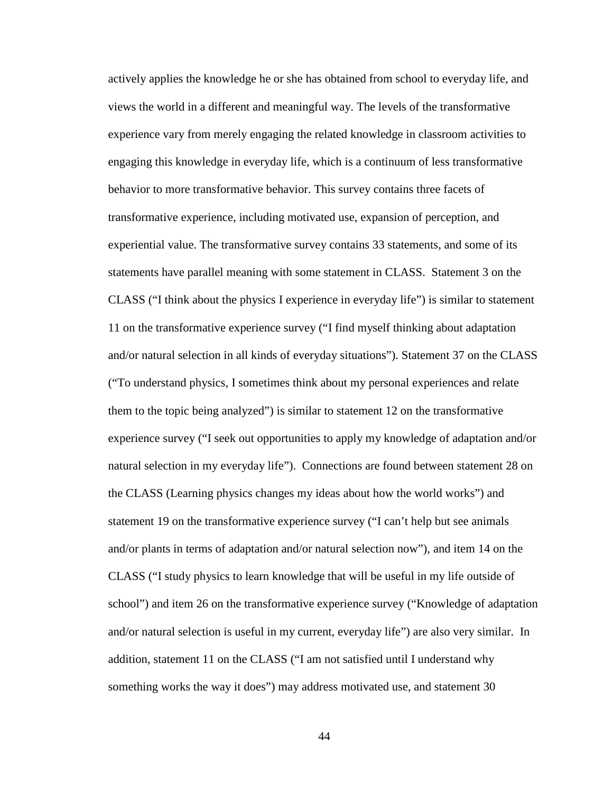actively applies the knowledge he or she has obtained from school to everyday life, and views the world in a different and meaningful way. The levels of the transformative experience vary from merely engaging the related knowledge in classroom activities to engaging this knowledge in everyday life, which is a continuum of less transformative behavior to more transformative behavior. This survey contains three facets of transformative experience, including motivated use, expansion of perception, and experiential value. The transformative survey contains 33 statements, and some of its statements have parallel meaning with some statement in CLASS. Statement 3 on the CLASS ("I think about the physics I experience in everyday life") is similar to statement 11 on the transformative experience survey ("I find myself thinking about adaptation and/or natural selection in all kinds of everyday situations"). Statement 37 on the CLASS ("To understand physics, I sometimes think about my personal experiences and relate them to the topic being analyzed") is similar to statement 12 on the transformative experience survey ("I seek out opportunities to apply my knowledge of adaptation and/or natural selection in my everyday life"). Connections are found between statement 28 on the CLASS (Learning physics changes my ideas about how the world works") and statement 19 on the transformative experience survey ("I can't help but see animals and/or plants in terms of adaptation and/or natural selection now"), and item 14 on the CLASS ("I study physics to learn knowledge that will be useful in my life outside of school") and item 26 on the transformative experience survey ("Knowledge of adaptation and/or natural selection is useful in my current, everyday life") are also very similar. In addition, statement 11 on the CLASS ("I am not satisfied until I understand why something works the way it does") may address motivated use, and statement 30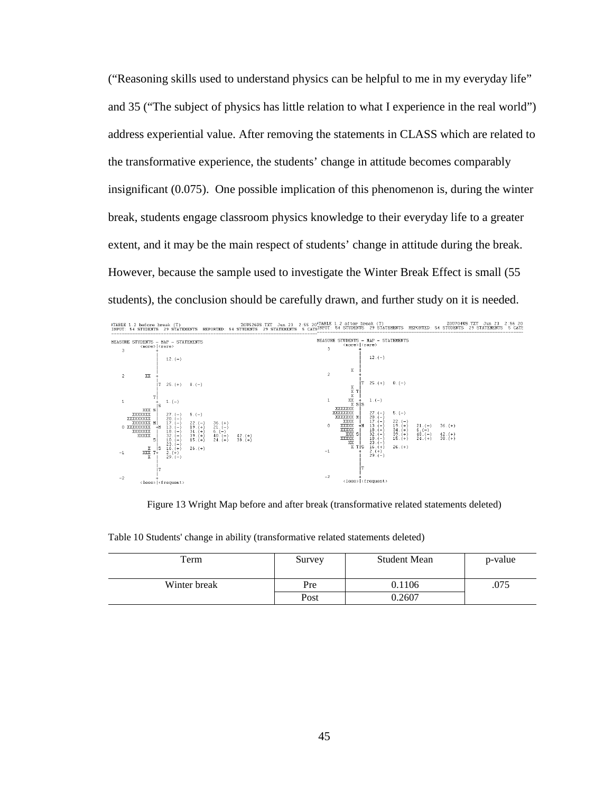("Reasoning skills used to understand physics can be helpful to me in my everyday life" and 35 ("The subject of physics has little relation to what I experience in the real world") address experiential value. After removing the statements in CLASS which are related to the transformative experience, the students' change in attitude becomes comparably insignificant (0.075). One possible implication of this phenomenon is, during the winter break, students engage classroom physics knowledge to their everyday life to a greater extent, and it may be the main respect of students' change in attitude during the break. However, because the sample used to investigate the Winter Break Effect is small (55 students), the conclusion should be carefully drawn, and further study on it is needed.



Figure 13 Wright Map before and after break (transformative related statements deleted)

| Term         | Survey | <b>Student Mean</b> | p-value |
|--------------|--------|---------------------|---------|
| Winter break | Pre    | 0.1106              | .075    |
|              | Post   | 0.2607              |         |

Table 10 Students' change in ability (transformative related statements deleted)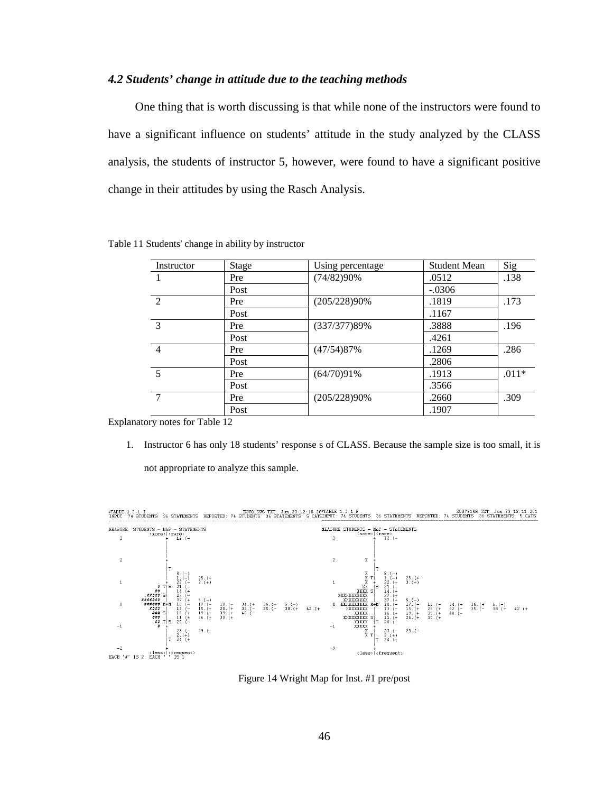### *4.2 Students' change in attitude due to the teaching methods*

 One thing that is worth discussing is that while none of the instructors were found to have a significant influence on students' attitude in the study analyzed by the CLASS analysis, the students of instructor 5, however, were found to have a significant positive change in their attitudes by using the Rasch Analysis.

| Instructor     | <b>Stage</b> | Using percentage | <b>Student Mean</b> | Sig     |
|----------------|--------------|------------------|---------------------|---------|
|                | Pre          | (74/82)90%       | .0512               | .138    |
|                | Post         |                  | $-.0306$            |         |
| $\mathcal{D}$  | Pre          | (205/228)90%     | .1819               | .173    |
|                | Post         |                  | .1167               |         |
| $\mathcal{E}$  | Pre          | (337/377)89%     | .3888               | .196    |
|                | Post         |                  | .4261               |         |
| $\overline{4}$ | Pre          | (47/54)87%       | .1269               | .286    |
|                | Post         |                  | .2806               |         |
| 5              | Pre          | (64/70)91%       | .1913               | $.011*$ |
|                | Post         |                  | .3566               |         |
| 7              | Pre          | (205/228)90%     | .2660               | .309    |
|                | Post         |                  | .1907               |         |

Table 11 Students' change in ability by instructor

Explanatory notes for Table 12

1. Instructor 6 has only 18 students' response s of CLASS. Because the sample size is too small, it is not appropriate to analyze this sample.

TABLE 1.2 1-I ZOU8145 TXT Jun 23 12:11 2013 12:11 201815 1.2 1-F<br>INPUT: 74 STUDENTS 36 STATEMENTS REPORTED: 74 STUDENTS 36 STATEMENTS 5 CATEINPUT: 74 STUDENTS 36 STATEMENTS 36



Figure 14 Wright Map for Inst. #1 pre/post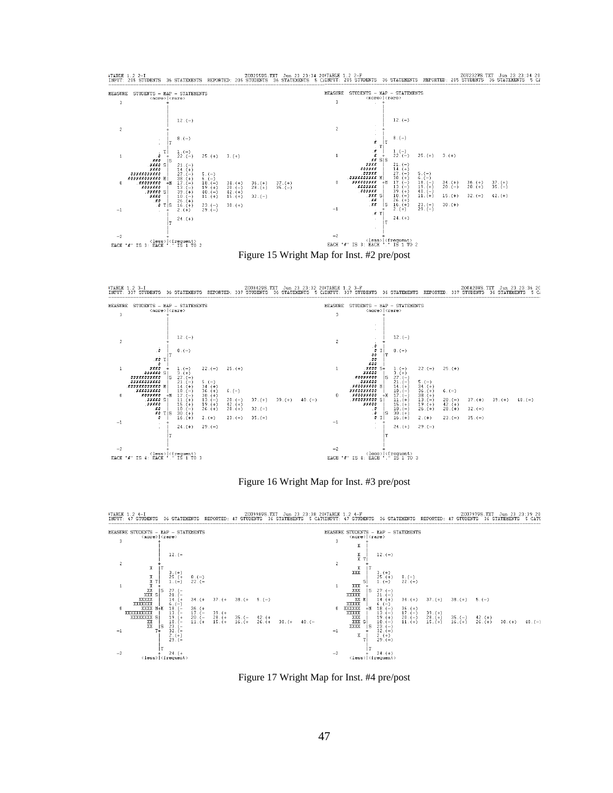

TABLE 1.2 2-I ZOU232WS.TKT Jun 23 23:34 201255WS.TKT Jun 23 23:34 20FTABLE 1.2 2-F<br>INPUT: 205 STUDENTS 36 STATEMENTS REPORTED: 205 STUDENTS 36 STATEMENTS 5 CANPUT: 205 STUDENTS 36 STATEMENTS 50

TABLE 1.2 3-I ZOU420WS.TXT JUN 23 23:36 20 ZOU420WS.TXT JUN 23 23:36 20 ZOU420WS.TXT JUN 23 23:36 20 ZOU420WS<br>TNPUT: 337 STUDENTS 199 STUDENTS 36 STATEMENTS 5 CATEMENTS 5 CATEMENTS 337 STUDENTS 36 STATEMENTS DEPORTED: 337



Figure 16 Wright Map for Inst. #3 pre/post

#TABLE 1.2 4-I UPP THE STATE MEET TO STATE ON THE 23 23 38 204TABLE 1.2 4-F THE STATEMENTS REPORTED: 47 STUDENTS 36 STATEMENTS 5 CATS.<br>INPUT: 47 STUDENTS 36 STATEMENTS REPORTED: 47 STUDENTS 36 STATEMENTS \$6 CATSINPUT: 47 S



Figure 17 Wright Map for Inst. #4 pre/post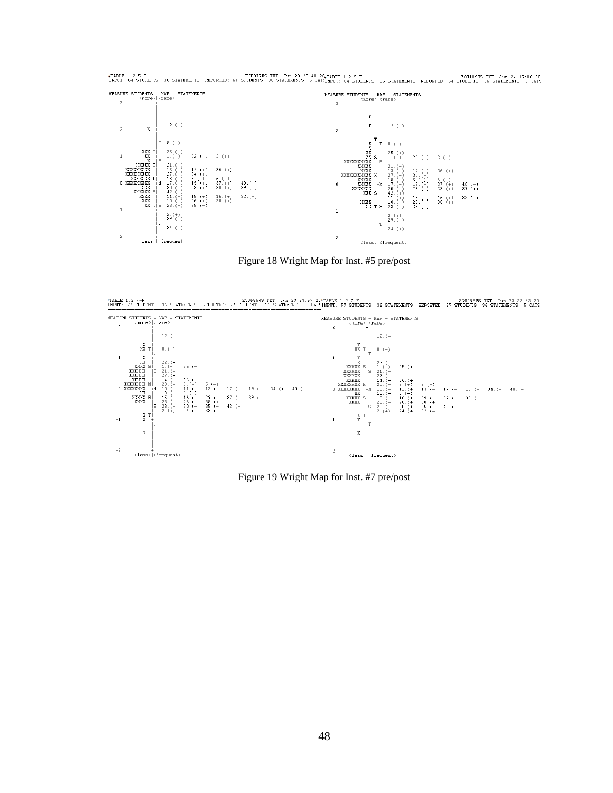$\begin{array}{rcl} \texttt{HEASURE STUDENTS} & - \texttt{MAP} & - \texttt{STATEMENTS} \\ & & \langle \texttt{more} \rangle \, | \, \langle \texttt{rare} \rangle \end{array}$ MEASURE STUDENTS - MAP - STATEMENTS  $\overline{\mathbf{3}}$  $\bar{3}$  $\mathtt{X}$  $12.(-)$  $\rm X$  $12.(-)$  $\overline{2}$  $\bar{\rm x}$  $\overline{\mathbf{2}}$  $\theta$  .  $(-)$  $8.(-)$  $\begin{bmatrix} \texttt{1} & \texttt{x} \\ \texttt{x} & \texttt{x} \\ \texttt{x} & \texttt{x} \\ \texttt{x} & \texttt{x} \\ \texttt{x} & \texttt{x} \\ \texttt{x} & \texttt{x} \\ \texttt{x} & \texttt{x} \\ \texttt{x} & \texttt{x} \\ \texttt{x} & \texttt{x} \\ \texttt{x} & \texttt{x} \\ \texttt{x} & \texttt{x} \\ \texttt{x} & \texttt{x} \\ \texttt{x} & \texttt{x} \\ \texttt{x} & \texttt{x} \\ \texttt{x} & \texttt{x} \\ \texttt{x} & \texttt{x} \\ \texttt{x} & \texttt{x} \\ \texttt{x} & \texttt$ İт  $25(+)$ <br>1.  $(-)$  $\begin{array}{r|l} \texttt{1} & \texttt{XXX} & \texttt{T} \\ \texttt{1} & \texttt{XXX} & \texttt{S} \\ & \texttt{XXXXXXX} & \texttt{S} \\ & \texttt{XXXXXXX} & \texttt{S} \\ & \texttt{XXXXXXX} & \texttt{S} \\ \texttt{0} & \texttt{XXXXXXX} & \texttt{S} \\ & \texttt{0} & \texttt{XXXXXX} & \texttt{S} \\ & \texttt{XXXXXX} & \texttt{S} \\ & \texttt{XXX} & \texttt{S} \\ & \texttt{XXX} & \texttt{S} \\ \texttt{0} & \texttt{XXX} & \texttt{S}$  $25.(+)$ <br>1. (-)  $22.(-)$  $3.(+)$  $22.(-)$  $3.(+)$  $\,1\,$  $\begin{array}{c} 1. ~ (-) \\ 21. ~ (-) \\ 27. ~ (-) \\ 27. ~ (-) \\ 18. ~ (-) \\ 17. ~ (-) \\ 20. ~ (-) \\ 42. ~ (+) \\ 11. ~ (+) \\ 23. ~ (-) \end{array}$ js  $\begin{array}{c} 21. (-) \\ 27. (-) \\ 27. (-) \\ 17. (-) \\ 20. (-) \\ 42. (+) \\ 11. (+) \\ 23. (-) \end{array}$  $\frac{14}{34}$ . (+)  $36. (+)$  $36. (+)$  $14.(+)$ <br> $34.(+)$ мİ  $5.(-)$ <br>19.(+)<br>28.(+)  $6. (-)$ <br>  $37. (+)$ <br>  $38. (+)$  $\begin{array}{c} 6 \\ 37 \\ 38 \\ (+) \end{array}$  $5. (-)$ <br>  $19. (+)$ <br>  $28. (+)$  $+<sup>M</sup>$  $\begin{array}{c} 40. (-) \\ 39. (+) \end{array}$  $\mathbf{0}$  $\begin{smallmatrix} 4\,0 \\ 3\,9 \\ (-1)^2 \end{smallmatrix}$  $\begin{array}{c} 15 \cdot (+) \\ 26 \cdot (+) \\ 35 \cdot (-) \end{array}$  $\begin{smallmatrix} 15 \ , \ 26 \ , \ (+) \\ 35 \ . \ (-) \end{smallmatrix}$  $32.(-)$  $\frac{16}{30}$ . (+)  $\frac{16}{30}$ . (+)  $32$  ,  $(-)$  $\begin{array}{c} \mathtt{XXX} \mathtt{X} \mathtt{X} \mathtt{X} \mathtt{X} \mathtt{X} \mathtt{X} \mathtt{X} \mathtt{X} \mathtt{X} \mathtt{X} \mathtt{X} \mathtt{X} \mathtt{X} \mathtt{X} \mathtt{X} \mathtt{X} \mathtt{X} \mathtt{X} \mathtt{X} \mathtt{X} \mathtt{X} \mathtt{X} \mathtt{X} \mathtt{X} \mathtt{X} \mathtt{X} \mathtt{X} \mathtt{X} \mathtt{X} \mathtt{X} \mathtt{X} \mathtt{X} \mathtt{X} \mathtt{X} \mathtt$ r|s  $^{-1}$  $\frac{2}{29}$ , (+)  $2. (+)$ <br>29.  $(-)$  $\mathsf{T}$  $24.(+)$  $24. (+)$  $-2$  $-2$  $\frac{1}{\text{cases}}$  (frequent)  $\frac{1}{\text{cases}}$  (frequent)

FIABLE 1.2 5-I ZOULOFVE TRE JUDITY STATE JUNITY ON 23 23:40 204TABLE 1.2 5-F 4 STATEMENTS 20110995.TXT Jun 24 15:08 20 AVEVT: 64 STATEMENTS 36 STATEMENTS 5 CATE

Figure 18 Wright Map for Inst. #5 pre/post

TABLE 1.2 7-F 200796WS.TXT Jun 23 23:43 20 200655WS.TXT Jun 23 23:57 20¥TABLE 1.2 7-F 200726WS.TXT Jun 23 23:43<br>INPUT: 57 STUDENTS 36 STATEMENTS 36 STATEMENTS 5 CATE: 57 STUDENTS 36 STATEMENTS REPORTED: 57 STUDENTS 36 STAT



Figure 19 Wright Map for Inst. #7 pre/post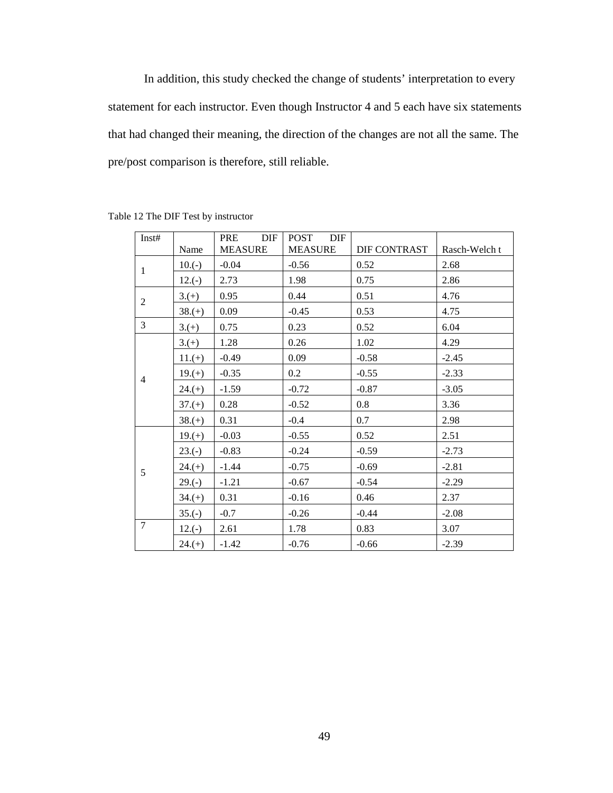In addition, this study checked the change of students' interpretation to every statement for each instructor. Even though Instructor 4 and 5 each have six statements that had changed their meaning, the direction of the changes are not all the same. The pre/post comparison is therefore, still reliable.

| Inst#          | Name     | DIF<br>PRE<br><b>MEASURE</b> | POST<br>DIF<br><b>MEASURE</b> | DIF CONTRAST | Rasch-Welch t |
|----------------|----------|------------------------------|-------------------------------|--------------|---------------|
|                | $10.(-)$ | $-0.04$                      | $-0.56$                       | 0.52         | 2.68          |
| $\mathbf{1}$   | $12.(-)$ | 2.73                         | 1.98                          | 0.75         | 2.86          |
|                | $3.(+)$  | 0.95                         | 0.44                          | 0.51         | 4.76          |
| $\overline{2}$ | $38.(+)$ | 0.09                         | $-0.45$                       | 0.53         | 4.75          |
| 3              | $3.(+)$  | 0.75                         | 0.23                          | 0.52         | 6.04          |
|                | $3(+)$   | 1.28                         | 0.26                          | 1.02         | 4.29          |
|                | $11.(+)$ | $-0.49$                      | 0.09                          | $-0.58$      | $-2.45$       |
| $\overline{4}$ | $19.(+)$ | $-0.35$                      | 0.2                           | $-0.55$      | $-2.33$       |
|                | $24.(+)$ | $-1.59$                      | $-0.72$                       | $-0.87$      | $-3.05$       |
|                | $37.(+)$ | 0.28                         | $-0.52$                       | 0.8          | 3.36          |
|                | $38.(+)$ | 0.31                         | $-0.4$                        | 0.7          | 2.98          |
|                | $19.(+)$ | $-0.03$                      | $-0.55$                       | 0.52         | 2.51          |
|                | $23.(-)$ | $-0.83$                      | $-0.24$                       | $-0.59$      | $-2.73$       |
| 5              | $24.(+)$ | $-1.44$                      | $-0.75$                       | $-0.69$      | $-2.81$       |
|                | $29.(-)$ | $-1.21$                      | $-0.67$                       | $-0.54$      | $-2.29$       |
|                | $34.(+)$ | 0.31                         | $-0.16$                       | 0.46         | 2.37          |
|                | $35.(-)$ | $-0.7$                       | $-0.26$                       | $-0.44$      | $-2.08$       |
| $\overline{7}$ | $12.(-)$ | 2.61                         | 1.78                          | 0.83         | 3.07          |
|                | $24.(+)$ | $-1.42$                      | $-0.76$                       | $-0.66$      | $-2.39$       |

Table 12 The DIF Test by instructor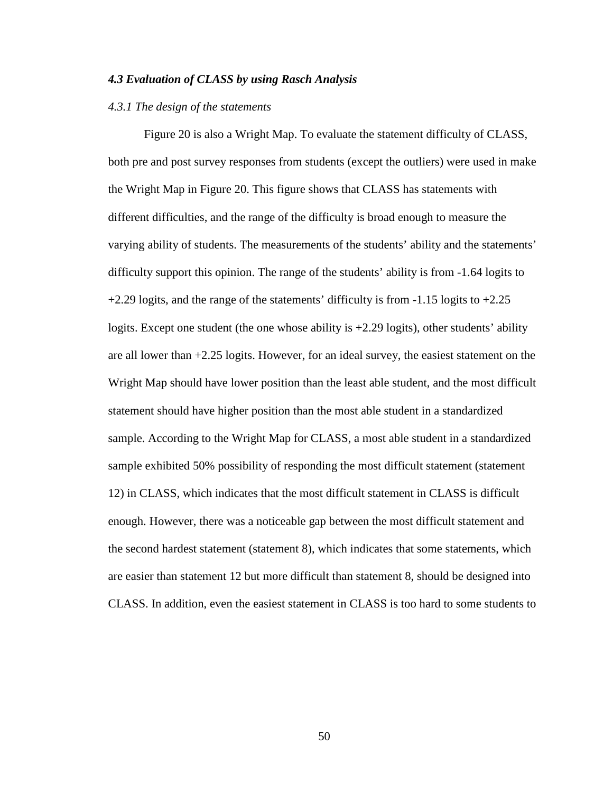### *4.3 Evaluation of CLASS by using Rasch Analysis*

### *4.3.1 The design of the statements*

Figure 20 is also a Wright Map. To evaluate the statement difficulty of CLASS, both pre and post survey responses from students (except the outliers) were used in make the Wright Map in Figure 20. This figure shows that CLASS has statements with different difficulties, and the range of the difficulty is broad enough to measure the varying ability of students. The measurements of the students' ability and the statements' difficulty support this opinion. The range of the students' ability is from -1.64 logits to  $+2.29$  logits, and the range of the statements' difficulty is from  $-1.15$  logits to  $+2.25$ logits. Except one student (the one whose ability is  $+2.29$  logits), other students' ability are all lower than +2.25 logits. However, for an ideal survey, the easiest statement on the Wright Map should have lower position than the least able student, and the most difficult statement should have higher position than the most able student in a standardized sample. According to the Wright Map for CLASS, a most able student in a standardized sample exhibited 50% possibility of responding the most difficult statement (statement 12) in CLASS, which indicates that the most difficult statement in CLASS is difficult enough. However, there was a noticeable gap between the most difficult statement and the second hardest statement (statement 8), which indicates that some statements, which are easier than statement 12 but more difficult than statement 8, should be designed into CLASS. In addition, even the easiest statement in CLASS is too hard to some students to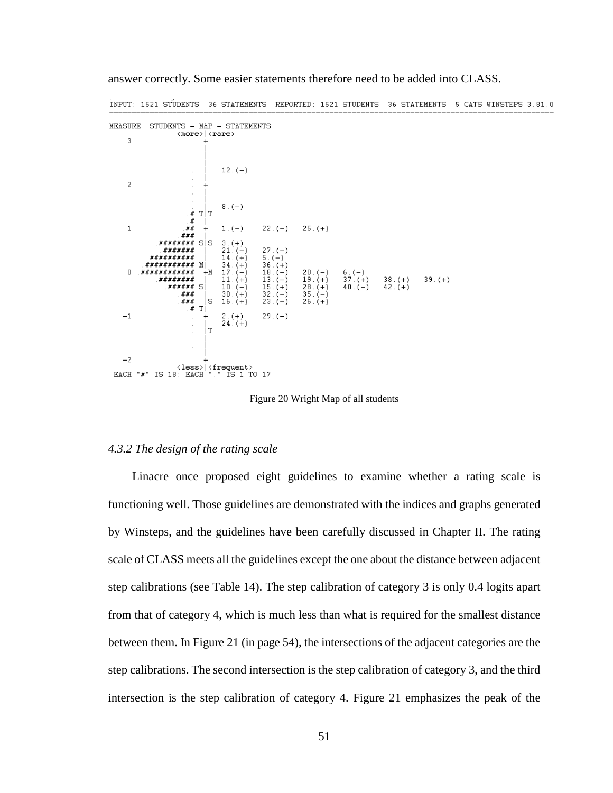| MEASURE        | STUDENTS - MAP - STATEMENTS         | <more> <rare></rare></more> |                                       |           |           |          |           |          |  |
|----------------|-------------------------------------|-----------------------------|---------------------------------------|-----------|-----------|----------|-----------|----------|--|
|                |                                     |                             |                                       |           |           |          |           |          |  |
| 3              |                                     |                             |                                       |           |           |          |           |          |  |
|                | ٠                                   |                             | $12.(-)$                              |           |           |          |           |          |  |
|                |                                     |                             |                                       |           |           |          |           |          |  |
| $\overline{2}$ |                                     |                             |                                       |           |           |          |           |          |  |
|                |                                     |                             |                                       |           |           |          |           |          |  |
|                |                                     |                             |                                       |           |           |          |           |          |  |
|                |                                     |                             | $8.(-)$                               |           |           |          |           |          |  |
|                | . $\pmb{\#}$                        | T T                         |                                       |           |           |          |           |          |  |
|                |                                     |                             |                                       |           |           |          |           |          |  |
|                | . $\pmb{\#}$                        |                             |                                       |           |           |          |           |          |  |
| $\mathbf 1$    | ##                                  |                             | $1.(-)$                               | $22.(-)$  | $25.(+)$  |          |           |          |  |
|                | .###                                |                             |                                       |           |           |          |           |          |  |
|                | ########                            | SIS.                        | $3.(+)$                               |           |           |          |           |          |  |
|                |                                     |                             |                                       |           |           |          |           |          |  |
|                | <i>#######</i>                      |                             | $21.(-)$                              | $27.(-)$  |           |          |           |          |  |
|                | ##########                          |                             | $14. (+)$                             | $5.(-)$   |           |          |           |          |  |
|                | .###########                        | ΜI                          | $34. (+)$                             | $36. (+)$ |           |          |           |          |  |
| $\Box$         | <i>.###########</i>                 | $+M$                        | $17.(-)$                              | $18.(-)$  | $20.(-)$  | $6. (-)$ |           |          |  |
|                | .########                           |                             |                                       |           |           |          |           |          |  |
|                |                                     |                             | $11.(+)$                              | $13.(-)$  | $19.(+)$  | $37.(+)$ | $38.(+)$  | $39.(+)$ |  |
|                | ###### S                            |                             | $10.(-)$                              | $15.(+)$  | $28.(+)$  | $40.(-)$ | $42. (+)$ |          |  |
|                | .###                                |                             | $30.(+)$                              | $32.(-)$  | $35.(-)$  |          |           |          |  |
|                | .###                                | Is                          | $16.(+)$                              | $23.(-)$  | $26. (+)$ |          |           |          |  |
|                | $\cdot$ #                           | Т                           |                                       |           |           |          |           |          |  |
| $^{-1}$        |                                     |                             | $2.(+)$                               | $29.(-)$  |           |          |           |          |  |
|                |                                     |                             |                                       |           |           |          |           |          |  |
|                | ×.                                  |                             | $24.(+)$                              |           |           |          |           |          |  |
|                | $\overline{\phantom{a}}$            | Т                           |                                       |           |           |          |           |          |  |
|                |                                     |                             |                                       |           |           |          |           |          |  |
|                | $\blacksquare$                      |                             |                                       |           |           |          |           |          |  |
|                |                                     |                             |                                       |           |           |          |           |          |  |
| $-2$           |                                     |                             |                                       |           |           |          |           |          |  |
|                |                                     |                             |                                       |           |           |          |           |          |  |
|                |                                     |                             | <less>   <frequent></frequent></less> |           |           |          |           |          |  |
|                | EACH "#" IS 18: EACH "." IS 1 TO 17 |                             |                                       |           |           |          |           |          |  |
|                |                                     |                             |                                       |           |           |          |           |          |  |

answer correctly. Some easier statements therefore need to be added into CLASS.

INPUT: 1521 STUDENTS 36 STATEMENTS REPORTED: 1521 STUDENTS 36 STATEMENTS 5 CATS WINSTEPS 3.81.0

Figure 20 Wright Map of all students

#### *4.3.2 The design of the rating scale*

 Linacre once proposed eight guidelines to examine whether a rating scale is functioning well. Those guidelines are demonstrated with the indices and graphs generated by Winsteps, and the guidelines have been carefully discussed in Chapter II. The rating scale of CLASS meets all the guidelines except the one about the distance between adjacent step calibrations (see Table 14). The step calibration of category 3 is only 0.4 logits apart from that of category 4, which is much less than what is required for the smallest distance between them. In Figure 21 (in page 54), the intersections of the adjacent categories are the step calibrations. The second intersection is the step calibration of category 3, and the third intersection is the step calibration of category 4. Figure 21 emphasizes the peak of the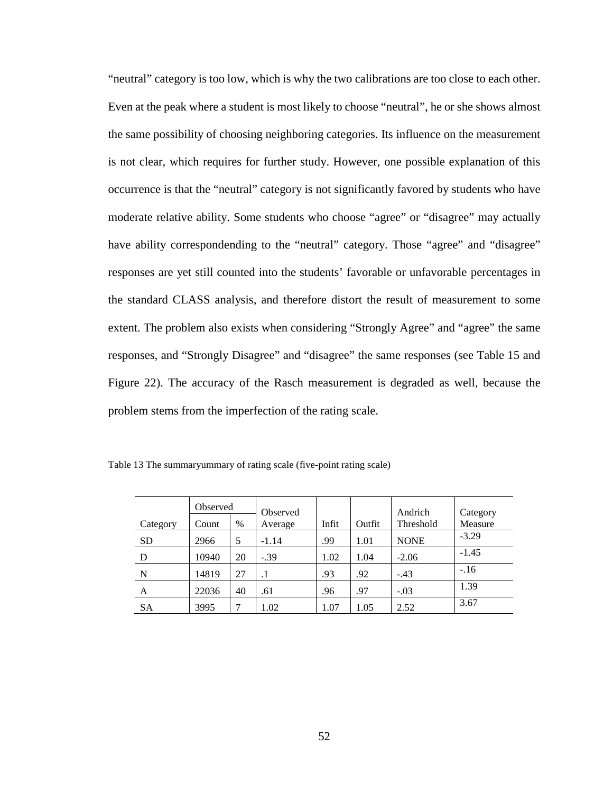"neutral" category is too low, which is why the two calibrations are too close to each other. Even at the peak where a student is most likely to choose "neutral", he or she shows almost the same possibility of choosing neighboring categories. Its influence on the measurement is not clear, which requires for further study. However, one possible explanation of this occurrence is that the "neutral" category is not significantly favored by students who have moderate relative ability. Some students who choose "agree" or "disagree" may actually have ability correspondending to the "neutral" category. Those "agree" and "disagree" responses are yet still counted into the students' favorable or unfavorable percentages in the standard CLASS analysis, and therefore distort the result of measurement to some extent. The problem also exists when considering "Strongly Agree" and "agree" the same responses, and "Strongly Disagree" and "disagree" the same responses (see Table 15 and Figure 22). The accuracy of the Rasch measurement is degraded as well, because the problem stems from the imperfection of the rating scale.

|           | Observed |      | Observed  |       |        | Andrich     | Category |
|-----------|----------|------|-----------|-------|--------|-------------|----------|
| Category  | Count    | $\%$ | Average   | Infit | Outfit | Threshold   | Measure  |
| <b>SD</b> | 2966     | 5    | $-1.14$   | .99   | 1.01   | <b>NONE</b> | $-3.29$  |
| D         | 10940    | 20   | $-.39$    | 1.02  | 1.04   | $-2.06$     | $-1.45$  |
| N         | 14819    | 27   | $\cdot^1$ | .93   | .92    | $-.43$      | $-.16$   |
| A         | 22036    | 40   | .61       | .96   | .97    | $-.03$      | 1.39     |
| <b>SA</b> | 3995     | 7    | 1.02      | 1.07  | 1.05   | 2.52        | 3.67     |

Table 13 The summaryummary of rating scale (five-point rating scale)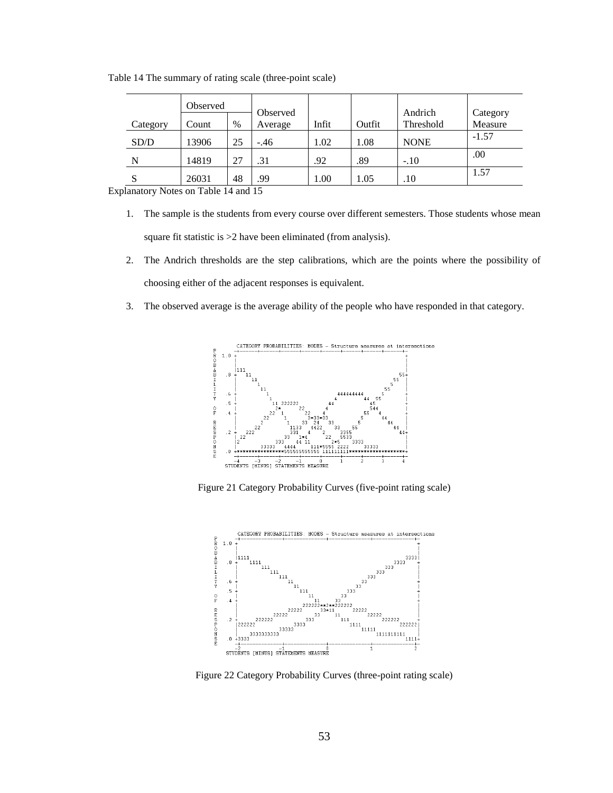Table 14 The summary of rating scale (three-point scale)

|              | Observed |      | Observed |       |        | Andrich     | Category |
|--------------|----------|------|----------|-------|--------|-------------|----------|
| Category     | Count    | $\%$ | Average  | Infit | Outfit | Threshold   | Measure  |
|              |          |      |          |       |        |             |          |
| SD/D         | 13906    | 25   | $-.46$   | 1.02  | 1.08   | <b>NONE</b> | $-1.57$  |
| N            | 14819    | 27   | .31      | .92   | .89    | $-.10$      | .00      |
| $\mathbf{C}$ | 26031    | 48   | 99       | 1.00  | 1.05   | .10         | 1.57     |

Explanatory Notes on Table 14 and 15

- 1. The sample is the students from every course over different semesters. Those students whose mean square fit statistic is  $>2$  have been eliminated (from analysis).
- 2. The Andrich thresholds are the step calibrations, which are the points where the possibility of choosing either of the adjacent responses is equivalent.
- 3. The observed average is the average ability of the people who have responded in that category.



Figure 21 Category Probability Curves (five-point rating scale)



Figure 22 Category Probability Curves (three-point rating scale)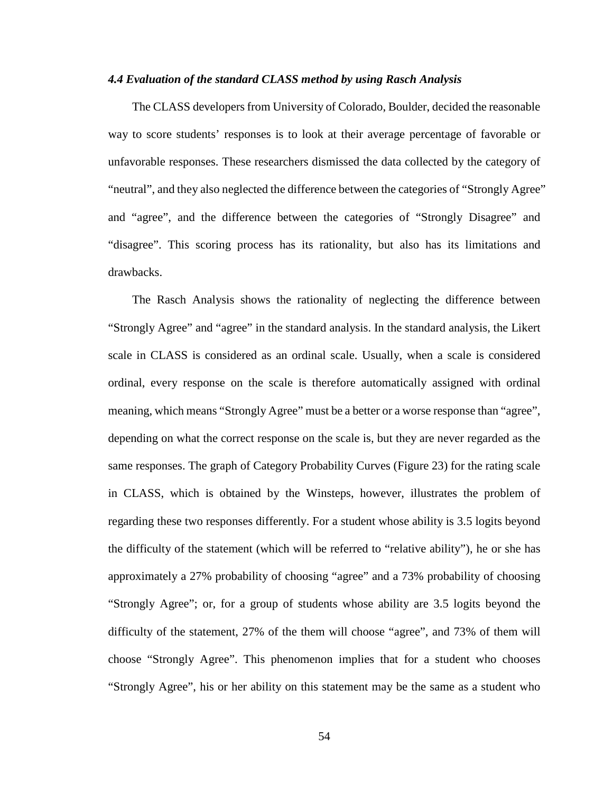#### *4.4 Evaluation of the standard CLASS method by using Rasch Analysis*

 The CLASS developers from University of Colorado, Boulder, decided the reasonable way to score students' responses is to look at their average percentage of favorable or unfavorable responses. These researchers dismissed the data collected by the category of "neutral", and they also neglected the difference between the categories of "Strongly Agree" and "agree", and the difference between the categories of "Strongly Disagree" and "disagree". This scoring process has its rationality, but also has its limitations and drawbacks.

 The Rasch Analysis shows the rationality of neglecting the difference between "Strongly Agree" and "agree" in the standard analysis. In the standard analysis, the Likert scale in CLASS is considered as an ordinal scale. Usually, when a scale is considered ordinal, every response on the scale is therefore automatically assigned with ordinal meaning, which means "Strongly Agree" must be a better or a worse response than "agree", depending on what the correct response on the scale is, but they are never regarded as the same responses. The graph of Category Probability Curves (Figure 23) for the rating scale in CLASS, which is obtained by the Winsteps, however, illustrates the problem of regarding these two responses differently. For a student whose ability is 3.5 logits beyond the difficulty of the statement (which will be referred to "relative ability"), he or she has approximately a 27% probability of choosing "agree" and a 73% probability of choosing "Strongly Agree"; or, for a group of students whose ability are 3.5 logits beyond the difficulty of the statement, 27% of the them will choose "agree", and 73% of them will choose "Strongly Agree". This phenomenon implies that for a student who chooses "Strongly Agree", his or her ability on this statement may be the same as a student who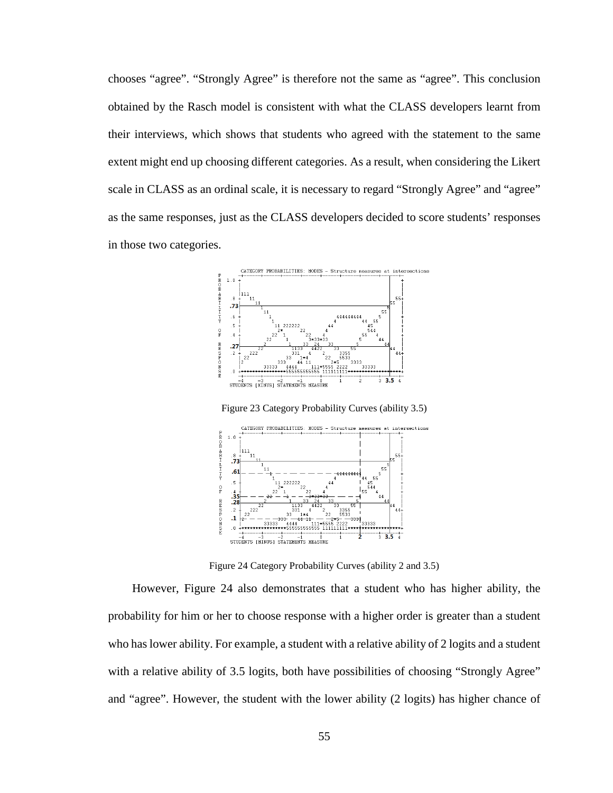chooses "agree". "Strongly Agree" is therefore not the same as "agree". This conclusion obtained by the Rasch model is consistent with what the CLASS developers learnt from their interviews, which shows that students who agreed with the statement to the same extent might end up choosing different categories. As a result, when considering the Likert scale in CLASS as an ordinal scale, it is necessary to regard "Strongly Agree" and "agree" as the same responses, just as the CLASS developers decided to score students' responses in those two categories.



Figure 23 Category Probability Curves (ability 3.5)



Figure 24 Category Probability Curves (ability 2 and 3.5)

 However, Figure 24 also demonstrates that a student who has higher ability, the probability for him or her to choose response with a higher order is greater than a student who has lower ability. For example, a student with a relative ability of 2 logits and a student with a relative ability of 3.5 logits, both have possibilities of choosing "Strongly Agree" and "agree". However, the student with the lower ability (2 logits) has higher chance of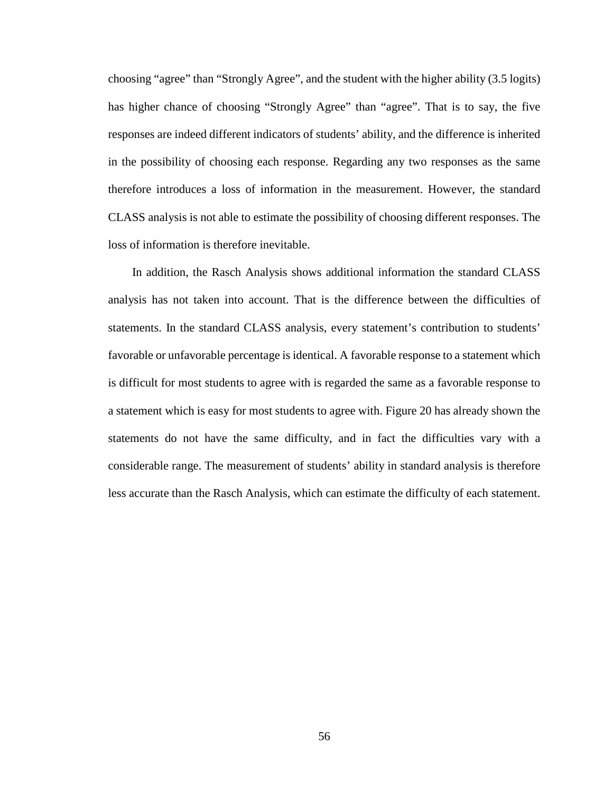choosing "agree" than "Strongly Agree", and the student with the higher ability (3.5 logits) has higher chance of choosing "Strongly Agree" than "agree". That is to say, the five responses are indeed different indicators of students' ability, and the difference is inherited in the possibility of choosing each response. Regarding any two responses as the same therefore introduces a loss of information in the measurement. However, the standard CLASS analysis is not able to estimate the possibility of choosing different responses. The loss of information is therefore inevitable.

 In addition, the Rasch Analysis shows additional information the standard CLASS analysis has not taken into account. That is the difference between the difficulties of statements. In the standard CLASS analysis, every statement's contribution to students' favorable or unfavorable percentage is identical. A favorable response to a statement which is difficult for most students to agree with is regarded the same as a favorable response to a statement which is easy for most students to agree with. Figure 20 has already shown the statements do not have the same difficulty, and in fact the difficulties vary with a considerable range. The measurement of students' ability in standard analysis is therefore less accurate than the Rasch Analysis, which can estimate the difficulty of each statement.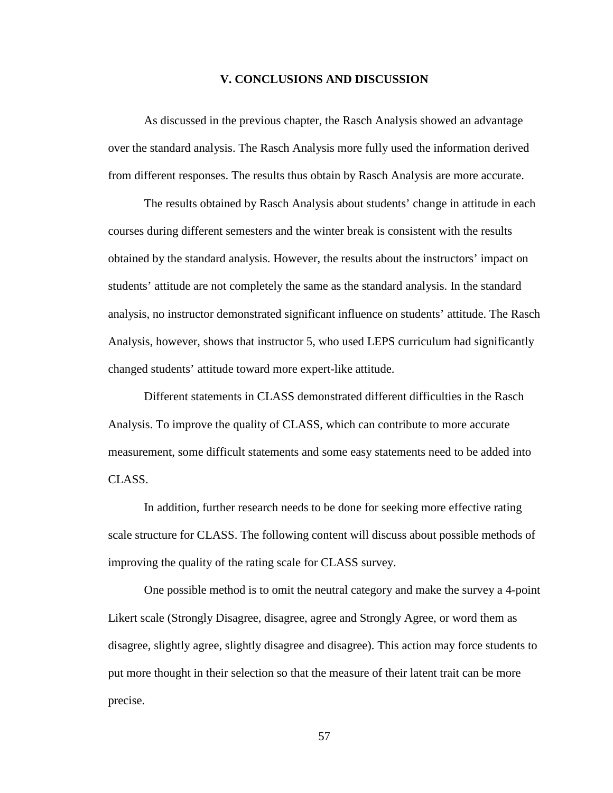## **V. CONCLUSIONS AND DISCUSSION**

As discussed in the previous chapter, the Rasch Analysis showed an advantage over the standard analysis. The Rasch Analysis more fully used the information derived from different responses. The results thus obtain by Rasch Analysis are more accurate.

The results obtained by Rasch Analysis about students' change in attitude in each courses during different semesters and the winter break is consistent with the results obtained by the standard analysis. However, the results about the instructors' impact on students' attitude are not completely the same as the standard analysis. In the standard analysis, no instructor demonstrated significant influence on students' attitude. The Rasch Analysis, however, shows that instructor 5, who used LEPS curriculum had significantly changed students' attitude toward more expert-like attitude.

Different statements in CLASS demonstrated different difficulties in the Rasch Analysis. To improve the quality of CLASS, which can contribute to more accurate measurement, some difficult statements and some easy statements need to be added into CLASS.

In addition, further research needs to be done for seeking more effective rating scale structure for CLASS. The following content will discuss about possible methods of improving the quality of the rating scale for CLASS survey.

One possible method is to omit the neutral category and make the survey a 4-point Likert scale (Strongly Disagree, disagree, agree and Strongly Agree, or word them as disagree, slightly agree, slightly disagree and disagree). This action may force students to put more thought in their selection so that the measure of their latent trait can be more precise.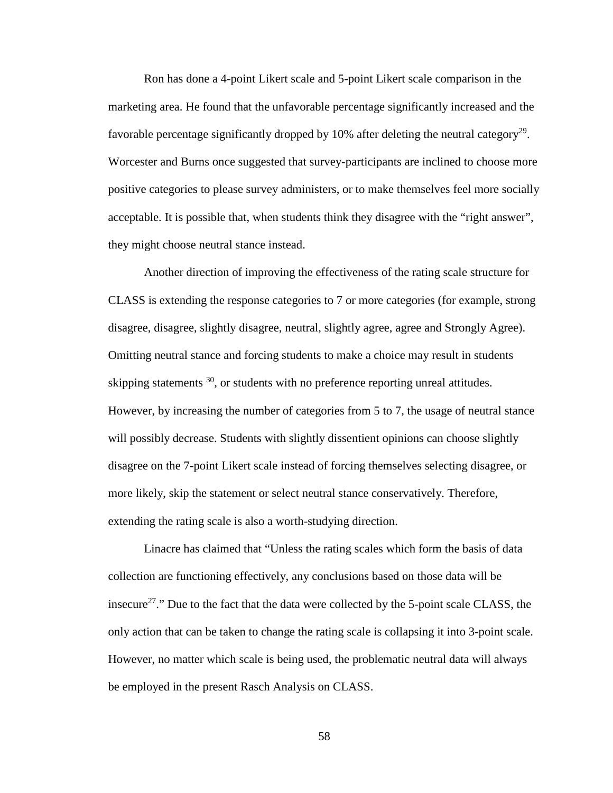Ron has done a 4-point Likert scale and 5-point Likert scale comparison in the marketing area. He found that the unfavorable percentage significantly increased and the favorable percentage significantly dropped by 10% after deleting the neutral category<sup>29</sup>. Worcester and Burns once suggested that survey-participants are inclined to choose more positive categories to please survey administers, or to make themselves feel more socially acceptable. It is possible that, when students think they disagree with the "right answer", they might choose neutral stance instead.

Another direction of improving the effectiveness of the rating scale structure for CLASS is extending the response categories to 7 or more categories (for example, strong disagree, disagree, slightly disagree, neutral, slightly agree, agree and Strongly Agree). Omitting neutral stance and forcing students to make a choice may result in students skipping statements  $30$ , or students with no preference reporting unreal attitudes. However, by increasing the number of categories from 5 to 7, the usage of neutral stance will possibly decrease. Students with slightly dissentient opinions can choose slightly disagree on the 7-point Likert scale instead of forcing themselves selecting disagree, or more likely, skip the statement or select neutral stance conservatively. Therefore, extending the rating scale is also a worth-studying direction.

Linacre has claimed that "Unless the rating scales which form the basis of data collection are functioning effectively, any conclusions based on those data will be insecure<sup>27</sup>." Due to the fact that the data were collected by the 5-point scale CLASS, the only action that can be taken to change the rating scale is collapsing it into 3-point scale. However, no matter which scale is being used, the problematic neutral data will always be employed in the present Rasch Analysis on CLASS.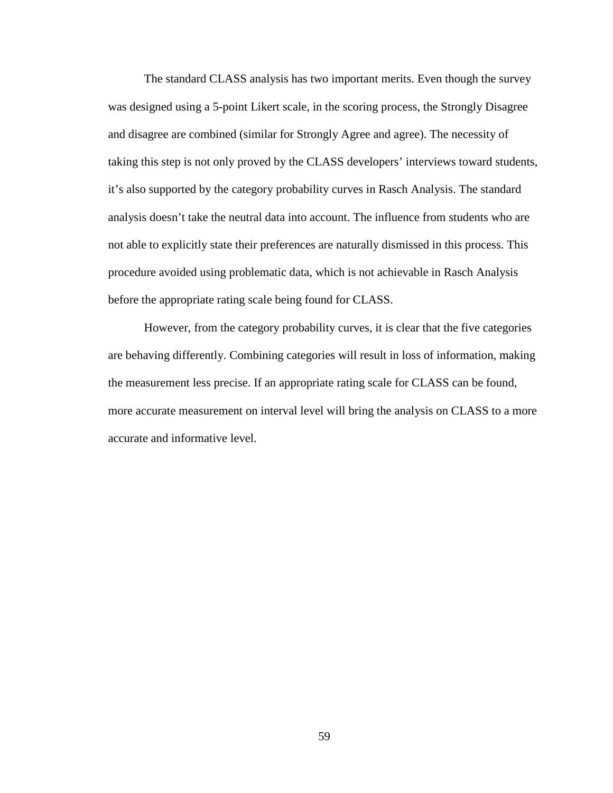The standard CLASS analysis has two important merits. Even though the survey was designed using a 5-point Likert scale, in the scoring process, the Strongly Disagree and disagree are combined (similar for Strongly Agree and agree). The necessity of taking this step is not only proved by the CLASS developers' interviews toward students, it's also supported by the category probability curves in Rasch Analysis. The standard analysis doesn't take the neutral data into account. The influence from students who are not able to explicitly state their preferences are naturally dismissed in this process. This procedure avoided using problematic data, which is not achievable in Rasch Analysis before the appropriate rating scale being found for CLASS.

However, from the category probability curves, it is clear that the five categories are behaving differently. Combining categories will result in loss of information, making the measurement less precise. If an appropriate rating scale for CLASS can be found, more accurate measurement on interval level will bring the analysis on CLASS to a more accurate and informative level.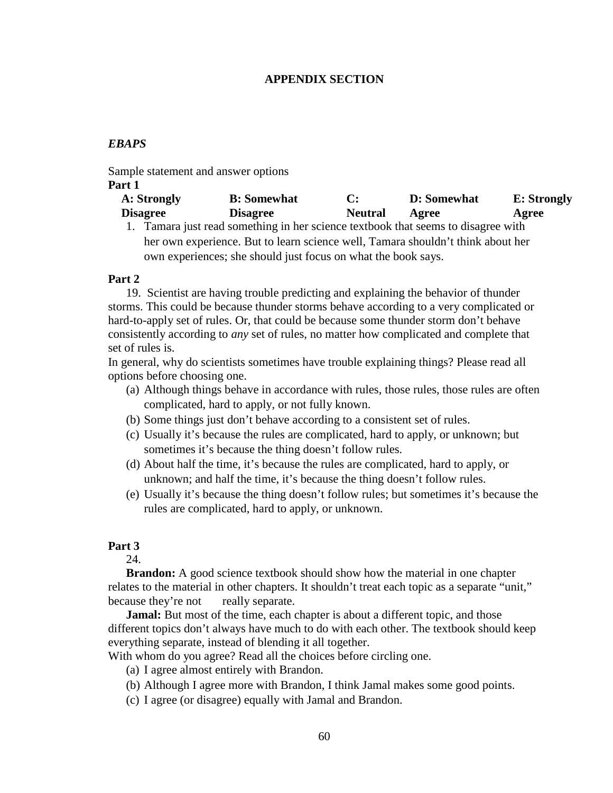#### **APPENDIX SECTION**

# *EBAPS*

Sample statement and answer options

#### **Part 1**

| A: Strongly     | <b>B</b> : Somewhat |                | <b>D:</b> Somewhat | <b>E:</b> Strongly |
|-----------------|---------------------|----------------|--------------------|--------------------|
| <b>Disagree</b> | <b>Disagree</b>     | <b>Neutral</b> | Agree              | Agree              |

1. Tamara just read something in her science textbook that seems to disagree with her own experience. But to learn science well, Tamara shouldn't think about her own experiences; she should just focus on what the book says.

#### **Part 2**

 19. Scientist are having trouble predicting and explaining the behavior of thunder storms. This could be because thunder storms behave according to a very complicated or hard-to-apply set of rules. Or, that could be because some thunder storm don't behave consistently according to *any* set of rules, no matter how complicated and complete that set of rules is.

In general, why do scientists sometimes have trouble explaining things? Please read all options before choosing one.

- (a) Although things behave in accordance with rules, those rules, those rules are often complicated, hard to apply, or not fully known.
- (b) Some things just don't behave according to a consistent set of rules.
- (c) Usually it's because the rules are complicated, hard to apply, or unknown; but sometimes it's because the thing doesn't follow rules.
- (d) About half the time, it's because the rules are complicated, hard to apply, or unknown; and half the time, it's because the thing doesn't follow rules.
- (e) Usually it's because the thing doesn't follow rules; but sometimes it's because the rules are complicated, hard to apply, or unknown.

# **Part 3**

24.

**Brandon:** A good science textbook should show how the material in one chapter relates to the material in other chapters. It shouldn't treat each topic as a separate "unit," because they're not really separate.

**Jamal:** But most of the time, each chapter is about a different topic, and those different topics don't always have much to do with each other. The textbook should keep everything separate, instead of blending it all together.

With whom do you agree? Read all the choices before circling one.

- (a) I agree almost entirely with Brandon.
- (b) Although I agree more with Brandon, I think Jamal makes some good points.
- (c) I agree (or disagree) equally with Jamal and Brandon.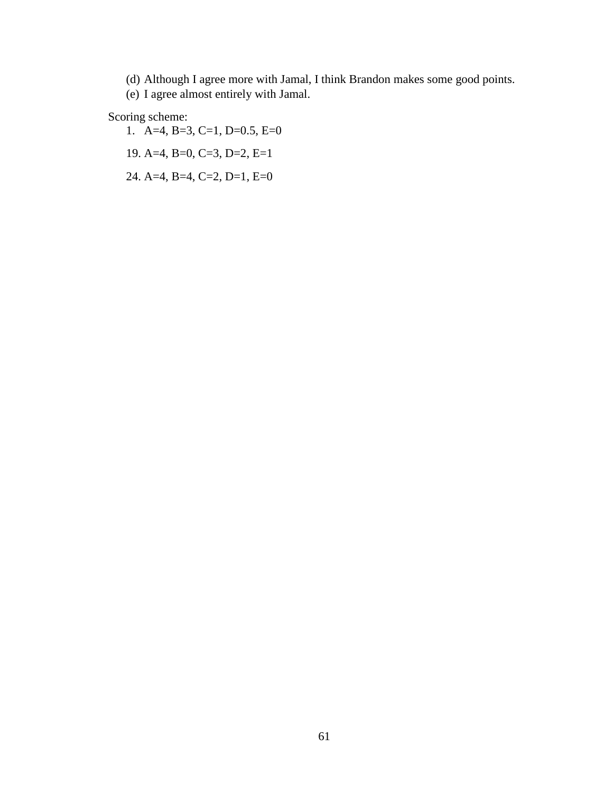(d) Although I agree more with Jamal, I think Brandon makes some good points.

(e) I agree almost entirely with Jamal.

# Scoring scheme:

- 1. A=4, B=3, C=1, D=0.5, E=0
- 19. A=4, B=0, C=3, D=2, E=1
- 24. A=4, B=4, C=2, D=1, E=0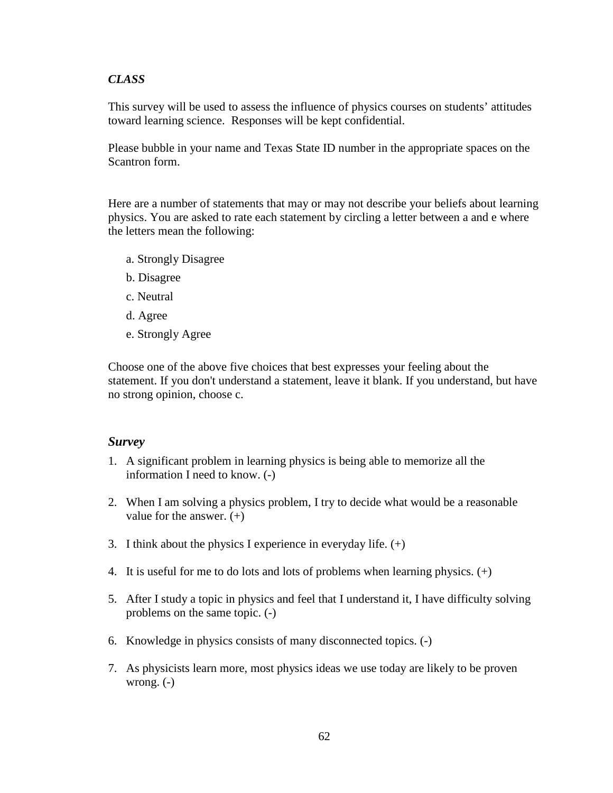# *CLASS*

This survey will be used to assess the influence of physics courses on students' attitudes toward learning science. Responses will be kept confidential.

Please bubble in your name and Texas State ID number in the appropriate spaces on the Scantron form.

Here are a number of statements that may or may not describe your beliefs about learning physics. You are asked to rate each statement by circling a letter between a and e where the letters mean the following:

- a. Strongly Disagree
- b. Disagree
- c. Neutral
- d. Agree
- e. Strongly Agree

Choose one of the above five choices that best expresses your feeling about the statement. If you don't understand a statement, leave it blank. If you understand, but have no strong opinion, choose c.

# *Survey*

- 1. A significant problem in learning physics is being able to memorize all the information I need to know. (-)
- 2. When I am solving a physics problem, I try to decide what would be a reasonable value for the answer.  $(+)$
- 3. I think about the physics I experience in everyday life.  $(+)$
- 4. It is useful for me to do lots and lots of problems when learning physics. (+)
- 5. After I study a topic in physics and feel that I understand it, I have difficulty solving problems on the same topic. (-)
- 6. Knowledge in physics consists of many disconnected topics. (-)
- 7. As physicists learn more, most physics ideas we use today are likely to be proven wrong. (-)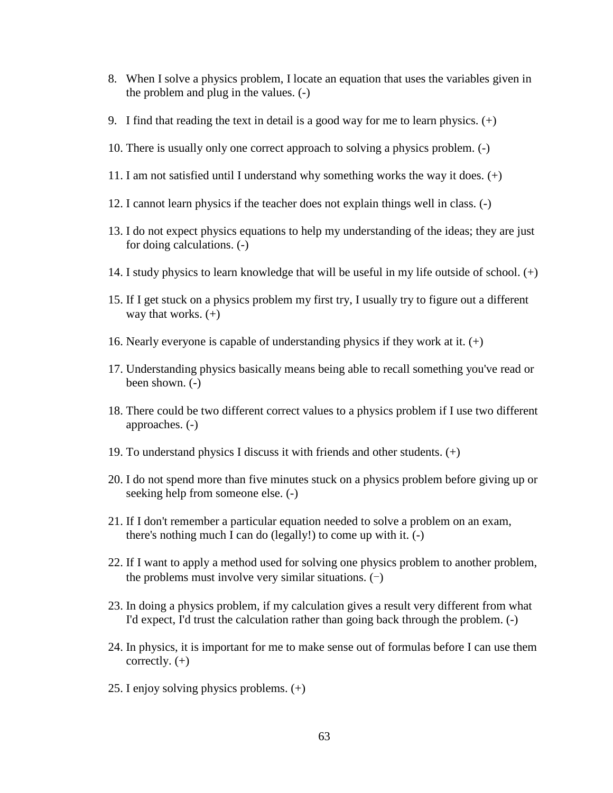- 8. When I solve a physics problem, I locate an equation that uses the variables given in the problem and plug in the values. (-)
- 9. I find that reading the text in detail is a good way for me to learn physics. (+)
- 10. There is usually only one correct approach to solving a physics problem. (-)
- 11. I am not satisfied until I understand why something works the way it does. (+)
- 12. I cannot learn physics if the teacher does not explain things well in class. (-)
- 13. I do not expect physics equations to help my understanding of the ideas; they are just for doing calculations. (-)
- 14. I study physics to learn knowledge that will be useful in my life outside of school. (+)
- 15. If I get stuck on a physics problem my first try, I usually try to figure out a different way that works.  $(+)$
- 16. Nearly everyone is capable of understanding physics if they work at it.  $(+)$
- 17. Understanding physics basically means being able to recall something you've read or been shown. (-)
- 18. There could be two different correct values to a physics problem if I use two different approaches. (-)
- 19. To understand physics I discuss it with friends and other students. (+)
- 20. I do not spend more than five minutes stuck on a physics problem before giving up or seeking help from someone else. (-)
- 21. If I don't remember a particular equation needed to solve a problem on an exam, there's nothing much I can do (legally!) to come up with it. (-)
- 22. If I want to apply a method used for solving one physics problem to another problem, the problems must involve very similar situations.  $(-)$
- 23. In doing a physics problem, if my calculation gives a result very different from what I'd expect, I'd trust the calculation rather than going back through the problem. (-)
- 24. In physics, it is important for me to make sense out of formulas before I can use them correctly.  $(+)$
- 25. I enjoy solving physics problems. (+)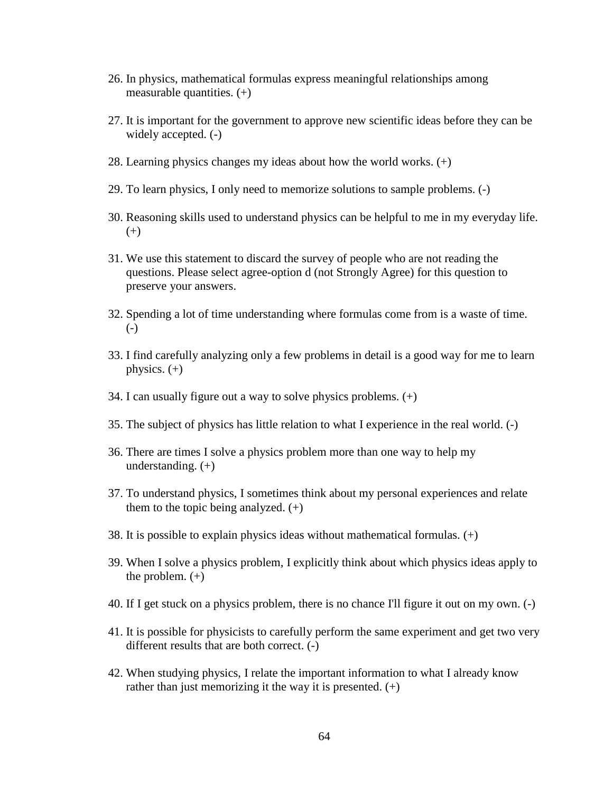- 26. In physics, mathematical formulas express meaningful relationships among measurable quantities.  $(+)$
- 27. It is important for the government to approve new scientific ideas before they can be widely accepted. (-)
- 28. Learning physics changes my ideas about how the world works. (+)
- 29. To learn physics, I only need to memorize solutions to sample problems. (-)
- 30. Reasoning skills used to understand physics can be helpful to me in my everyday life. (+)
- 31. We use this statement to discard the survey of people who are not reading the questions. Please select agree-option d (not Strongly Agree) for this question to preserve your answers.
- 32. Spending a lot of time understanding where formulas come from is a waste of time. (-)
- 33. I find carefully analyzing only a few problems in detail is a good way for me to learn physics.  $(+)$
- 34. I can usually figure out a way to solve physics problems. (+)
- 35. The subject of physics has little relation to what I experience in the real world. (-)
- 36. There are times I solve a physics problem more than one way to help my understanding. (+)
- 37. To understand physics, I sometimes think about my personal experiences and relate them to the topic being analyzed.  $(+)$
- 38. It is possible to explain physics ideas without mathematical formulas. (+)
- 39. When I solve a physics problem, I explicitly think about which physics ideas apply to the problem.  $(+)$
- 40. If I get stuck on a physics problem, there is no chance I'll figure it out on my own. (-)
- 41. It is possible for physicists to carefully perform the same experiment and get two very different results that are both correct. (-)
- 42. When studying physics, I relate the important information to what I already know rather than just memorizing it the way it is presented.  $(+)$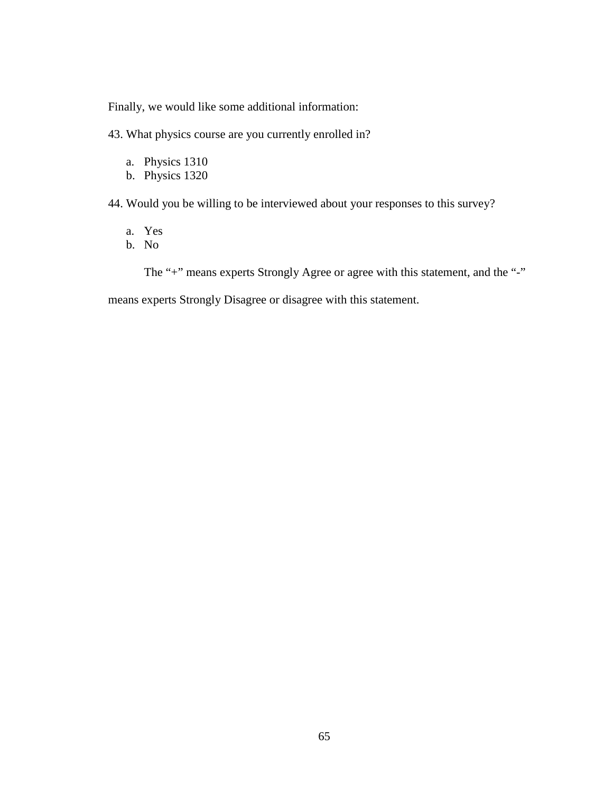Finally, we would like some additional information:

43. What physics course are you currently enrolled in?

- a. Physics 1310
- b. Physics 1320

44. Would you be willing to be interviewed about your responses to this survey?

- a. Yes
- b. No

The "+" means experts Strongly Agree or agree with this statement, and the "-"

means experts Strongly Disagree or disagree with this statement.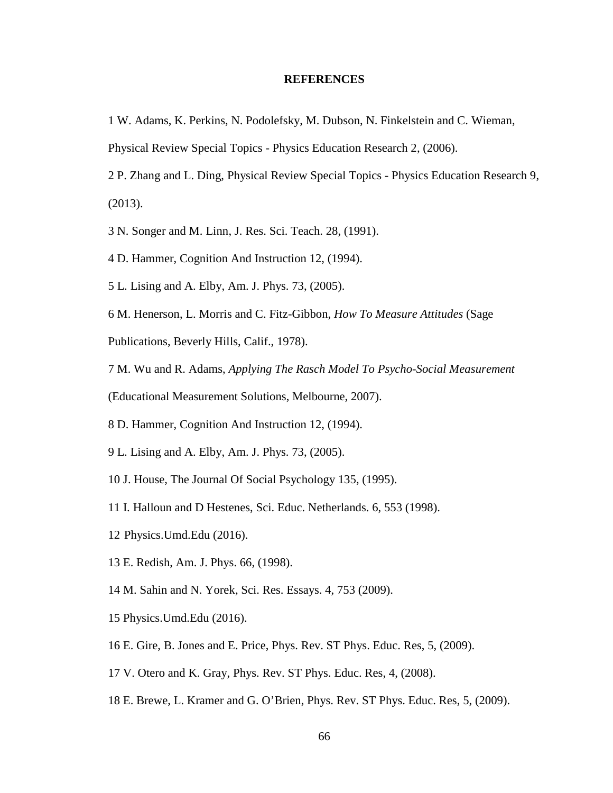#### **REFERENCES**

- 1 W. Adams, K. Perkins, N. Podolefsky, M. Dubson, N. Finkelstein and C. Wieman,
- Physical Review Special Topics Physics Education Research 2, (2006).
- 2 P. Zhang and L. Ding, Physical Review Special Topics Physics Education Research 9, (2013).
- 3 N. Songer and M. Linn, J. Res. Sci. Teach. 28, (1991).
- 4 D. Hammer, Cognition And Instruction 12, (1994).
- 5 L. Lising and A. Elby, Am. J. Phys. 73, (2005).
- 6 M. Henerson, L. Morris and C. Fitz-Gibbon, *How To Measure Attitudes* (Sage
- Publications, Beverly Hills, Calif., 1978).
- 7 M. Wu and R. Adams, *Applying The Rasch Model To Psycho-Social Measurement*
- (Educational Measurement Solutions, Melbourne, 2007).
- 8 D. Hammer, Cognition And Instruction 12, (1994).
- 9 L. Lising and A. Elby, Am. J. Phys. 73, (2005).
- 10 J. House, The Journal Of Social Psychology 135, (1995).
- 11 I. Halloun and D Hestenes, Sci. Educ. Netherlands. 6, 553 (1998).
- 12 Physics.Umd.Edu (2016).
- 13 E. Redish, Am. J. Phys. 66, (1998).
- 14 M. Sahin and N. Yorek, Sci. Res. Essays. 4, 753 (2009).
- 15 Physics.Umd.Edu (2016).
- 16 E. Gire, B. Jones and E. Price, Phys. Rev. ST Phys. Educ. Res, 5, (2009).
- 17 V. Otero and K. Gray, Phys. Rev. ST Phys. Educ. Res, 4, (2008).
- 18 E. Brewe, L. Kramer and G. O'Brien, Phys. Rev. ST Phys. Educ. Res, 5, (2009).